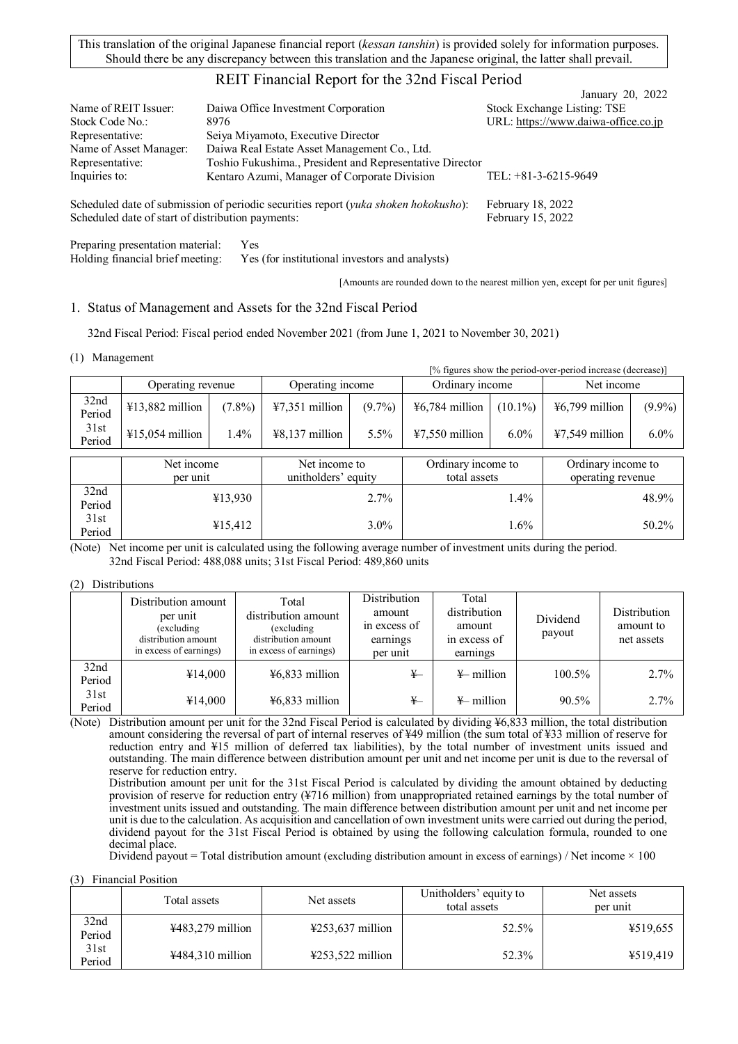This translation of the original Japanese financial report (*kessan tanshin*) is provided solely for information purposes. Should there be any discrepancy between this translation and the Japanese original, the latter shall prevail.

# REIT Financial Report for the 32nd Fiscal Period

| Name of REIT Issuer:   | Daiwa Office Investment Corporation                                                          | January 20, 2022<br>Stock Exchange Listing: TSE |
|------------------------|----------------------------------------------------------------------------------------------|-------------------------------------------------|
|                        |                                                                                              |                                                 |
| Stock Code No.:        | 8976                                                                                         | URL: https://www.daiwa-office.co.jp             |
| Representative:        | Seiya Miyamoto, Executive Director                                                           |                                                 |
| Name of Asset Manager: | Daiwa Real Estate Asset Management Co., Ltd.                                                 |                                                 |
| Representative:        | Toshio Fukushima., President and Representative Director                                     |                                                 |
| Inquiries to:          | Kentaro Azumi, Manager of Corporate Division                                                 | TEL: $+81-3-6215-9649$                          |
|                        | Scheduled date of submission of periodic securities report ( <i>vuka shokan hokokusho</i> ). | $Fehm2$ rv 18 2022                              |

Scheduled date of submission of periodic securities report (*yuka shoken hokokusho*): February 18, 2022 Scheduled date of start of distribution payments: February 15, 2022

Preparing presentation material: Yes Holding financial brief meeting: Yes (for institutional investors and analysts)

[Amounts are rounded down to the nearest million yen, except for per unit figures]

## 1. Status of Management and Assets for the 32nd Fiscal Period

32nd Fiscal Period: Fiscal period ended November 2021 (from June 1, 2021 to November 30, 2021)

### (1) Management

|                |                           |           |                  | [% figures show the period-over-period increase (decrease)] |                    |            |                            |           |
|----------------|---------------------------|-----------|------------------|-------------------------------------------------------------|--------------------|------------|----------------------------|-----------|
|                | Operating revenue         |           | Operating income |                                                             | Ordinary income    |            | Net income                 |           |
| 32nd<br>Period | $413,882$ million         | $(7.8\%)$ | $47,351$ million | $(9.7\%)$                                                   | $46,784$ million   | $(10.1\%)$ | $\frac{1}{2}6,799$ million | $(9.9\%)$ |
| 31st<br>Period | $\text{\#}15,054$ million | 1.4%      | $48,137$ million | $5.5\%$                                                     | $47,550$ million   | $6.0\%$    | $47,549$ million           | $6.0\%$   |
|                |                           |           |                  |                                                             |                    |            |                            |           |
|                | Net income                |           | Net income to    |                                                             | Ordinary income to |            | Ordinary income to         |           |

|                | Net income<br>per unit | Net income to<br>unitholders' equity | Ordinary income to<br>total assets | Ordinary income to<br>operating revenue |
|----------------|------------------------|--------------------------------------|------------------------------------|-----------------------------------------|
| 32nd<br>Period | ¥13.930                | 2.7%                                 | $.4\%$                             | 48.9%                                   |
| 31st<br>Period | ¥15,412                | $3.0\%$                              | . 6%                               | 50.2%                                   |

(Note) Net income per unit is calculated using the following average number of investment units during the period. 32nd Fiscal Period: 488,088 units; 31st Fiscal Period: 489,860 units

### (2) Distributions

|                | Distribution amount<br>per unit<br>(excluding<br>distribution amount<br>in excess of earnings) | Total<br>distribution amount<br>(excluding<br>distribution amount<br>in excess of earnings) | Distribution<br>amount<br>in excess of<br>earnings<br>per unit | Total<br>distribution<br>amount<br>in excess of<br>earnings | Dividend<br>payout | Distribution<br>amount to<br>net assets |
|----------------|------------------------------------------------------------------------------------------------|---------------------------------------------------------------------------------------------|----------------------------------------------------------------|-------------------------------------------------------------|--------------------|-----------------------------------------|
| 32nd<br>Period | ¥14,000                                                                                        | $46,833$ million                                                                            | ¥—                                                             | $\frac{1}{2}$ million                                       | 100.5%             | 2.7%                                    |
| 31st<br>Period | ¥14,000                                                                                        | $46,833$ million                                                                            | ¥—                                                             | $\frac{1}{2}$ million                                       | 90.5%              | 2.7%                                    |

(Note) Distribution amount per unit for the 32nd Fiscal Period is calculated by dividing ¥6,833 million, the total distribution amount considering the reversal of part of internal reserves of ¥49 million (the sum total of ¥33 million of reserve for reduction entry and ¥15 million of deferred tax liabilities), by the total number of investment units issued and outstanding. The main difference between distribution amount per unit and net income per unit is due to the reversal of reserve for reduction entry.

Distribution amount per unit for the 31st Fiscal Period is calculated by dividing the amount obtained by deducting provision of reserve for reduction entry (¥716 million) from unappropriated retained earnings by the total number of investment units issued and outstanding. The main difference between distribution amount per unit and net income per unit is due to the calculation. As acquisition and cancellation of own investment units were carried out during the period, dividend payout for the 31st Fiscal Period is obtained by using the following calculation formula, rounded to one decimal place.

Dividend payout = Total distribution amount (excluding distribution amount in excess of earnings) / Net income  $\times$  100

(3) Financial Position

|                | Total assets                          | Net assets                            | Unitholders' equity to<br>total assets | Net assets<br>per unit |
|----------------|---------------------------------------|---------------------------------------|----------------------------------------|------------------------|
| 32nd<br>Period | $4483,279$ million                    | $\text{\#253,637}$ million            | 52.5%                                  | ¥519,655               |
| 31st<br>Period | $\text{\textsterling}484.310$ million | $\text{\textsterling}253.522$ million | 52.3%                                  | ¥519,419               |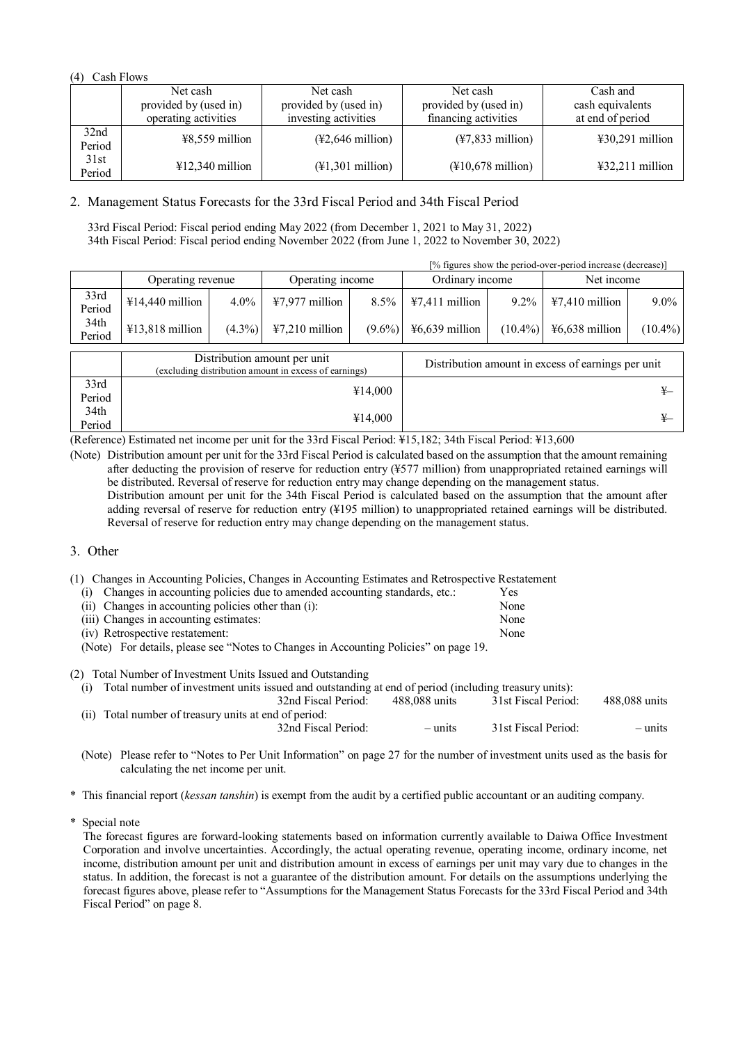## (4) Cash Flows

|                | Net cash                  | Net cash                                       | Net cash                                       | Cash and                             |
|----------------|---------------------------|------------------------------------------------|------------------------------------------------|--------------------------------------|
|                | provided by (used in)     | provided by (used in)                          | provided by (used in)                          | cash equivalents                     |
|                | operating activities      | investing activities                           | financing activities                           | at end of period                     |
| 32nd<br>Period | $48,559$ million          | $(*2,646$ million)                             | $(*7,833$ million)                             | $\text{\#30,291}$ million            |
| 31st<br>Period | $\text{\#12,340}$ million | $(\text{\textsterling}1, 301 \text{ million})$ | $(\text{\textsterling}10,678 \text{ million})$ | $\text{\textsterling}32,211$ million |

# 2. Management Status Forecasts for the 33rd Fiscal Period and 34th Fiscal Period

33rd Fiscal Period: Fiscal period ending May 2022 (from December 1, 2021 to May 31, 2022) 34th Fiscal Period: Fiscal period ending November 2022 (from June 1, 2022 to November 30, 2022)

|                |                   |           |                                     |           |                  | [% figures show the period-over-period increase (decrease)] |                                     |            |
|----------------|-------------------|-----------|-------------------------------------|-----------|------------------|-------------------------------------------------------------|-------------------------------------|------------|
|                | Operating revenue |           | Operating income                    |           | Ordinary income  |                                                             | Net income                          |            |
| 33rd<br>Period | $¥14,440$ million | $4.0\%$   | $47,977$ million                    | $8.5\%$   | $47,411$ million | $9.2\%$                                                     | $\text{\textsterling}7,410$ million | $9.0\%$    |
| 34th<br>Period | $413,818$ million | $(4.3\%)$ | $\text{\textsterling}7,210$ million | $(9.6\%)$ | $46,639$ million | $(10.4\%)$                                                  | $46,638$ million                    | $(10.4\%)$ |

|                | Distribution amount per unit<br>(excluding distribution amount in excess of earnings) | Distribution amount in excess of earnings per unit |
|----------------|---------------------------------------------------------------------------------------|----------------------------------------------------|
| 33rd<br>Period | ¥14,000                                                                               |                                                    |
| 34th<br>Period | ¥14,000                                                                               |                                                    |

(Reference) Estimated net income per unit for the 33rd Fiscal Period: ¥15,182; 34th Fiscal Period: ¥13,600

(Note) Distribution amount per unit for the 33rd Fiscal Period is calculated based on the assumption that the amount remaining after deducting the provision of reserve for reduction entry (¥577 million) from unappropriated retained earnings will be distributed. Reversal of reserve for reduction entry may change depending on the management status. Distribution amount per unit for the 34th Fiscal Period is calculated based on the assumption that the amount after adding reversal of reserve for reduction entry (¥195 million) to unappropriated retained earnings will be distributed. Reversal of reserve for reduction entry may change depending on the management status.

# 3. Other

- (1) Changes in Accounting Policies, Changes in Accounting Estimates and Retrospective Restatement
	- (i) Changes in accounting policies due to amended accounting standards, etc.: Yes (ii) Changes in accounting policies other than (i): None<br>(iii) Changes in accounting estimates: None  $(iii)$  Changes in accounting estimates: (iv) Retrospective restatement: None
	-

(Note) For details, please see "Notes to Changes in Accounting Policies" on page 19.

(2) Total Number of Investment Units Issued and Outstanding

| (i) Total number of investment units issued and outstanding at end of period (including treasury units): |               |                     |               |  |  |  |
|----------------------------------------------------------------------------------------------------------|---------------|---------------------|---------------|--|--|--|
| 32nd Fiscal Period:                                                                                      | 488.088 units | 31st Fiscal Period: | 488,088 units |  |  |  |
| (ii) Total number of treasury units at end of period:                                                    |               |                     |               |  |  |  |
| 32nd Fiscal Period:                                                                                      | $-$ units     | 31st Fiscal Period: | $-$ units     |  |  |  |
|                                                                                                          |               |                     |               |  |  |  |

(Note) Please refer to "Notes to Per Unit Information" on page 27 for the number of investment units used as the basis for calculating the net income per unit.

\* This financial report (*kessan tanshin*) is exempt from the audit by a certified public accountant or an auditing company.

\* Special note

The forecast figures are forward-looking statements based on information currently available to Daiwa Office Investment Corporation and involve uncertainties. Accordingly, the actual operating revenue, operating income, ordinary income, net income, distribution amount per unit and distribution amount in excess of earnings per unit may vary due to changes in the status. In addition, the forecast is not a guarantee of the distribution amount. For details on the assumptions underlying the forecast figures above, please refer to "Assumptions for the Management Status Forecasts for the 33rd Fiscal Period and 34th Fiscal Period" on page 8.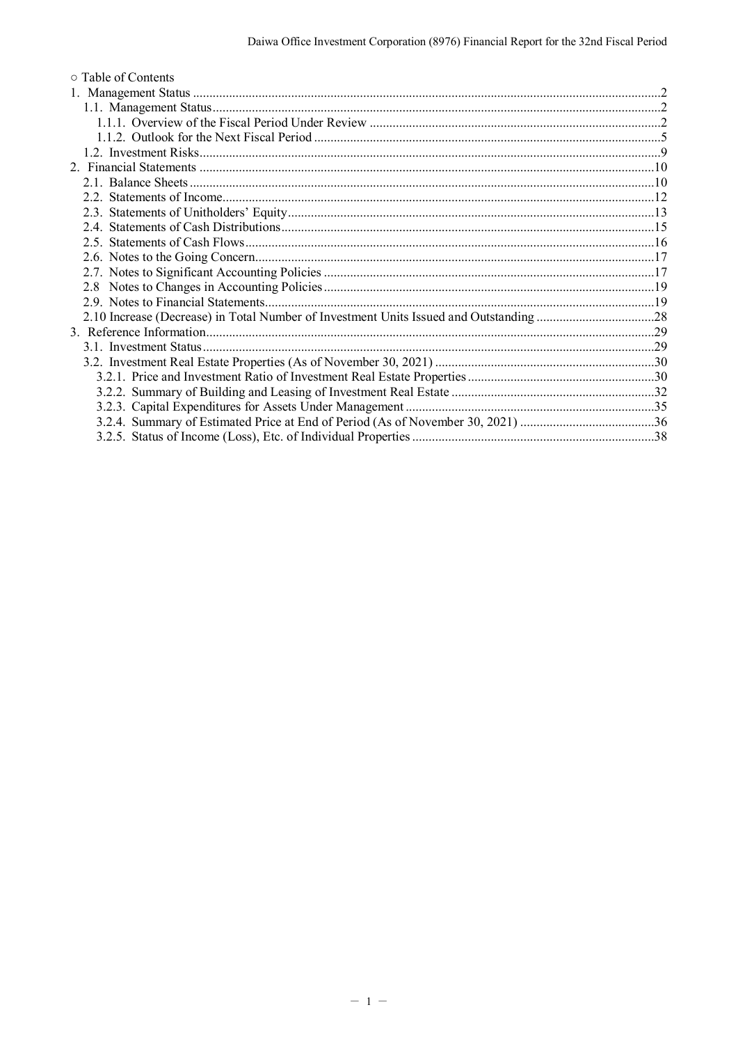| ○ Table of Contents |  |
|---------------------|--|
|                     |  |
|                     |  |
|                     |  |
|                     |  |
|                     |  |
|                     |  |
|                     |  |
|                     |  |
|                     |  |
|                     |  |
|                     |  |
|                     |  |
|                     |  |
|                     |  |
|                     |  |
|                     |  |
|                     |  |
|                     |  |
|                     |  |
|                     |  |
|                     |  |
|                     |  |
|                     |  |
|                     |  |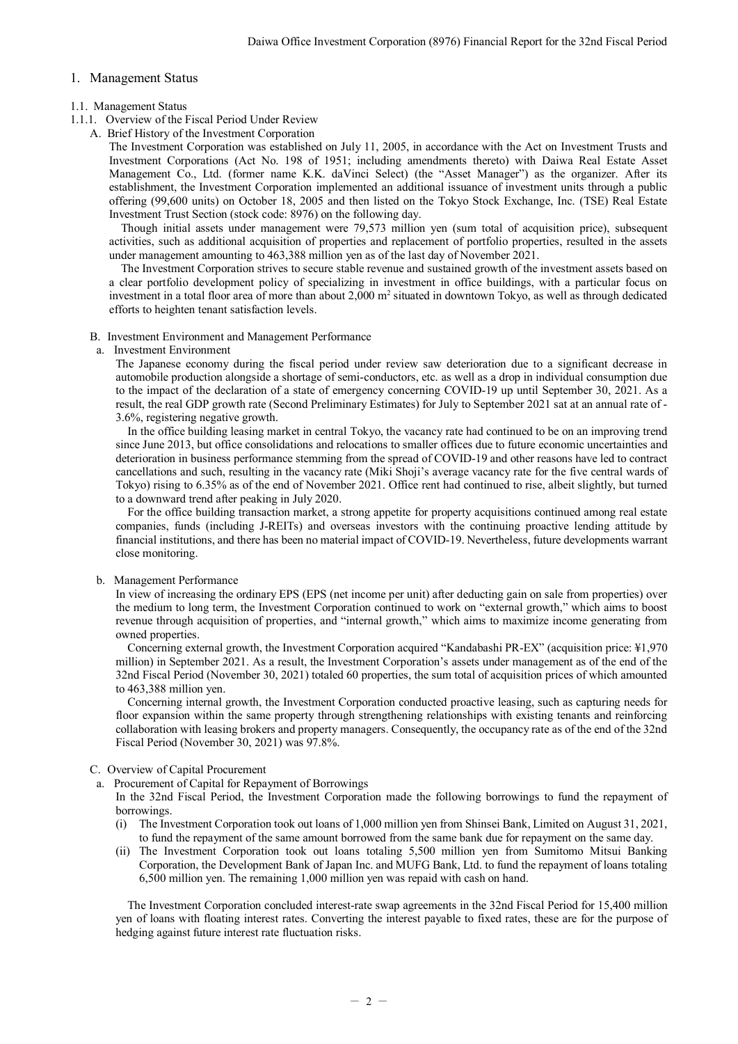### <span id="page-3-0"></span>1. Management Status

### <span id="page-3-1"></span>1.1. Management Status

- <span id="page-3-2"></span>1.1.1. Overview of the Fiscal Period Under Review
	- A. Brief History of the Investment Corporation

The Investment Corporation was established on July 11, 2005, in accordance with the Act on Investment Trusts and Investment Corporations (Act No. 198 of 1951; including amendments thereto) with Daiwa Real Estate Asset Management Co., Ltd. (former name K.K. daVinci Select) (the "Asset Manager") as the organizer. After its establishment, the Investment Corporation implemented an additional issuance of investment units through a public offering (99,600 units) on October 18, 2005 and then listed on the Tokyo Stock Exchange, Inc. (TSE) Real Estate Investment Trust Section (stock code: 8976) on the following day.

Though initial assets under management were 79,573 million yen (sum total of acquisition price), subsequent activities, such as additional acquisition of properties and replacement of portfolio properties, resulted in the assets under management amounting to 463,388 million yen as of the last day of November 2021.

The Investment Corporation strives to secure stable revenue and sustained growth of the investment assets based on a clear portfolio development policy of specializing in investment in office buildings, with a particular focus on investment in a total floor area of more than about  $2,000 \text{ m}^2$  situated in downtown Tokyo, as well as through dedicated efforts to heighten tenant satisfaction levels.

B. Investment Environment and Management Performance

### a. Investment Environment

The Japanese economy during the fiscal period under review saw deterioration due to a significant decrease in automobile production alongside a shortage of semi-conductors, etc. as well as a drop in individual consumption due to the impact of the declaration of a state of emergency concerning COVID-19 up until September 30, 2021. As a result, the real GDP growth rate (Second Preliminary Estimates) for July to September 2021 sat at an annual rate of - 3.6%, registering negative growth.

In the office building leasing market in central Tokyo, the vacancy rate had continued to be on an improving trend since June 2013, but office consolidations and relocations to smaller offices due to future economic uncertainties and deterioration in business performance stemming from the spread of COVID-19 and other reasons have led to contract cancellations and such, resulting in the vacancy rate (Miki Shoji's average vacancy rate for the five central wards of Tokyo) rising to 6.35% as of the end of November 2021. Office rent had continued to rise, albeit slightly, but turned to a downward trend after peaking in July 2020.

For the office building transaction market, a strong appetite for property acquisitions continued among real estate companies, funds (including J-REITs) and overseas investors with the continuing proactive lending attitude by financial institutions, and there has been no material impact of COVID-19. Nevertheless, future developments warrant close monitoring.

### b. Management Performance

In view of increasing the ordinary EPS (EPS (net income per unit) after deducting gain on sale from properties) over the medium to long term, the Investment Corporation continued to work on "external growth," which aims to boost revenue through acquisition of properties, and "internal growth," which aims to maximize income generating from owned properties.

Concerning external growth, the Investment Corporation acquired "Kandabashi PR-EX" (acquisition price: ¥1,970 million) in September 2021. As a result, the Investment Corporation's assets under management as of the end of the 32nd Fiscal Period (November 30, 2021) totaled 60 properties, the sum total of acquisition prices of which amounted to 463,388 million yen.

Concerning internal growth, the Investment Corporation conducted proactive leasing, such as capturing needs for floor expansion within the same property through strengthening relationships with existing tenants and reinforcing collaboration with leasing brokers and property managers. Consequently, the occupancy rate as of the end of the 32nd Fiscal Period (November 30, 2021) was 97.8%.

### C. Overview of Capital Procurement

a. Procurement of Capital for Repayment of Borrowings

- In the 32nd Fiscal Period, the Investment Corporation made the following borrowings to fund the repayment of borrowings.
- (i) The Investment Corporation took out loans of 1,000 million yen from Shinsei Bank, Limited on August 31, 2021, to fund the repayment of the same amount borrowed from the same bank due for repayment on the same day.
- (ii) The Investment Corporation took out loans totaling 5,500 million yen from Sumitomo Mitsui Banking Corporation, the Development Bank of Japan Inc. and MUFG Bank, Ltd. to fund the repayment of loans totaling 6,500 million yen. The remaining 1,000 million yen was repaid with cash on hand.

The Investment Corporation concluded interest-rate swap agreements in the 32nd Fiscal Period for 15,400 million yen of loans with floating interest rates. Converting the interest payable to fixed rates, these are for the purpose of hedging against future interest rate fluctuation risks.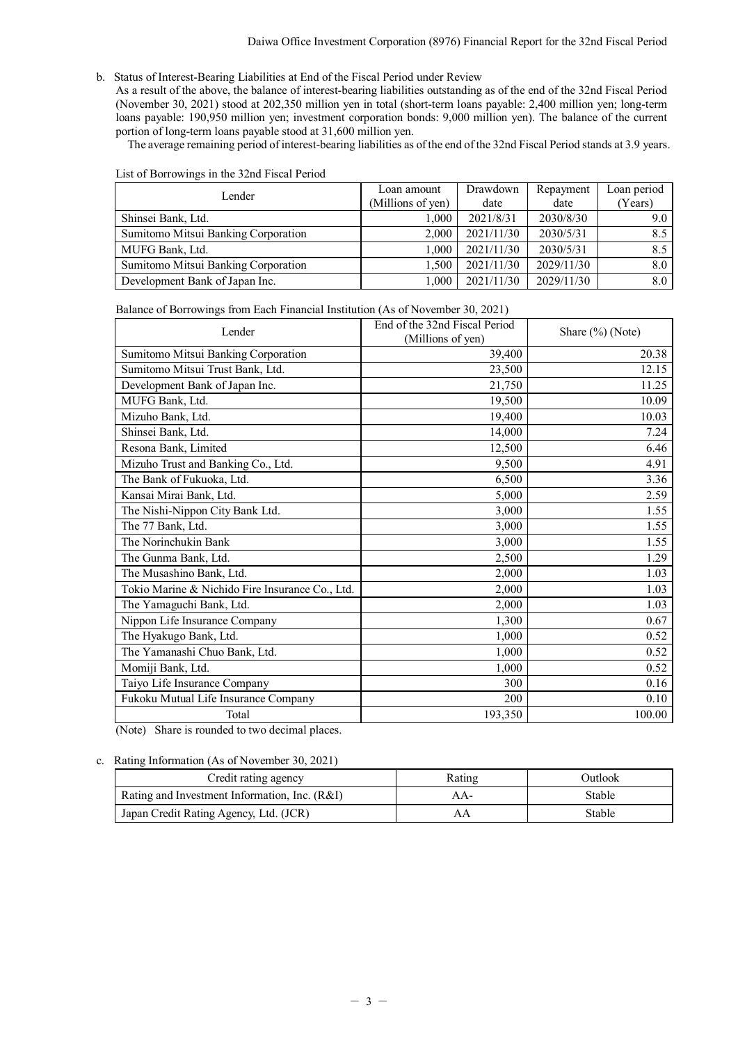b. Status of Interest-Bearing Liabilities at End of the Fiscal Period under Review

As a result of the above, the balance of interest-bearing liabilities outstanding as of the end of the 32nd Fiscal Period (November 30, 2021) stood at 202,350 million yen in total (short-term loans payable: 2,400 million yen; long-term loans payable: 190,950 million yen; investment corporation bonds: 9,000 million yen). The balance of the current portion of long-term loans payable stood at 31,600 million yen.

The average remaining period of interest-bearing liabilities as of the end of the 32nd Fiscal Period stands at 3.9 years.

| Lender                              | Loan amount       | Drawdown   | Repayment  | Loan period |
|-------------------------------------|-------------------|------------|------------|-------------|
|                                     | (Millions of yen) | date       | date       | (Years)     |
| Shinsei Bank, Ltd.                  | 1.000             | 2021/8/31  | 2030/8/30  | 9.0         |
| Sumitomo Mitsui Banking Corporation | 2.000             | 2021/11/30 | 2030/5/31  | 8.5         |
| MUFG Bank, Ltd.                     | 1.000             | 2021/11/30 | 2030/5/31  | 8.5         |
| Sumitomo Mitsui Banking Corporation | 1.500             | 2021/11/30 | 2029/11/30 | 8.0         |
| Development Bank of Japan Inc.      | 1.000             | 2021/11/30 | 2029/11/30 | 8.0         |

#### List of Borrowings in the 32nd Fiscal Period

| Balance of Borrowings from Each Financial Institution (As of November 30, 2021) |  |  |  |  |
|---------------------------------------------------------------------------------|--|--|--|--|
|                                                                                 |  |  |  |  |

| Lender                                          | End of the 32nd Fiscal Period<br>(Millions of yen) | Share $(\%)$ (Note) |  |  |
|-------------------------------------------------|----------------------------------------------------|---------------------|--|--|
| Sumitomo Mitsui Banking Corporation             | 39,400                                             | 20.38               |  |  |
| Sumitomo Mitsui Trust Bank, Ltd.                | 23,500                                             | 12.15               |  |  |
| Development Bank of Japan Inc.                  | 21,750                                             | 11.25               |  |  |
| MUFG Bank, Ltd.                                 | 19,500                                             | 10.09               |  |  |
| Mizuho Bank, Ltd.                               | 19,400                                             | 10.03               |  |  |
| Shinsei Bank, Ltd.                              | 14,000                                             | 7.24                |  |  |
| Resona Bank, Limited                            | 12,500                                             | 6.46                |  |  |
| Mizuho Trust and Banking Co., Ltd.              | 9,500                                              | 4.91                |  |  |
| The Bank of Fukuoka, Ltd.                       | 6,500                                              | 3.36                |  |  |
| Kansai Mirai Bank, Ltd.                         | 5,000                                              | 2.59                |  |  |
| The Nishi-Nippon City Bank Ltd.                 | 3,000                                              | 1.55                |  |  |
| The 77 Bank, Ltd.                               | 3,000                                              | 1.55                |  |  |
| The Norinchukin Bank                            | 3,000                                              | 1.55                |  |  |
| The Gunma Bank, Ltd.                            | 2,500                                              | 1.29                |  |  |
| The Musashino Bank, Ltd.                        | 2,000                                              | 1.03                |  |  |
| Tokio Marine & Nichido Fire Insurance Co., Ltd. | 2,000                                              | 1.03                |  |  |
| The Yamaguchi Bank, Ltd.                        | 2,000                                              | 1.03                |  |  |
| Nippon Life Insurance Company                   | 1,300                                              | 0.67                |  |  |
| The Hyakugo Bank, Ltd.                          | 1.000                                              | 0.52                |  |  |
| The Yamanashi Chuo Bank, Ltd.                   | 1,000                                              | 0.52                |  |  |
| Momiji Bank, Ltd.                               | 1,000                                              | 0.52                |  |  |
| Taiyo Life Insurance Company                    | 300                                                | 0.16                |  |  |
| Fukoku Mutual Life Insurance Company            | 200                                                | 0.10                |  |  |
| Total                                           | 193,350                                            | 100.00              |  |  |

(Note) Share is rounded to two decimal places.

### c. Rating Information (As of November 30, 2021)

| Credit rating agency                          | Rating | Outlook |
|-----------------------------------------------|--------|---------|
| Rating and Investment Information, Inc. (R&I) | A A -  | Stable  |
| Japan Credit Rating Agency, Ltd. (JCR)        | AΑ     | Stable  |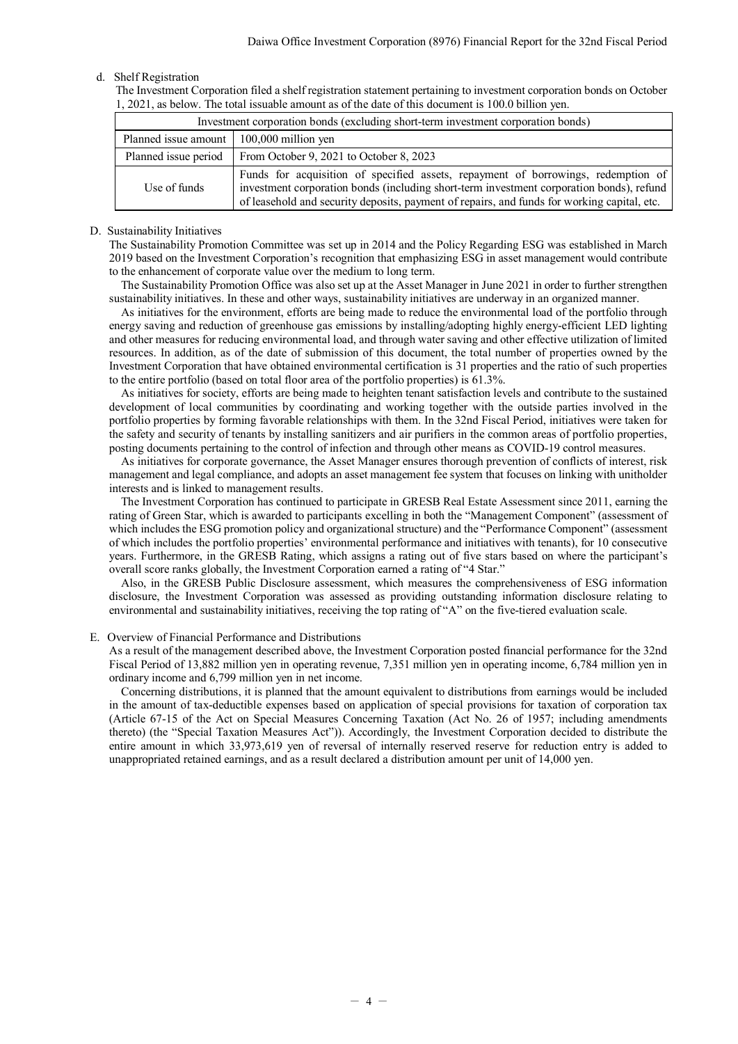### d. Shelf Registration

The Investment Corporation filed a shelf registration statement pertaining to investment corporation bonds on October 1, 2021, as below. The total issuable amount as of the date of this document is 100.0 billion yen.

| Investment corporation bonds (excluding short-term investment corporation bonds) |                                                                                                                                                                                                                                                                              |  |  |  |
|----------------------------------------------------------------------------------|------------------------------------------------------------------------------------------------------------------------------------------------------------------------------------------------------------------------------------------------------------------------------|--|--|--|
| Planned issue amount                                                             | $100,000$ million yen                                                                                                                                                                                                                                                        |  |  |  |
| Planned issue period                                                             | From October 9, 2021 to October 8, 2023                                                                                                                                                                                                                                      |  |  |  |
| Use of funds                                                                     | Funds for acquisition of specified assets, repayment of borrowings, redemption of<br>investment corporation bonds (including short-term investment corporation bonds), refund<br>of leasehold and security deposits, payment of repairs, and funds for working capital, etc. |  |  |  |

#### D. Sustainability Initiatives

The Sustainability Promotion Committee was set up in 2014 and the Policy Regarding ESG was established in March 2019 based on the Investment Corporation's recognition that emphasizing ESG in asset management would contribute to the enhancement of corporate value over the medium to long term.

The Sustainability Promotion Office was also set up at the Asset Manager in June 2021 in order to further strengthen sustainability initiatives. In these and other ways, sustainability initiatives are underway in an organized manner.

As initiatives for the environment, efforts are being made to reduce the environmental load of the portfolio through energy saving and reduction of greenhouse gas emissions by installing/adopting highly energy-efficient LED lighting and other measures for reducing environmental load, and through water saving and other effective utilization of limited resources. In addition, as of the date of submission of this document, the total number of properties owned by the Investment Corporation that have obtained environmental certification is 31 properties and the ratio of such properties to the entire portfolio (based on total floor area of the portfolio properties) is 61.3%.

As initiatives for society, efforts are being made to heighten tenant satisfaction levels and contribute to the sustained development of local communities by coordinating and working together with the outside parties involved in the portfolio properties by forming favorable relationships with them. In the 32nd Fiscal Period, initiatives were taken for the safety and security of tenants by installing sanitizers and air purifiers in the common areas of portfolio properties, posting documents pertaining to the control of infection and through other means as COVID-19 control measures.

As initiatives for corporate governance, the Asset Manager ensures thorough prevention of conflicts of interest, risk management and legal compliance, and adopts an asset management fee system that focuses on linking with unitholder interests and is linked to management results.

The Investment Corporation has continued to participate in GRESB Real Estate Assessment since 2011, earning the rating of Green Star, which is awarded to participants excelling in both the "Management Component" (assessment of which includes the ESG promotion policy and organizational structure) and the "Performance Component" (assessment of which includes the portfolio properties' environmental performance and initiatives with tenants), for 10 consecutive years. Furthermore, in the GRESB Rating, which assigns a rating out of five stars based on where the participant's overall score ranks globally, the Investment Corporation earned a rating of "4 Star."

Also, in the GRESB Public Disclosure assessment, which measures the comprehensiveness of ESG information disclosure, the Investment Corporation was assessed as providing outstanding information disclosure relating to environmental and sustainability initiatives, receiving the top rating of "A" on the five-tiered evaluation scale.

#### E. Overview of Financial Performance and Distributions

As a result of the management described above, the Investment Corporation posted financial performance for the 32nd Fiscal Period of 13,882 million yen in operating revenue, 7,351 million yen in operating income, 6,784 million yen in ordinary income and 6,799 million yen in net income.

Concerning distributions, it is planned that the amount equivalent to distributions from earnings would be included in the amount of tax-deductible expenses based on application of special provisions for taxation of corporation tax (Article 67-15 of the Act on Special Measures Concerning Taxation (Act No. 26 of 1957; including amendments thereto) (the "Special Taxation Measures Act")). Accordingly, the Investment Corporation decided to distribute the entire amount in which 33,973,619 yen of reversal of internally reserved reserve for reduction entry is added to unappropriated retained earnings, and as a result declared a distribution amount per unit of 14,000 yen.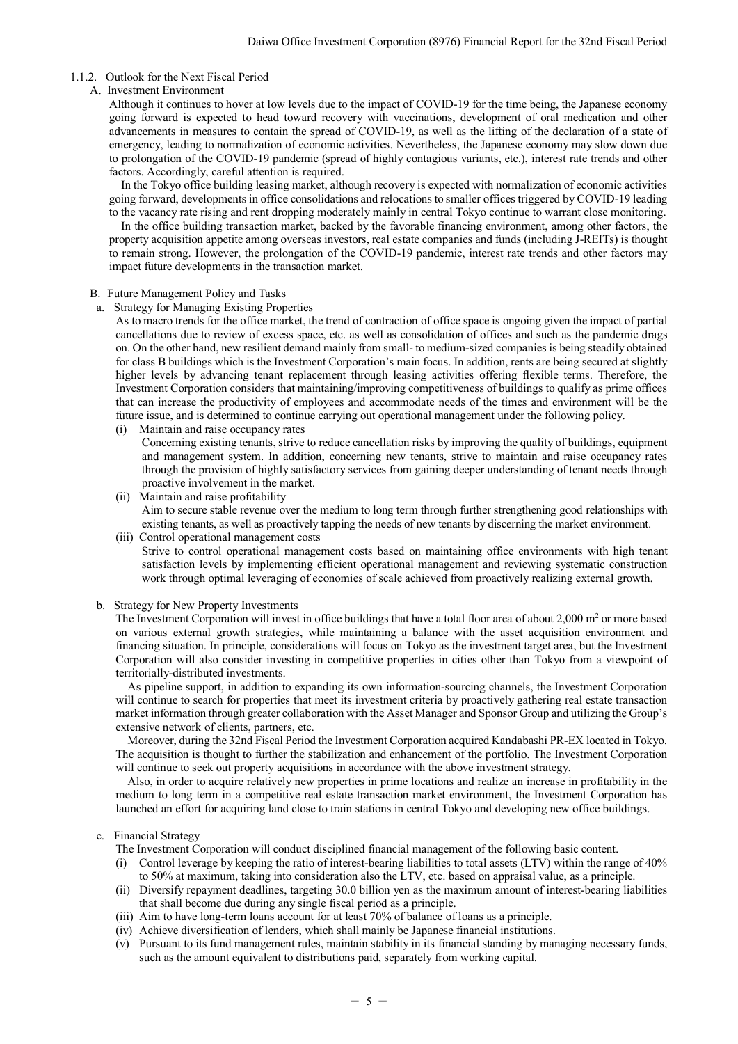### <span id="page-6-0"></span>1.1.2. Outlook for the Next Fiscal Period

### A. Investment Environment

Although it continues to hover at low levels due to the impact of COVID-19 for the time being, the Japanese economy going forward is expected to head toward recovery with vaccinations, development of oral medication and other advancements in measures to contain the spread of COVID-19, as well as the lifting of the declaration of a state of emergency, leading to normalization of economic activities. Nevertheless, the Japanese economy may slow down due to prolongation of the COVID-19 pandemic (spread of highly contagious variants, etc.), interest rate trends and other factors. Accordingly, careful attention is required.

In the Tokyo office building leasing market, although recovery is expected with normalization of economic activities going forward, developments in office consolidations and relocations to smaller offices triggered by COVID-19 leading to the vacancy rate rising and rent dropping moderately mainly in central Tokyo continue to warrant close monitoring.

In the office building transaction market, backed by the favorable financing environment, among other factors, the property acquisition appetite among overseas investors, real estate companies and funds (including J-REITs) is thought to remain strong. However, the prolongation of the COVID-19 pandemic, interest rate trends and other factors may impact future developments in the transaction market.

#### B. Future Management Policy and Tasks

a. Strategy for Managing Existing Properties

As to macro trends for the office market, the trend of contraction of office space is ongoing given the impact of partial cancellations due to review of excess space, etc. as well as consolidation of offices and such as the pandemic drags on. On the other hand, new resilient demand mainly from small- to medium-sized companies is being steadily obtained for class B buildings which is the Investment Corporation's main focus. In addition, rents are being secured at slightly higher levels by advancing tenant replacement through leasing activities offering flexible terms. Therefore, the Investment Corporation considers that maintaining/improving competitiveness of buildings to qualify as prime offices that can increase the productivity of employees and accommodate needs of the times and environment will be the future issue, and is determined to continue carrying out operational management under the following policy.

(i) Maintain and raise occupancy rates

Concerning existing tenants, strive to reduce cancellation risks by improving the quality of buildings, equipment and management system. In addition, concerning new tenants, strive to maintain and raise occupancy rates through the provision of highly satisfactory services from gaining deeper understanding of tenant needs through proactive involvement in the market.

- (ii) Maintain and raise profitability Aim to secure stable revenue over the medium to long term through further strengthening good relationships with existing tenants, as well as proactively tapping the needs of new tenants by discerning the market environment.
- (iii) Control operational management costs Strive to control operational management costs based on maintaining office environments with high tenant satisfaction levels by implementing efficient operational management and reviewing systematic construction work through optimal leveraging of economies of scale achieved from proactively realizing external growth.

b. Strategy for New Property Investments

The Investment Corporation will invest in office buildings that have a total floor area of about  $2,000$  m<sup>2</sup> or more based on various external growth strategies, while maintaining a balance with the asset acquisition environment and financing situation. In principle, considerations will focus on Tokyo as the investment target area, but the Investment Corporation will also consider investing in competitive properties in cities other than Tokyo from a viewpoint of territorially-distributed investments.

As pipeline support, in addition to expanding its own information-sourcing channels, the Investment Corporation will continue to search for properties that meet its investment criteria by proactively gathering real estate transaction market information through greater collaboration with the Asset Manager and Sponsor Group and utilizing the Group's extensive network of clients, partners, etc.

Moreover, during the 32nd Fiscal Period the Investment Corporation acquired Kandabashi PR-EX located in Tokyo. The acquisition is thought to further the stabilization and enhancement of the portfolio. The Investment Corporation will continue to seek out property acquisitions in accordance with the above investment strategy.

Also, in order to acquire relatively new properties in prime locations and realize an increase in profitability in the medium to long term in a competitive real estate transaction market environment, the Investment Corporation has launched an effort for acquiring land close to train stations in central Tokyo and developing new office buildings.

### c. Financial Strategy

- The Investment Corporation will conduct disciplined financial management of the following basic content.
- (i) Control leverage by keeping the ratio of interest-bearing liabilities to total assets (LTV) within the range of 40% to 50% at maximum, taking into consideration also the LTV, etc. based on appraisal value, as a principle.
- (ii) Diversify repayment deadlines, targeting 30.0 billion yen as the maximum amount of interest-bearing liabilities that shall become due during any single fiscal period as a principle.
- (iii) Aim to have long-term loans account for at least 70% of balance of loans as a principle.
- (iv) Achieve diversification of lenders, which shall mainly be Japanese financial institutions.
- (v) Pursuant to its fund management rules, maintain stability in its financial standing by managing necessary funds, such as the amount equivalent to distributions paid, separately from working capital.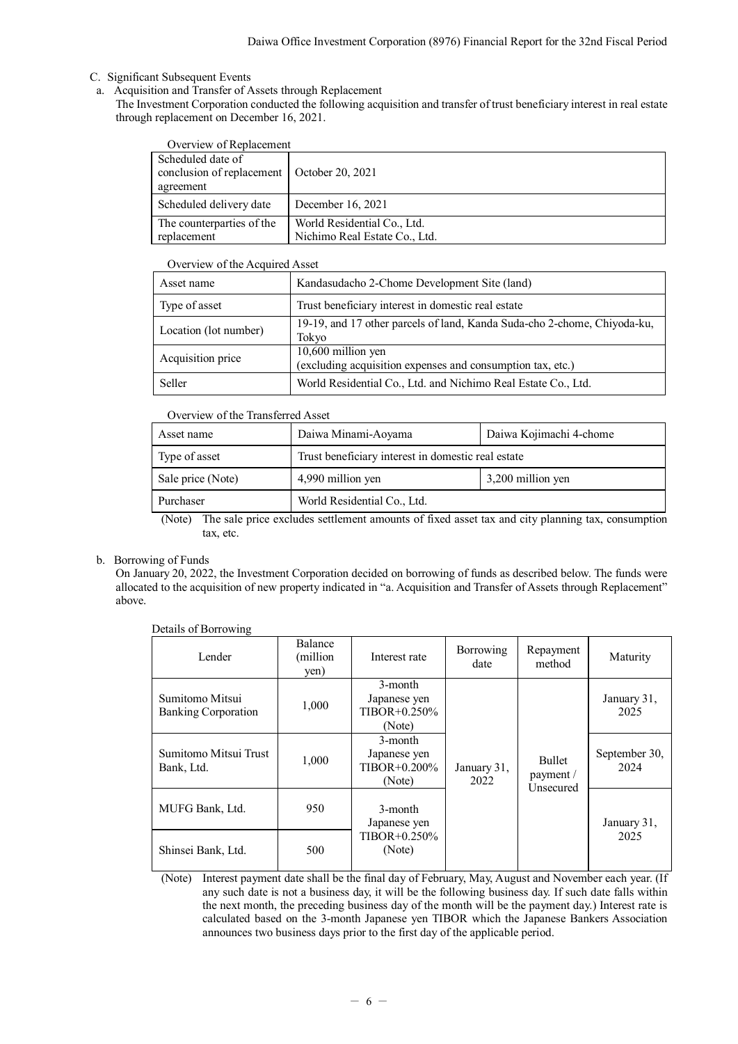- C. Significant Subsequent Events
	- a. Acquisition and Transfer of Assets through Replacement
	- The Investment Corporation conducted the following acquisition and transfer of trust beneficiary interest in real estate through replacement on December 16, 2021.

| Overview of Replacement                                                        |                                                              |
|--------------------------------------------------------------------------------|--------------------------------------------------------------|
| Scheduled date of<br>conclusion of replacement   October 20, 2021<br>agreement |                                                              |
| Scheduled delivery date                                                        | December 16, 2021                                            |
| The counterparties of the<br>replacement                                       | World Residential Co., Ltd.<br>Nichimo Real Estate Co., Ltd. |

### Overview of the Acquired Asset

| Asset name            | Kandasudacho 2-Chome Development Site (land)                                      |
|-----------------------|-----------------------------------------------------------------------------------|
| Type of asset         | Trust beneficiary interest in domestic real estate                                |
| Location (lot number) | 19-19, and 17 other parcels of land, Kanda Suda-cho 2-chome, Chiyoda-ku,<br>Tokyo |
| Acquisition price     | 10,600 million yen<br>(excluding acquisition expenses and consumption tax, etc.)  |
| Seller                | World Residential Co., Ltd. and Nichimo Real Estate Co., Ltd.                     |

## Overview of the Transferred Asset

| Asset name        | Daiwa Kojimachi 4-chome<br>Daiwa Minami-Aoyama     |                   |  |  |
|-------------------|----------------------------------------------------|-------------------|--|--|
| Type of asset     | Trust beneficiary interest in domestic real estate |                   |  |  |
| Sale price (Note) | 4,990 million yen                                  | 3,200 million yen |  |  |
| Purchaser         | World Residential Co., Ltd.                        |                   |  |  |

(Note) The sale price excludes settlement amounts of fixed asset tax and city planning tax, consumption tax, etc.

## b. Borrowing of Funds

On January 20, 2022, the Investment Corporation decided on borrowing of funds as described below. The funds were allocated to the acquisition of new property indicated in "a. Acquisition and Transfer of Assets through Replacement" above.

| Lender                                        | <b>Balance</b><br>(million)<br>yen) | Interest rate                                          | Borrowing<br>date   | Repayment<br>method                     | Maturity              |  |
|-----------------------------------------------|-------------------------------------|--------------------------------------------------------|---------------------|-----------------------------------------|-----------------------|--|
| Sumitomo Mitsui<br><b>Banking Corporation</b> | 1,000                               | 3-month<br>Japanese yen<br>$TIBOR + 0.250\%$<br>(Note) |                     |                                         | January 31,<br>2025   |  |
| Sumitomo Mitsui Trust<br>Bank, Ltd.           | 1,000                               | 3-month<br>Japanese yen<br>$TIBOR + 0.200\%$<br>(Note) | January 31,<br>2022 | <b>Bullet</b><br>payment /<br>Unsecured | September 30,<br>2024 |  |
| MUFG Bank, Ltd.                               | 950                                 | 3-month<br>Japanese yen                                |                     |                                         | January 31,           |  |
| Shinsei Bank, Ltd.                            | 500                                 | $TIBOR + 0.250\%$<br>(Note)                            |                     |                                         | 2025                  |  |

Details of Borrowing

(Note) Interest payment date shall be the final day of February, May, August and November each year. (If any such date is not a business day, it will be the following business day. If such date falls within the next month, the preceding business day of the month will be the payment day.) Interest rate is calculated based on the 3-month Japanese yen TIBOR which the Japanese Bankers Association announces two business days prior to the first day of the applicable period.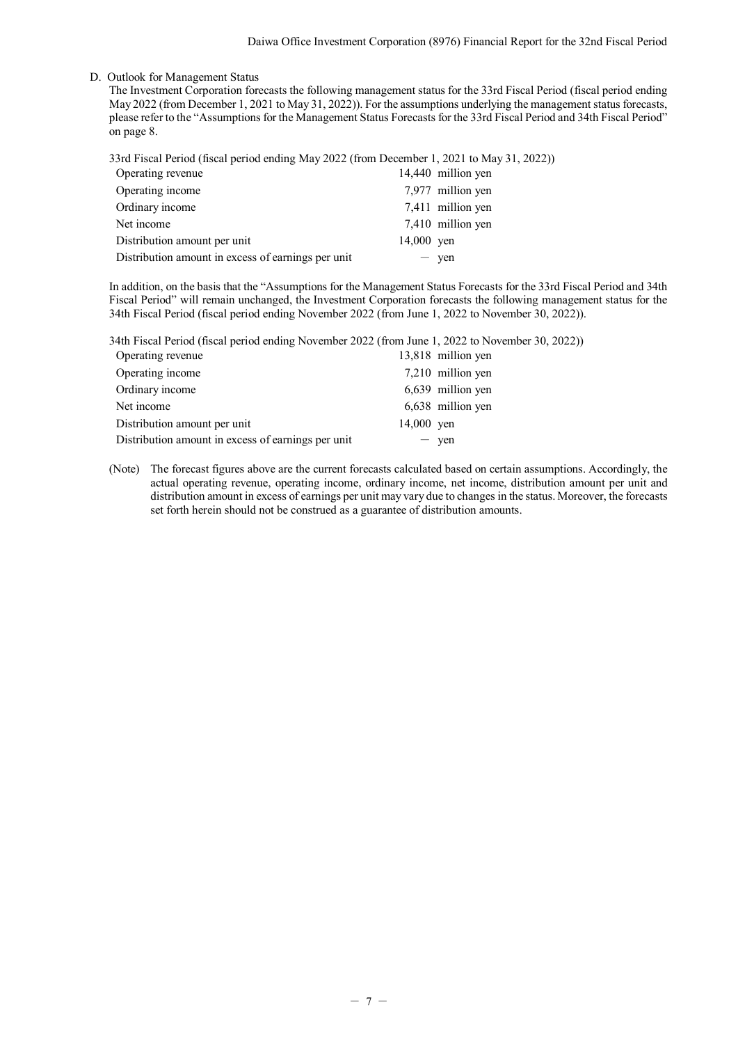### D. Outlook for Management Status

The Investment Corporation forecasts the following management status for the 33rd Fiscal Period (fiscal period ending May 2022 (from December 1, 2021 to May 31, 2022)). For the assumptions underlying the management status forecasts, please refer to the "Assumptions for the Management Status Forecasts for the 33rd Fiscal Period and 34th Fiscal Period" on page 8.

|  |  |  | 33rd Fiscal Period (fiscal period ending May 2022 (from December 1, 2021 to May 31, 2022)) |  |  |
|--|--|--|--------------------------------------------------------------------------------------------|--|--|
|--|--|--|--------------------------------------------------------------------------------------------|--|--|

| Operating revenue                                  |                         | 14,440 million yen |
|----------------------------------------------------|-------------------------|--------------------|
| Operating income                                   |                         | 7,977 million yen  |
| Ordinary income                                    |                         | 7,411 million yen  |
| Net income                                         |                         | 7,410 million yen  |
| Distribution amount per unit                       | 14,000 $\,\mathrm{ven}$ |                    |
| Distribution amount in excess of earnings per unit |                         | yen                |

In addition, on the basis that the "Assumptions for the Management Status Forecasts for the 33rd Fiscal Period and 34th Fiscal Period" will remain unchanged, the Investment Corporation forecasts the following management status for the 34th Fiscal Period (fiscal period ending November 2022 (from June 1, 2022 to November 30, 2022)).

34th Fiscal Period (fiscal period ending November 2022 (from June 1, 2022 to November 30, 2022))

| Operating revenue                                  |            | 13,818 million yen |
|----------------------------------------------------|------------|--------------------|
| Operating income                                   |            | 7,210 million yen  |
| Ordinary income                                    |            | 6,639 million yen  |
| Net income                                         |            | 6,638 million yen  |
| Distribution amount per unit                       | 14,000 yen |                    |
| Distribution amount in excess of earnings per unit |            | $-$ ven            |
|                                                    |            |                    |

(Note) The forecast figures above are the current forecasts calculated based on certain assumptions. Accordingly, the actual operating revenue, operating income, ordinary income, net income, distribution amount per unit and distribution amount in excess of earnings per unit may vary due to changes in the status. Moreover, the forecasts set forth herein should not be construed as a guarantee of distribution amounts.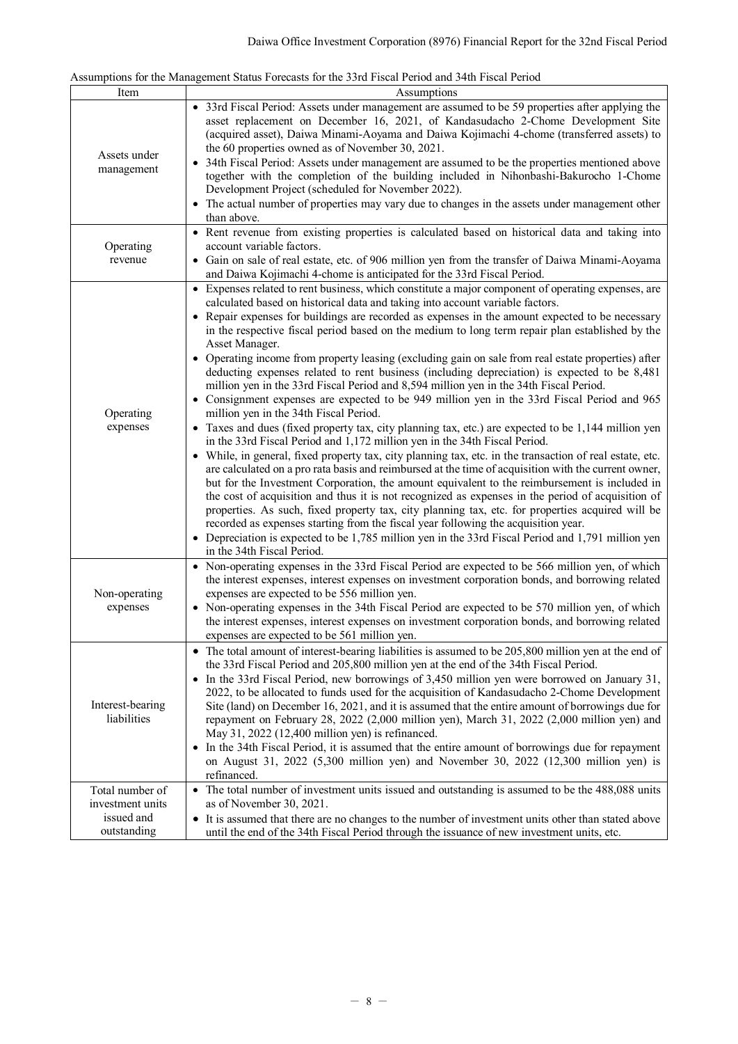|  | Assumptions for the Management Status Forecasts for the 33rd Fiscal Period and 34th Fiscal Period |  |  |  |  |  |
|--|---------------------------------------------------------------------------------------------------|--|--|--|--|--|
|  |                                                                                                   |  |  |  |  |  |

| Item                                               | Assumptions                                                                                                                                                                                                                                                                                                                                                                                                                                                                                                                                                                                                                                                                                                                                                                                                                                                                                                                                                                                                                                                                                                                                                                                                                                                                                                                                                                                                                                                                                                                                                                                                                                                                                                                                                                                        |
|----------------------------------------------------|----------------------------------------------------------------------------------------------------------------------------------------------------------------------------------------------------------------------------------------------------------------------------------------------------------------------------------------------------------------------------------------------------------------------------------------------------------------------------------------------------------------------------------------------------------------------------------------------------------------------------------------------------------------------------------------------------------------------------------------------------------------------------------------------------------------------------------------------------------------------------------------------------------------------------------------------------------------------------------------------------------------------------------------------------------------------------------------------------------------------------------------------------------------------------------------------------------------------------------------------------------------------------------------------------------------------------------------------------------------------------------------------------------------------------------------------------------------------------------------------------------------------------------------------------------------------------------------------------------------------------------------------------------------------------------------------------------------------------------------------------------------------------------------------------|
| Assets under<br>management                         | • 33rd Fiscal Period: Assets under management are assumed to be 59 properties after applying the<br>asset replacement on December 16, 2021, of Kandasudacho 2-Chome Development Site<br>(acquired asset), Daiwa Minami-Aoyama and Daiwa Kojimachi 4-chome (transferred assets) to<br>the 60 properties owned as of November 30, 2021.<br>• 34th Fiscal Period: Assets under management are assumed to be the properties mentioned above<br>together with the completion of the building included in Nihonbashi-Bakurocho 1-Chome<br>Development Project (scheduled for November 2022).                                                                                                                                                                                                                                                                                                                                                                                                                                                                                                                                                                                                                                                                                                                                                                                                                                                                                                                                                                                                                                                                                                                                                                                                             |
|                                                    | • The actual number of properties may vary due to changes in the assets under management other<br>than above.                                                                                                                                                                                                                                                                                                                                                                                                                                                                                                                                                                                                                                                                                                                                                                                                                                                                                                                                                                                                                                                                                                                                                                                                                                                                                                                                                                                                                                                                                                                                                                                                                                                                                      |
| Operating<br>revenue                               | • Rent revenue from existing properties is calculated based on historical data and taking into<br>account variable factors.<br>• Gain on sale of real estate, etc. of 906 million yen from the transfer of Daiwa Minami-Aoyama<br>and Daiwa Kojimachi 4-chome is anticipated for the 33rd Fiscal Period.                                                                                                                                                                                                                                                                                                                                                                                                                                                                                                                                                                                                                                                                                                                                                                                                                                                                                                                                                                                                                                                                                                                                                                                                                                                                                                                                                                                                                                                                                           |
| Operating<br>expenses                              | • Expenses related to rent business, which constitute a major component of operating expenses, are<br>calculated based on historical data and taking into account variable factors.<br>• Repair expenses for buildings are recorded as expenses in the amount expected to be necessary<br>in the respective fiscal period based on the medium to long term repair plan established by the<br>Asset Manager.<br>• Operating income from property leasing (excluding gain on sale from real estate properties) after<br>deducting expenses related to rent business (including depreciation) is expected to be 8,481<br>million yen in the 33rd Fiscal Period and 8,594 million yen in the 34th Fiscal Period.<br>• Consignment expenses are expected to be 949 million yen in the 33rd Fiscal Period and 965<br>million yen in the 34th Fiscal Period.<br>• Taxes and dues (fixed property tax, city planning tax, etc.) are expected to be 1,144 million yen<br>in the 33rd Fiscal Period and 1,172 million yen in the 34th Fiscal Period.<br>• While, in general, fixed property tax, city planning tax, etc. in the transaction of real estate, etc.<br>are calculated on a pro rata basis and reimbursed at the time of acquisition with the current owner,<br>but for the Investment Corporation, the amount equivalent to the reimbursement is included in<br>the cost of acquisition and thus it is not recognized as expenses in the period of acquisition of<br>properties. As such, fixed property tax, city planning tax, etc. for properties acquired will be<br>recorded as expenses starting from the fiscal year following the acquisition year.<br>• Depreciation is expected to be 1,785 million yen in the 33rd Fiscal Period and 1,791 million yen<br>in the 34th Fiscal Period. |
| Non-operating<br>expenses                          | • Non-operating expenses in the 33rd Fiscal Period are expected to be 566 million yen, of which<br>the interest expenses, interest expenses on investment corporation bonds, and borrowing related<br>expenses are expected to be 556 million yen.<br>• Non-operating expenses in the 34th Fiscal Period are expected to be 570 million yen, of which<br>the interest expenses, interest expenses on investment corporation bonds, and borrowing related<br>expenses are expected to be 561 million yen.                                                                                                                                                                                                                                                                                                                                                                                                                                                                                                                                                                                                                                                                                                                                                                                                                                                                                                                                                                                                                                                                                                                                                                                                                                                                                           |
| Interest-bearing<br>liabilities<br>Total number of | • The total amount of interest-bearing liabilities is assumed to be 205,800 million yen at the end of<br>the 33rd Fiscal Period and 205,800 million yen at the end of the 34th Fiscal Period.<br>• In the 33rd Fiscal Period, new borrowings of 3,450 million yen were borrowed on January 31,<br>2022, to be allocated to funds used for the acquisition of Kandasudacho 2-Chome Development<br>Site (land) on December 16, 2021, and it is assumed that the entire amount of borrowings due for<br>repayment on February 28, 2022 (2,000 million yen), March 31, 2022 (2,000 million yen) and<br>May 31, 2022 (12,400 million yen) is refinanced.<br>• In the 34th Fiscal Period, it is assumed that the entire amount of borrowings due for repayment<br>on August 31, 2022 $(5,300 \text{ million yen})$ and November 30, 2022 $(12,300 \text{ million yen})$ is<br>refinanced.<br>• The total number of investment units issued and outstanding is assumed to be the 488,088 units                                                                                                                                                                                                                                                                                                                                                                                                                                                                                                                                                                                                                                                                                                                                                                                                            |
| investment units<br>issued and<br>outstanding      | as of November 30, 2021.<br>• It is assumed that there are no changes to the number of investment units other than stated above<br>until the end of the 34th Fiscal Period through the issuance of new investment units, etc.                                                                                                                                                                                                                                                                                                                                                                                                                                                                                                                                                                                                                                                                                                                                                                                                                                                                                                                                                                                                                                                                                                                                                                                                                                                                                                                                                                                                                                                                                                                                                                      |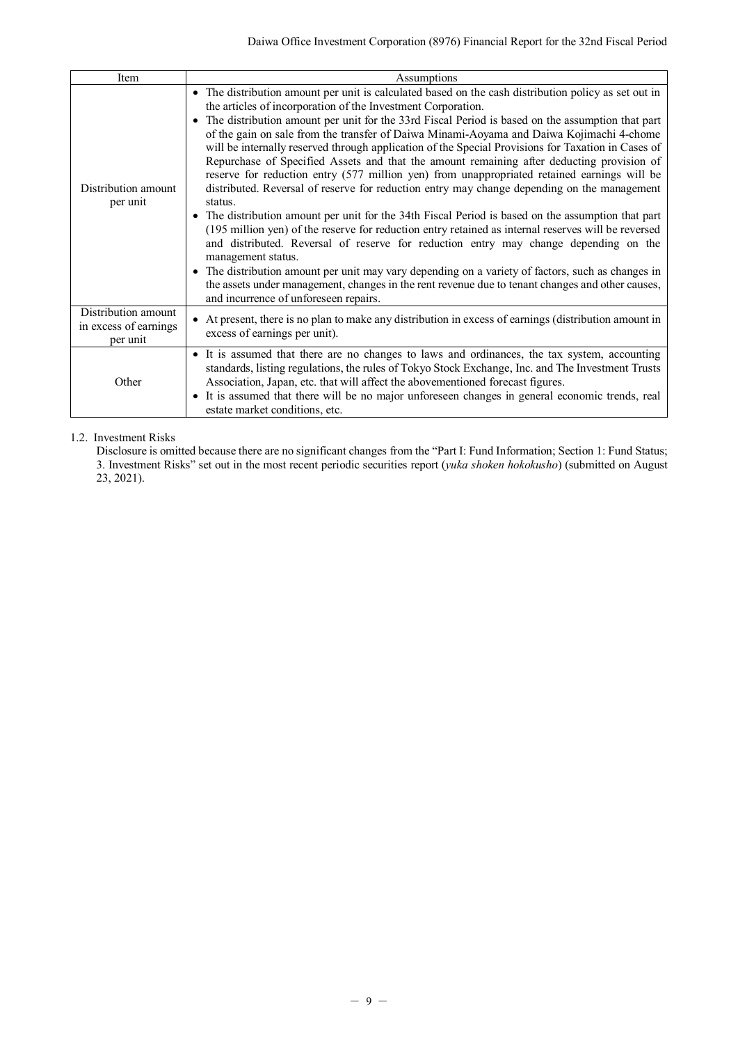Daiwa Office Investment Corporation (8976) Financial Report for the 32nd Fiscal Period

| Item                                                     | Assumptions                                                                                                                                                                                                                                                                                                                                                                                                                                                                                                                                                                                                                                                                                                                                                                                                                                                                                                                                                                                                                                                                                                                                                                                                                                                                                                                                                     |
|----------------------------------------------------------|-----------------------------------------------------------------------------------------------------------------------------------------------------------------------------------------------------------------------------------------------------------------------------------------------------------------------------------------------------------------------------------------------------------------------------------------------------------------------------------------------------------------------------------------------------------------------------------------------------------------------------------------------------------------------------------------------------------------------------------------------------------------------------------------------------------------------------------------------------------------------------------------------------------------------------------------------------------------------------------------------------------------------------------------------------------------------------------------------------------------------------------------------------------------------------------------------------------------------------------------------------------------------------------------------------------------------------------------------------------------|
| Distribution amount<br>per unit                          | • The distribution amount per unit is calculated based on the cash distribution policy as set out in<br>the articles of incorporation of the Investment Corporation.<br>• The distribution amount per unit for the 33rd Fiscal Period is based on the assumption that part<br>of the gain on sale from the transfer of Daiwa Minami-Aoyama and Daiwa Kojimachi 4-chome<br>will be internally reserved through application of the Special Provisions for Taxation in Cases of<br>Repurchase of Specified Assets and that the amount remaining after deducting provision of<br>reserve for reduction entry (577 million yen) from unappropriated retained earnings will be<br>distributed. Reversal of reserve for reduction entry may change depending on the management<br>status.<br>• The distribution amount per unit for the 34th Fiscal Period is based on the assumption that part<br>(195 million yen) of the reserve for reduction entry retained as internal reserves will be reversed<br>and distributed. Reversal of reserve for reduction entry may change depending on the<br>management status.<br>• The distribution amount per unit may vary depending on a variety of factors, such as changes in<br>the assets under management, changes in the rent revenue due to tenant changes and other causes,<br>and incurrence of unforeseen repairs. |
| Distribution amount<br>in excess of earnings<br>per unit | • At present, there is no plan to make any distribution in excess of earnings (distribution amount in<br>excess of earnings per unit).                                                                                                                                                                                                                                                                                                                                                                                                                                                                                                                                                                                                                                                                                                                                                                                                                                                                                                                                                                                                                                                                                                                                                                                                                          |
| Other                                                    | • It is assumed that there are no changes to laws and ordinances, the tax system, accounting<br>standards, listing regulations, the rules of Tokyo Stock Exchange, Inc. and The Investment Trusts<br>Association, Japan, etc. that will affect the abovementioned forecast figures.<br>It is assumed that there will be no major unforeseen changes in general economic trends, real<br>$\bullet$<br>estate market conditions, etc.                                                                                                                                                                                                                                                                                                                                                                                                                                                                                                                                                                                                                                                                                                                                                                                                                                                                                                                             |

## <span id="page-10-0"></span>1.2. Investment Risks

Disclosure is omitted because there are no significant changes from the "Part I: Fund Information; Section 1: Fund Status; 3. Investment Risks" set out in the most recent periodic securities report (*yuka shoken hokokusho*) (submitted on August 23, 2021).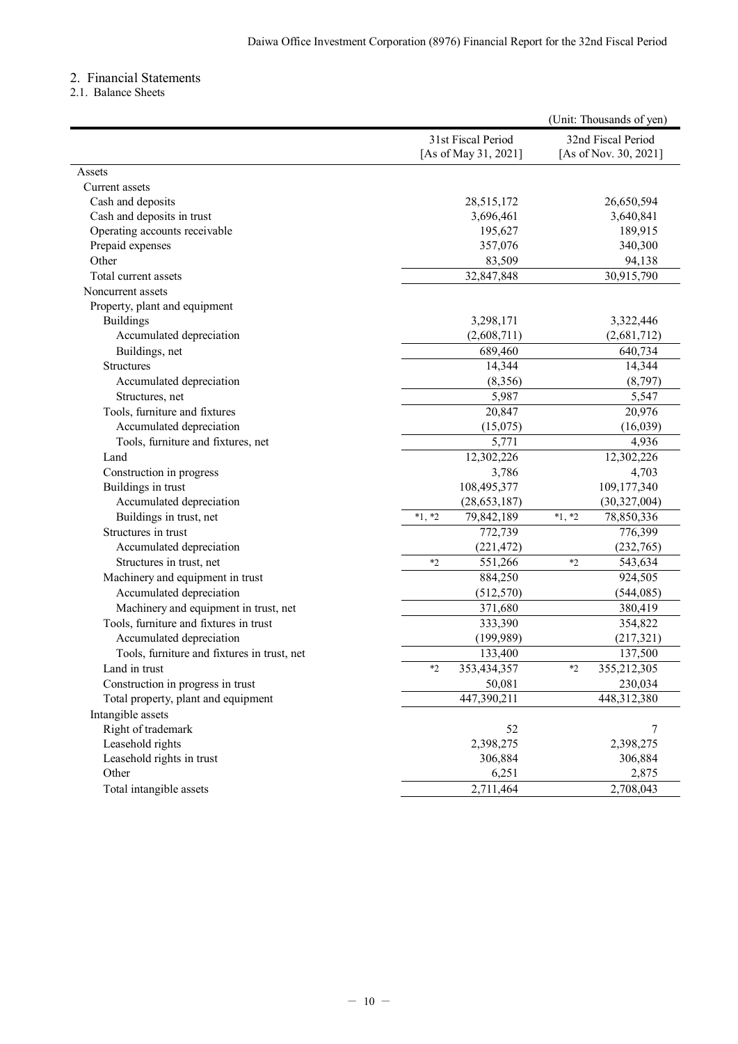# <span id="page-11-0"></span>2. Financial Statements

<span id="page-11-1"></span>2.1. Balance Sheets

|                                             |          |                      |          | (Unit: Thousands of yen) |
|---------------------------------------------|----------|----------------------|----------|--------------------------|
|                                             |          | 31st Fiscal Period   |          | 32nd Fiscal Period       |
|                                             |          | [As of May 31, 2021] |          | [As of Nov. 30, 2021]    |
| Assets                                      |          |                      |          |                          |
| Current assets                              |          |                      |          |                          |
| Cash and deposits                           |          | 28,515,172           |          | 26,650,594               |
| Cash and deposits in trust                  |          | 3,696,461            |          | 3,640,841                |
| Operating accounts receivable               |          | 195,627              |          | 189,915                  |
| Prepaid expenses                            |          | 357,076              |          | 340,300                  |
| Other                                       |          | 83,509               |          | 94,138                   |
| Total current assets                        |          | 32,847,848           |          | 30,915,790               |
| Noncurrent assets                           |          |                      |          |                          |
| Property, plant and equipment               |          |                      |          |                          |
| <b>Buildings</b>                            |          | 3,298,171            |          | 3,322,446                |
| Accumulated depreciation                    |          | (2,608,711)          |          | (2,681,712)              |
| Buildings, net                              |          | 689,460              |          | 640,734                  |
| <b>Structures</b>                           |          | 14,344               |          | 14,344                   |
| Accumulated depreciation                    |          | (8,356)              |          | (8,797)                  |
| Structures, net                             |          | 5,987                |          | 5,547                    |
| Tools, furniture and fixtures               |          | 20,847               |          | 20,976                   |
| Accumulated depreciation                    |          | (15,075)             |          | (16,039)                 |
| Tools, furniture and fixtures, net          |          | 5,771                |          | 4,936                    |
| Land                                        |          | 12,302,226           |          | 12,302,226               |
| Construction in progress                    |          | 3,786                |          | 4,703                    |
| Buildings in trust                          |          | 108,495,377          |          | 109,177,340              |
| Accumulated depreciation                    |          | (28, 653, 187)       |          | (30,327,004)             |
| Buildings in trust, net                     | $*1, *2$ | 79,842,189           | $*1, *2$ | 78,850,336               |
| Structures in trust                         |          | 772,739              |          | 776,399                  |
| Accumulated depreciation                    |          | (221, 472)           |          | (232,765)                |
| Structures in trust, net                    | $*2$     | 551,266              | $*2$     | 543,634                  |
| Machinery and equipment in trust            |          | 884,250              |          | 924,505                  |
| Accumulated depreciation                    |          | (512, 570)           |          | (544, 085)               |
| Machinery and equipment in trust, net       |          | 371,680              |          | 380,419                  |
| Tools, furniture and fixtures in trust      |          | 333,390              |          | 354,822                  |
| Accumulated depreciation                    |          | (199, 989)           |          | (217, 321)               |
| Tools, furniture and fixtures in trust, net |          | 133,400              |          | 137,500                  |
| Land in trust                               | $*$      | 353,434,357          | $*2$     | 355,212,305              |
| Construction in progress in trust           |          | 50,081               |          | 230,034                  |
| Total property, plant and equipment         |          | 447,390,211          |          | 448,312,380              |
| Intangible assets                           |          |                      |          |                          |
| Right of trademark                          |          | 52                   |          | 7                        |
| Leasehold rights                            |          | 2,398,275            |          | 2,398,275                |
| Leasehold rights in trust                   |          | 306,884              |          | 306,884                  |
| Other                                       |          | 6,251                |          | 2,875                    |
| Total intangible assets                     |          | 2,711,464            |          | 2,708,043                |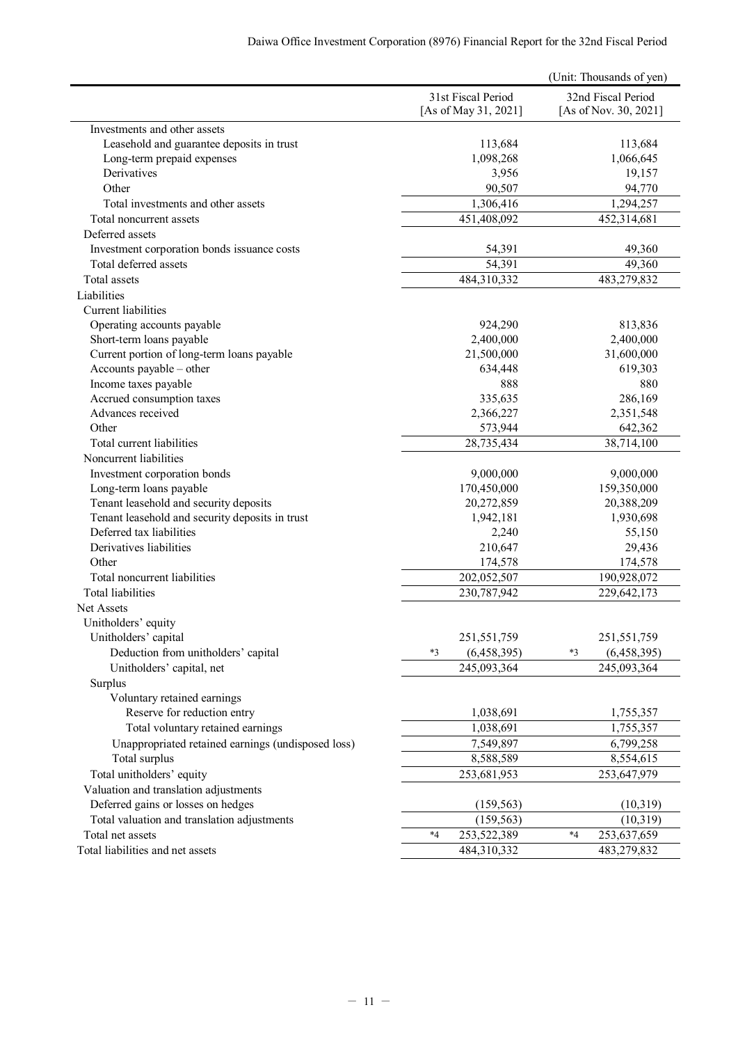|                                                    |                                            | (Unit: Thousands of yen)                    |
|----------------------------------------------------|--------------------------------------------|---------------------------------------------|
|                                                    | 31st Fiscal Period<br>[As of May 31, 2021] | 32nd Fiscal Period<br>[As of Nov. 30, 2021] |
| Investments and other assets                       |                                            |                                             |
| Leasehold and guarantee deposits in trust          | 113,684                                    | 113,684                                     |
| Long-term prepaid expenses                         | 1,098,268                                  | 1,066,645                                   |
| Derivatives                                        | 3,956                                      | 19,157                                      |
| Other                                              | 90,507                                     | 94,770                                      |
| Total investments and other assets                 | 1,306,416                                  | 1,294,257                                   |
| Total noncurrent assets                            | 451,408,092                                | 452,314,681                                 |
| Deferred assets                                    |                                            |                                             |
| Investment corporation bonds issuance costs        | 54,391                                     | 49,360                                      |
| Total deferred assets                              | 54,391                                     | 49,360                                      |
| Total assets                                       | 484,310,332                                | 483,279,832                                 |
| Liabilities                                        |                                            |                                             |
| Current liabilities                                |                                            |                                             |
| Operating accounts payable                         | 924,290                                    | 813,836                                     |
| Short-term loans payable                           | 2,400,000                                  | 2,400,000                                   |
| Current portion of long-term loans payable         | 21,500,000                                 | 31,600,000                                  |
| Accounts payable - other                           | 634,448                                    | 619,303                                     |
| Income taxes payable<br>Accrued consumption taxes  | 888<br>335,635                             | 880                                         |
| Advances received                                  | 2,366,227                                  | 286,169<br>2,351,548                        |
| Other                                              | 573,944                                    | 642,362                                     |
| Total current liabilities                          | 28,735,434                                 | 38,714,100                                  |
| Noncurrent liabilities                             |                                            |                                             |
| Investment corporation bonds                       | 9,000,000                                  | 9,000,000                                   |
| Long-term loans payable                            | 170,450,000                                | 159,350,000                                 |
| Tenant leasehold and security deposits             | 20,272,859                                 | 20,388,209                                  |
| Tenant leasehold and security deposits in trust    | 1,942,181                                  | 1,930,698                                   |
| Deferred tax liabilities                           | 2,240                                      | 55,150                                      |
| Derivatives liabilities                            | 210,647                                    | 29,436                                      |
| Other                                              | 174,578                                    | 174,578                                     |
| Total noncurrent liabilities                       | 202,052,507                                | 190,928,072                                 |
| <b>Total liabilities</b>                           | 230,787,942                                | 229,642,173                                 |
| Net Assets                                         |                                            |                                             |
| Unitholders' equity                                |                                            |                                             |
| Unitholders' capital                               | 251,551,759                                | 251,551,759                                 |
| Deduction from unitholders' capital                | (6,458,395)<br>$*3$                        | $*3$<br>(6,458,395)                         |
| Unitholders' capital, net                          | 245,093,364                                | 245,093,364                                 |
| Surplus                                            |                                            |                                             |
| Voluntary retained earnings                        |                                            |                                             |
| Reserve for reduction entry                        | 1,038,691                                  | 1,755,357                                   |
| Total voluntary retained earnings                  | 1,038,691                                  | 1,755,357                                   |
| Unappropriated retained earnings (undisposed loss) | 7,549,897                                  | 6,799,258                                   |
| Total surplus                                      | 8,588,589                                  | 8,554,615                                   |
| Total unitholders' equity                          | 253,681,953                                | 253,647,979                                 |
| Valuation and translation adjustments              |                                            |                                             |
| Deferred gains or losses on hedges                 | (159, 563)                                 | (10,319)                                    |
| Total valuation and translation adjustments        | (159, 563)                                 | (10, 319)                                   |
| Total net assets                                   | 253,522,389<br>$*_{4}$                     | $*_{4}$<br>253,637,659                      |
| Total liabilities and net assets                   | 484,310,332                                | 483,279,832                                 |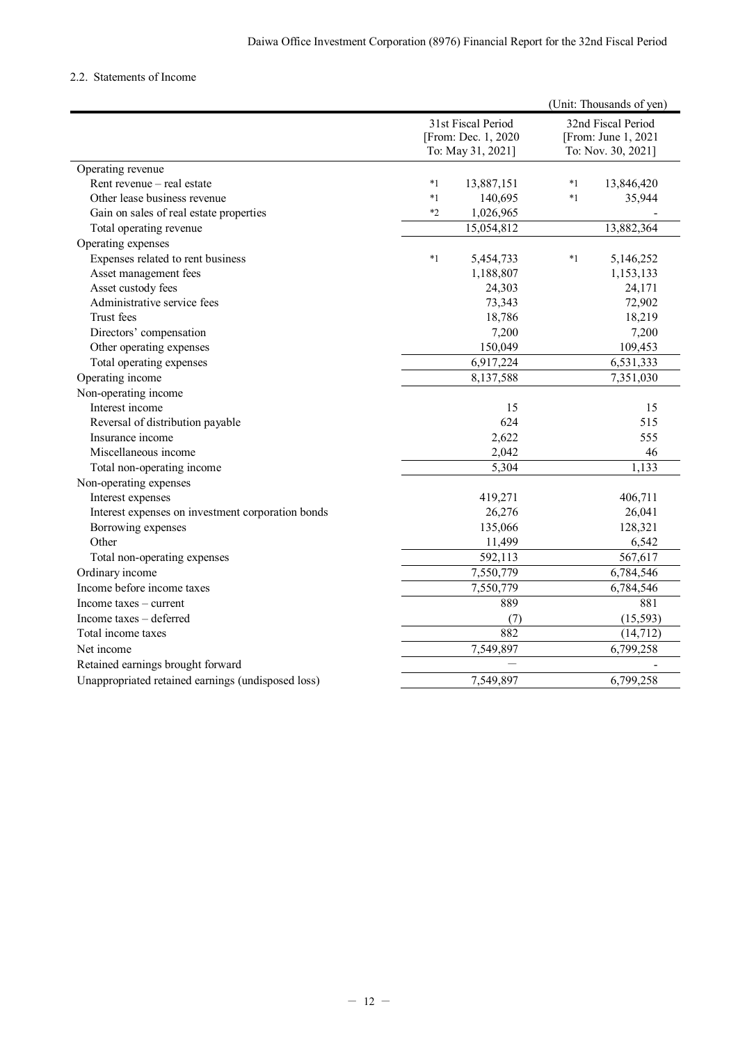## <span id="page-13-0"></span>2.2. Statements of Income

|                                                    |         |                                                                |         | (Unit: Thousands of yen)                                         |
|----------------------------------------------------|---------|----------------------------------------------------------------|---------|------------------------------------------------------------------|
|                                                    |         | 31st Fiscal Period<br>[From: Dec. 1, 2020<br>To: May 31, 2021] |         | 32nd Fiscal Period<br>[From: June 1, 2021]<br>To: Nov. 30, 2021] |
| Operating revenue                                  |         |                                                                |         |                                                                  |
| Rent revenue - real estate                         | $*_{1}$ | 13,887,151                                                     | $*_{1}$ | 13,846,420                                                       |
| Other lease business revenue                       | $*_{1}$ | 140,695                                                        | $*1$    | 35,944                                                           |
| Gain on sales of real estate properties            | $*2$    | 1,026,965                                                      |         |                                                                  |
| Total operating revenue                            |         | 15,054,812                                                     |         | 13,882,364                                                       |
| Operating expenses                                 |         |                                                                |         |                                                                  |
| Expenses related to rent business                  | $^*1$   | 5,454,733                                                      | $^*1$   | 5,146,252                                                        |
| Asset management fees                              |         | 1,188,807                                                      |         | 1,153,133                                                        |
| Asset custody fees                                 |         | 24,303                                                         |         | 24,171                                                           |
| Administrative service fees                        |         | 73,343                                                         |         | 72,902                                                           |
| Trust fees                                         |         | 18,786                                                         |         | 18,219                                                           |
| Directors' compensation                            |         | 7,200                                                          |         | 7,200                                                            |
| Other operating expenses                           |         | 150,049                                                        |         | 109,453                                                          |
| Total operating expenses                           |         | 6,917,224                                                      |         | 6,531,333                                                        |
| Operating income                                   |         | 8,137,588                                                      |         | 7,351,030                                                        |
| Non-operating income                               |         |                                                                |         |                                                                  |
| Interest income                                    |         | 15                                                             |         | 15                                                               |
| Reversal of distribution payable                   |         | 624                                                            |         | 515                                                              |
| Insurance income                                   |         | 2,622                                                          |         | 555                                                              |
| Miscellaneous income                               |         | 2,042                                                          |         | 46                                                               |
| Total non-operating income                         |         | 5,304                                                          |         | 1,133                                                            |
| Non-operating expenses                             |         |                                                                |         |                                                                  |
| Interest expenses                                  |         | 419,271                                                        |         | 406,711                                                          |
| Interest expenses on investment corporation bonds  |         | 26,276                                                         |         | 26,041                                                           |
| Borrowing expenses                                 |         | 135,066                                                        |         | 128,321                                                          |
| Other                                              |         | 11,499                                                         |         | 6,542                                                            |
| Total non-operating expenses                       |         | 592,113                                                        |         | 567,617                                                          |
| Ordinary income                                    |         | 7,550,779                                                      |         | 6,784,546                                                        |
| Income before income taxes                         |         | 7,550,779                                                      |         | 6,784,546                                                        |
| Income taxes $-$ current                           |         | 889                                                            |         | 881                                                              |
| Income taxes - deferred                            |         | (7)                                                            |         | (15, 593)                                                        |
| Total income taxes                                 |         | 882                                                            |         | (14, 712)                                                        |
| Net income                                         |         | 7,549,897                                                      |         | 6,799,258                                                        |
| Retained earnings brought forward                  |         | $\overline{\phantom{0}}$                                       |         |                                                                  |
| Unappropriated retained earnings (undisposed loss) |         | 7,549,897                                                      |         | 6,799,258                                                        |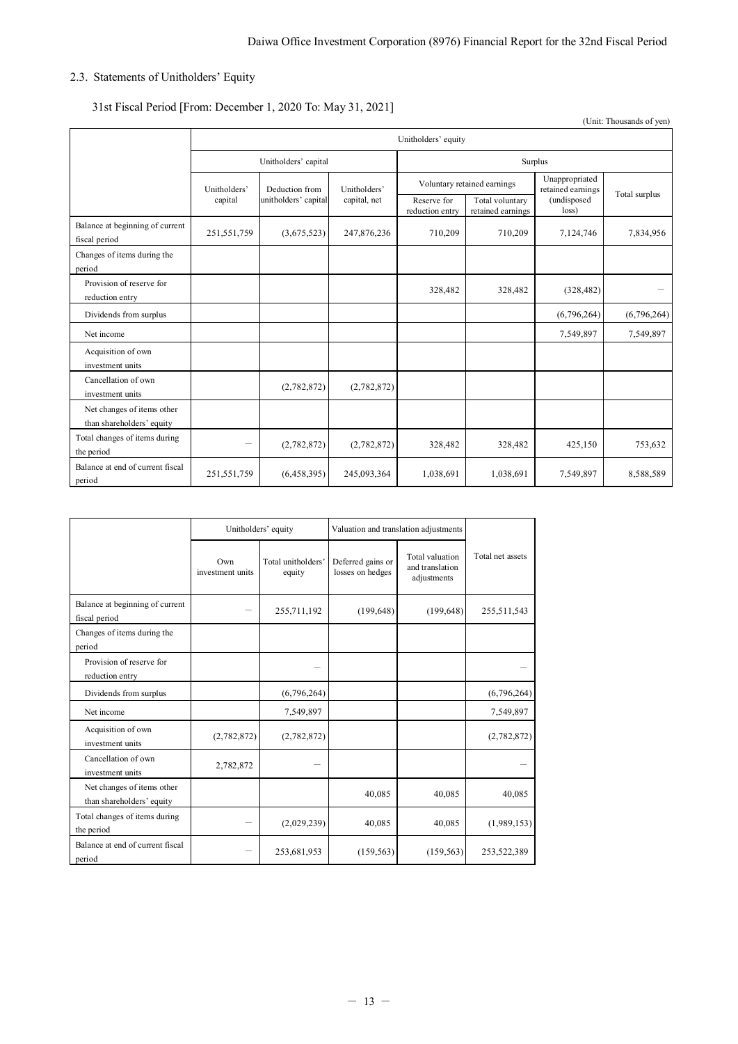# <span id="page-14-0"></span>2.3. Statements of Unitholders' Equity

# 31st Fiscal Period [From: December 1, 2020 To: May 31, 2021]

(Unit: Thousands of yen)

|                                                         | Unitholders' equity |                      |              |                                |                                      |                                     |               |
|---------------------------------------------------------|---------------------|----------------------|--------------|--------------------------------|--------------------------------------|-------------------------------------|---------------|
|                                                         |                     | Unitholders' capital |              |                                |                                      | Surplus                             |               |
|                                                         | Unitholders'        | Deduction from       | Unitholders' |                                | Voluntary retained earnings          | Unappropriated<br>retained earnings |               |
|                                                         | capital             | unitholders' capital | capital, net | Reserve for<br>reduction entry | Total voluntary<br>retained earnings | (undisposed<br>loss)                | Total surplus |
| Balance at beginning of current<br>fiscal period        | 251,551,759         | (3,675,523)          | 247,876,236  | 710,209                        | 710,209                              | 7,124,746                           | 7,834,956     |
| Changes of items during the<br>period                   |                     |                      |              |                                |                                      |                                     |               |
| Provision of reserve for<br>reduction entry             |                     |                      |              | 328,482                        | 328,482                              | (328, 482)                          |               |
| Dividends from surplus                                  |                     |                      |              |                                |                                      | (6,796,264)                         | (6,796,264)   |
| Net income                                              |                     |                      |              |                                |                                      | 7,549,897                           | 7,549,897     |
| Acquisition of own<br>investment units                  |                     |                      |              |                                |                                      |                                     |               |
| Cancellation of own<br>investment units                 |                     | (2,782,872)          | (2,782,872)  |                                |                                      |                                     |               |
| Net changes of items other<br>than shareholders' equity |                     |                      |              |                                |                                      |                                     |               |
| Total changes of items during<br>the period             | -                   | (2,782,872)          | (2,782,872)  | 328,482                        | 328,482                              | 425,150                             | 753,632       |
| Balance at end of current fiscal<br>period              | 251,551,759         | (6,458,395)          | 245,093,364  | 1,038,691                      | 1,038,691                            | 7,549,897                           | 8,588,589     |

|                                                         |                         | Unitholders' equity          | Valuation and translation adjustments |                                                   |                  |
|---------------------------------------------------------|-------------------------|------------------------------|---------------------------------------|---------------------------------------------------|------------------|
|                                                         | Own<br>investment units | Total unitholders'<br>equity | Deferred gains or<br>losses on hedges | Total valuation<br>and translation<br>adjustments | Total net assets |
| Balance at beginning of current<br>fiscal period        |                         | 255,711,192                  | (199, 648)                            | (199, 648)                                        | 255,511,543      |
| Changes of items during the<br>period                   |                         |                              |                                       |                                                   |                  |
| Provision of reserve for<br>reduction entry             |                         |                              |                                       |                                                   |                  |
| Dividends from surplus                                  |                         | (6,796,264)                  |                                       |                                                   | (6,796,264)      |
| Net income                                              |                         | 7,549,897                    |                                       |                                                   | 7,549,897        |
| Acquisition of own<br>investment units                  | (2,782,872)             | (2,782,872)                  |                                       |                                                   | (2,782,872)      |
| Cancellation of own<br>investment units                 | 2,782,872               |                              |                                       |                                                   |                  |
| Net changes of items other<br>than shareholders' equity |                         |                              | 40,085                                | 40,085                                            | 40,085           |
| Total changes of items during<br>the period             |                         | (2,029,239)                  | 40,085                                | 40,085                                            | (1,989,153)      |
| Balance at end of current fiscal<br>period              |                         | 253,681,953                  | (159, 563)                            | (159, 563)                                        | 253,522,389      |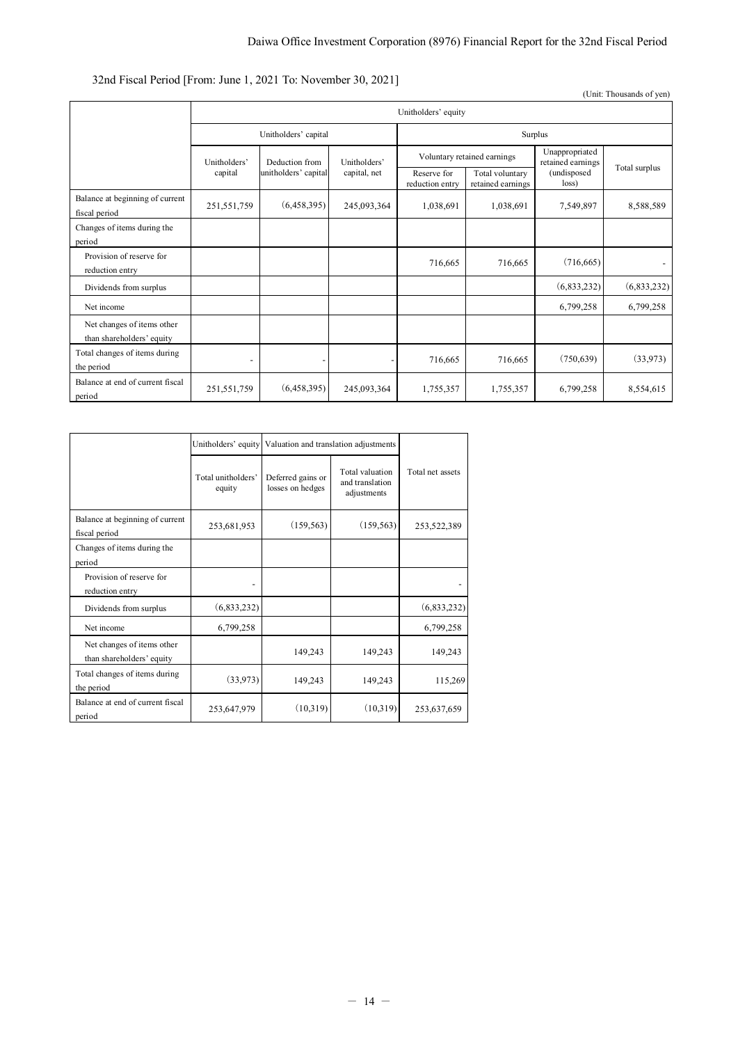# Daiwa Office Investment Corporation (8976) Financial Report for the 32nd Fiscal Period

# 32nd Fiscal Period [From: June 1, 2021 To: November 30, 2021]

(Unit: Thousands of yen)

|                                                         | Unitholders' equity      |                      |              |                                |                                      |                                     |                          |
|---------------------------------------------------------|--------------------------|----------------------|--------------|--------------------------------|--------------------------------------|-------------------------------------|--------------------------|
|                                                         |                          | Unitholders' capital |              | Surplus                        |                                      |                                     |                          |
|                                                         | Unitholders'             | Deduction from       | Unitholders' | Voluntary retained earnings    |                                      | Unappropriated<br>retained earnings |                          |
|                                                         | capital                  | unitholders' capital | capital, net | Reserve for<br>reduction entry | Total voluntary<br>retained earnings | (undisposed<br>loss)                | Total surplus            |
| Balance at beginning of current<br>fiscal period        | 251,551,759              | (6,458,395)          | 245,093,364  | 1,038,691                      | 1,038,691                            | 7,549,897                           | 8,588,589                |
| Changes of items during the<br>period                   |                          |                      |              |                                |                                      |                                     |                          |
| Provision of reserve for<br>reduction entry             |                          |                      |              | 716,665                        | 716,665                              | (716, 665)                          | $\overline{\phantom{a}}$ |
| Dividends from surplus                                  |                          |                      |              |                                |                                      | (6,833,232)                         | (6,833,232)              |
| Net income                                              |                          |                      |              |                                |                                      | 6,799,258                           | 6,799,258                |
| Net changes of items other<br>than shareholders' equity |                          |                      |              |                                |                                      |                                     |                          |
| Total changes of items during<br>the period             | $\overline{\phantom{a}}$ |                      |              | 716,665                        | 716,665                              | (750, 639)                          | (33,973)                 |
| Balance at end of current fiscal<br>period              | 251,551,759              | (6,458,395)          | 245,093,364  | 1,755,357                      | 1,755,357                            | 6,799,258                           | 8,554,615                |

|                                                         | Unitholders' equity          | Valuation and translation adjustments |                                                   |                  |
|---------------------------------------------------------|------------------------------|---------------------------------------|---------------------------------------------------|------------------|
|                                                         | Total unitholders'<br>equity | Deferred gains or<br>losses on hedges | Total valuation<br>and translation<br>adjustments | Total net assets |
| Balance at beginning of current<br>fiscal period        | 253,681,953                  | (159, 563)                            | (159, 563)                                        | 253,522,389      |
| Changes of items during the<br>period                   |                              |                                       |                                                   |                  |
| Provision of reserve for<br>reduction entry             |                              |                                       |                                                   |                  |
| Dividends from surplus                                  | (6,833,232)                  |                                       |                                                   | (6,833,232)      |
| Net income                                              | 6,799,258                    |                                       |                                                   | 6,799,258        |
| Net changes of items other<br>than shareholders' equity |                              | 149,243                               | 149,243                                           | 149,243          |
| Total changes of items during<br>the period             | (33,973)                     | 149,243                               | 149,243                                           | 115,269          |
| Balance at end of current fiscal<br>period              | 253,647,979                  | (10,319)                              | (10,319)                                          | 253,637,659      |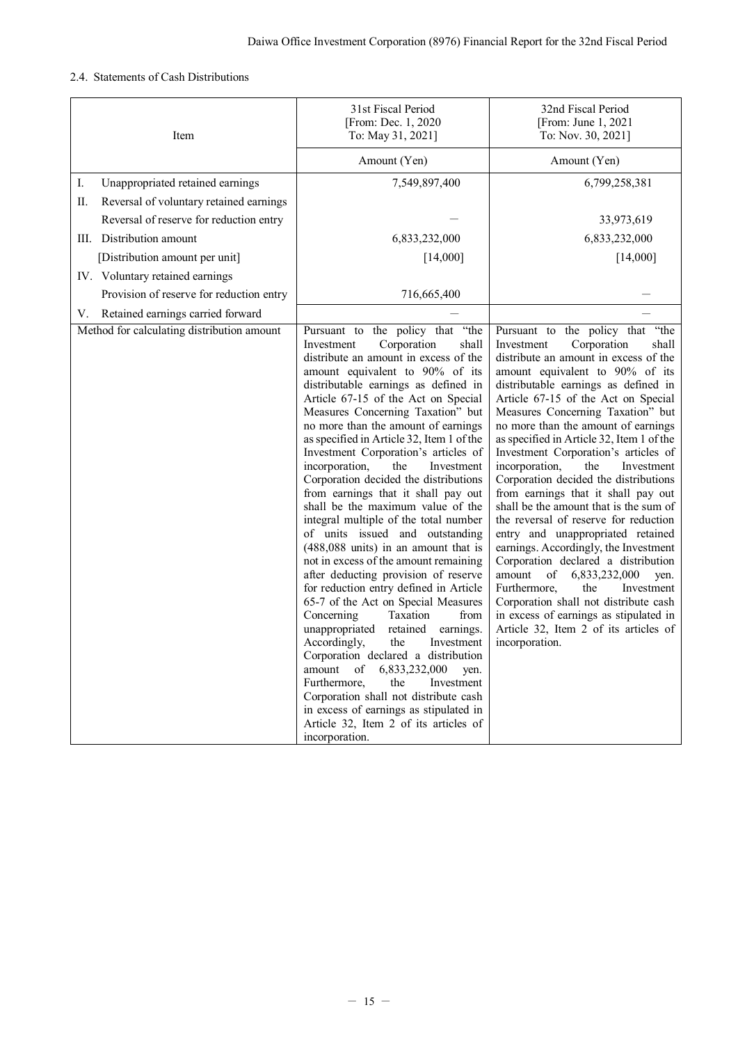# <span id="page-16-0"></span>2.4. Statements of Cash Distributions

| Item                                          | 31st Fiscal Period<br>[From: Dec. 1, 2020<br>To: May 31, 2021]                                                                                                                                                                                                                                                                                                                                                                                                                                                                                                                                                                                                                                                                                                                                                                                                                                                                                                                                                                                                                                                                                                                                                                                         | 32nd Fiscal Period<br>[From: June 1, 2021<br>To: Nov. 30, 2021]                                                                                                                                                                                                                                                                                                                                                                                                                                                                                                                                                                                                                                                                                                                                                                                                                                                                                               |
|-----------------------------------------------|--------------------------------------------------------------------------------------------------------------------------------------------------------------------------------------------------------------------------------------------------------------------------------------------------------------------------------------------------------------------------------------------------------------------------------------------------------------------------------------------------------------------------------------------------------------------------------------------------------------------------------------------------------------------------------------------------------------------------------------------------------------------------------------------------------------------------------------------------------------------------------------------------------------------------------------------------------------------------------------------------------------------------------------------------------------------------------------------------------------------------------------------------------------------------------------------------------------------------------------------------------|---------------------------------------------------------------------------------------------------------------------------------------------------------------------------------------------------------------------------------------------------------------------------------------------------------------------------------------------------------------------------------------------------------------------------------------------------------------------------------------------------------------------------------------------------------------------------------------------------------------------------------------------------------------------------------------------------------------------------------------------------------------------------------------------------------------------------------------------------------------------------------------------------------------------------------------------------------------|
|                                               | Amount (Yen)                                                                                                                                                                                                                                                                                                                                                                                                                                                                                                                                                                                                                                                                                                                                                                                                                                                                                                                                                                                                                                                                                                                                                                                                                                           | Amount (Yen)                                                                                                                                                                                                                                                                                                                                                                                                                                                                                                                                                                                                                                                                                                                                                                                                                                                                                                                                                  |
| I.<br>Unappropriated retained earnings        | 7,549,897,400                                                                                                                                                                                                                                                                                                                                                                                                                                                                                                                                                                                                                                                                                                                                                                                                                                                                                                                                                                                                                                                                                                                                                                                                                                          | 6,799,258,381                                                                                                                                                                                                                                                                                                                                                                                                                                                                                                                                                                                                                                                                                                                                                                                                                                                                                                                                                 |
| Reversal of voluntary retained earnings<br>П. |                                                                                                                                                                                                                                                                                                                                                                                                                                                                                                                                                                                                                                                                                                                                                                                                                                                                                                                                                                                                                                                                                                                                                                                                                                                        |                                                                                                                                                                                                                                                                                                                                                                                                                                                                                                                                                                                                                                                                                                                                                                                                                                                                                                                                                               |
| Reversal of reserve for reduction entry       |                                                                                                                                                                                                                                                                                                                                                                                                                                                                                                                                                                                                                                                                                                                                                                                                                                                                                                                                                                                                                                                                                                                                                                                                                                                        | 33,973,619                                                                                                                                                                                                                                                                                                                                                                                                                                                                                                                                                                                                                                                                                                                                                                                                                                                                                                                                                    |
| III. Distribution amount                      | 6,833,232,000                                                                                                                                                                                                                                                                                                                                                                                                                                                                                                                                                                                                                                                                                                                                                                                                                                                                                                                                                                                                                                                                                                                                                                                                                                          | 6,833,232,000                                                                                                                                                                                                                                                                                                                                                                                                                                                                                                                                                                                                                                                                                                                                                                                                                                                                                                                                                 |
| [Distribution amount per unit]                | [14,000]                                                                                                                                                                                                                                                                                                                                                                                                                                                                                                                                                                                                                                                                                                                                                                                                                                                                                                                                                                                                                                                                                                                                                                                                                                               | [14,000]                                                                                                                                                                                                                                                                                                                                                                                                                                                                                                                                                                                                                                                                                                                                                                                                                                                                                                                                                      |
| IV. Voluntary retained earnings               |                                                                                                                                                                                                                                                                                                                                                                                                                                                                                                                                                                                                                                                                                                                                                                                                                                                                                                                                                                                                                                                                                                                                                                                                                                                        |                                                                                                                                                                                                                                                                                                                                                                                                                                                                                                                                                                                                                                                                                                                                                                                                                                                                                                                                                               |
| Provision of reserve for reduction entry      | 716,665,400                                                                                                                                                                                                                                                                                                                                                                                                                                                                                                                                                                                                                                                                                                                                                                                                                                                                                                                                                                                                                                                                                                                                                                                                                                            |                                                                                                                                                                                                                                                                                                                                                                                                                                                                                                                                                                                                                                                                                                                                                                                                                                                                                                                                                               |
| Retained earnings carried forward<br>V.       |                                                                                                                                                                                                                                                                                                                                                                                                                                                                                                                                                                                                                                                                                                                                                                                                                                                                                                                                                                                                                                                                                                                                                                                                                                                        |                                                                                                                                                                                                                                                                                                                                                                                                                                                                                                                                                                                                                                                                                                                                                                                                                                                                                                                                                               |
| Method for calculating distribution amount    | "the<br>Pursuant to the policy that<br>Investment<br>Corporation<br>shall<br>distribute an amount in excess of the<br>amount equivalent to 90% of its<br>distributable earnings as defined in<br>Article 67-15 of the Act on Special<br>Measures Concerning Taxation" but<br>no more than the amount of earnings<br>as specified in Article 32, Item 1 of the<br>Investment Corporation's articles of<br>Investment<br>incorporation,<br>the<br>Corporation decided the distributions<br>from earnings that it shall pay out<br>shall be the maximum value of the<br>integral multiple of the total number<br>of units issued and outstanding<br>$(488,088 \text{ units})$ in an amount that is<br>not in excess of the amount remaining<br>after deducting provision of reserve<br>for reduction entry defined in Article<br>65-7 of the Act on Special Measures<br>Concerning<br>Taxation<br>from<br>unappropriated<br>retained<br>earnings.<br>Accordingly,<br>the<br>Investment<br>Corporation declared a distribution<br>amount<br>of<br>6,833,232,000<br>yen.<br>the<br>Furthermore.<br>Investment<br>Corporation shall not distribute cash<br>in excess of earnings as stipulated in<br>Article 32, Item 2 of its articles of<br>incorporation. | Pursuant to the policy that "the<br>Investment<br>Corporation<br>shall<br>distribute an amount in excess of the<br>amount equivalent to 90% of its<br>distributable earnings as defined in<br>Article 67-15 of the Act on Special<br>Measures Concerning Taxation" but<br>no more than the amount of earnings<br>as specified in Article 32, Item 1 of the<br>Investment Corporation's articles of<br>Investment<br>incorporation,<br>the<br>Corporation decided the distributions<br>from earnings that it shall pay out<br>shall be the amount that is the sum of<br>the reversal of reserve for reduction<br>entry and unappropriated retained<br>earnings. Accordingly, the Investment<br>Corporation declared a distribution<br>amount<br>of<br>6,833,232,000<br>yen.<br>Furthermore,<br>the<br>Investment<br>Corporation shall not distribute cash<br>in excess of earnings as stipulated in<br>Article 32, Item 2 of its articles of<br>incorporation. |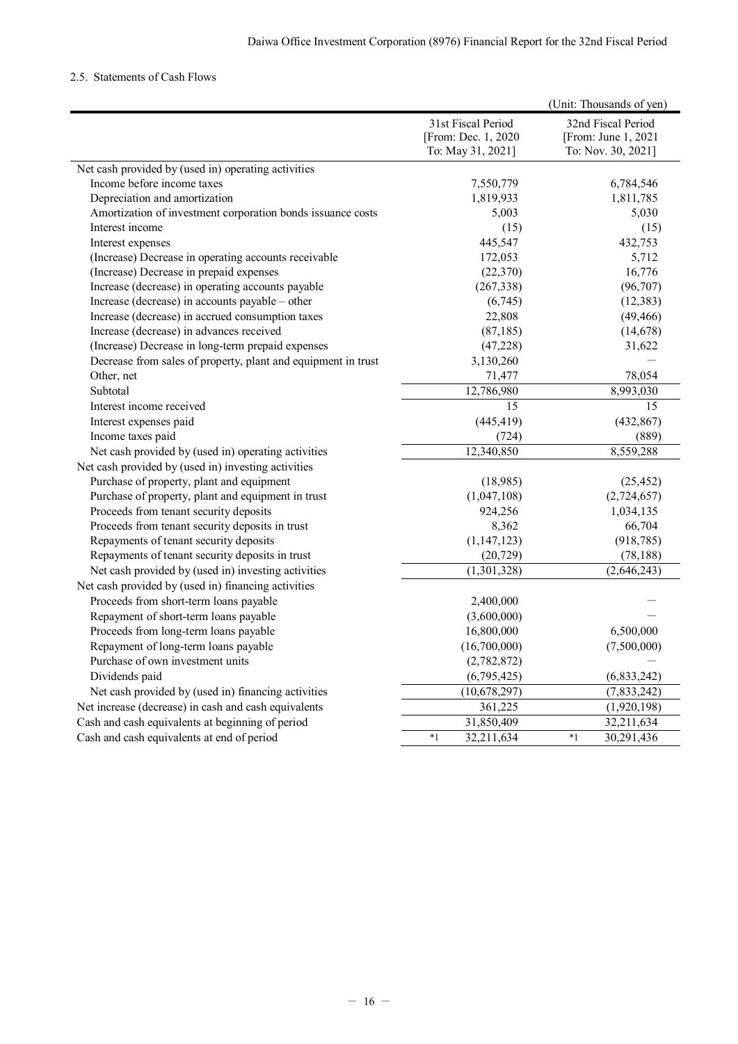# <span id="page-17-0"></span>2.5. Statements of Cash Flows

|                                                               |                     | (Unit: Thousands of yen) |
|---------------------------------------------------------------|---------------------|--------------------------|
|                                                               | 31st Fiscal Period  | 32nd Fiscal Period       |
|                                                               | [From: Dec. 1, 2020 | [From: June 1, 2021]     |
|                                                               | To: May 31, 2021]   | To: Nov. 30, 2021]       |
| Net cash provided by (used in) operating activities           |                     |                          |
| Income before income taxes                                    | 7,550,779           | 6,784,546                |
| Depreciation and amortization                                 | 1,819,933           | 1,811,785                |
| Amortization of investment corporation bonds issuance costs   | 5,003               | 5,030                    |
| Interest income                                               | (15)                | (15)                     |
| Interest expenses                                             | 445,547             | 432,753                  |
| (Increase) Decrease in operating accounts receivable          | 172,053             | 5,712                    |
| (Increase) Decrease in prepaid expenses                       | (22, 370)           | 16,776                   |
| Increase (decrease) in operating accounts payable             | (267, 338)          | (96, 707)                |
| Increase (decrease) in accounts payable - other               | (6,745)             | (12, 383)                |
| Increase (decrease) in accrued consumption taxes              | 22,808              | (49, 466)                |
| Increase (decrease) in advances received                      | (87, 185)           | (14, 678)                |
| (Increase) Decrease in long-term prepaid expenses             | (47,228)            | 31,622                   |
| Decrease from sales of property, plant and equipment in trust | 3,130,260           |                          |
| Other, net                                                    | 71,477              | 78,054                   |
| Subtotal                                                      | 12,786,980          | 8,993,030                |
| Interest income received                                      | 15                  | 15                       |
| Interest expenses paid                                        | (445, 419)          | (432, 867)               |
| Income taxes paid                                             | (724)               | (889)                    |
| Net cash provided by (used in) operating activities           | 12,340,850          | 8,559,288                |
| Net cash provided by (used in) investing activities           |                     |                          |
| Purchase of property, plant and equipment                     | (18,985)            | (25, 452)                |
| Purchase of property, plant and equipment in trust            | (1,047,108)         | (2,724,657)              |
| Proceeds from tenant security deposits                        | 924,256             | 1,034,135                |
| Proceeds from tenant security deposits in trust               | 8,362               | 66,704                   |
| Repayments of tenant security deposits                        | (1, 147, 123)       | (918, 785)               |
| Repayments of tenant security deposits in trust               | (20, 729)           | (78, 188)                |
| Net cash provided by (used in) investing activities           | (1,301,328)         | (2,646,243)              |
| Net cash provided by (used in) financing activities           |                     |                          |
| Proceeds from short-term loans payable                        | 2,400,000           |                          |
| Repayment of short-term loans payable                         | (3,600,000)         |                          |
| Proceeds from long-term loans payable                         | 16,800,000          | 6,500,000                |
| Repayment of long-term loans payable                          | (16,700,000)        | (7,500,000)              |
| Purchase of own investment units                              | (2,782,872)         |                          |
| Dividends paid                                                | (6,795,425)         | (6,833,242)              |
| Net cash provided by (used in) financing activities           | (10,678,297)        | (7,833,242)              |
| Net increase (decrease) in cash and cash equivalents          | 361,225             | (1,920,198)              |
| Cash and cash equivalents at beginning of period              | 31,850,409          | 32,211,634               |
| Cash and cash equivalents at end of period                    | $*1$<br>32,211,634  | $*1$<br>30,291,436       |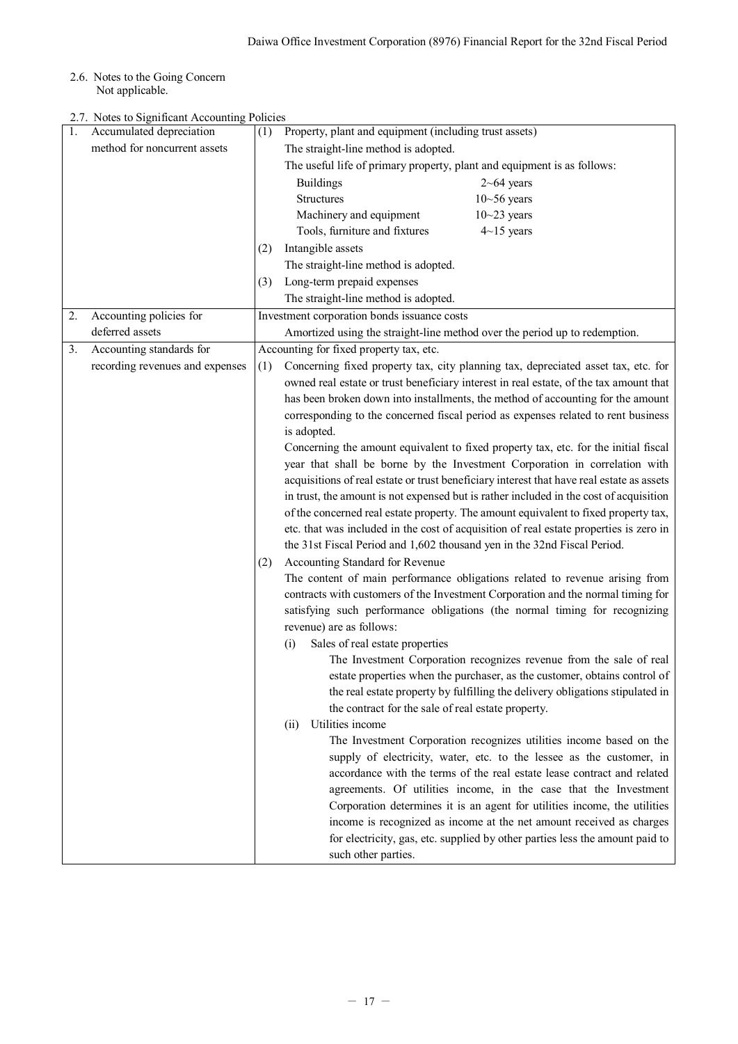<span id="page-18-0"></span>2.6. Notes to the Going Concern Not applicable.

<span id="page-18-1"></span>2.7. Notes to Significant Accounting Policie

| 1. | 2.7. Notes to Significant Accounting Policies<br>Accumulated depreciation |     | Property, plant and equipment (including trust assets)                                    |
|----|---------------------------------------------------------------------------|-----|-------------------------------------------------------------------------------------------|
|    | method for noncurrent assets                                              | (1) |                                                                                           |
|    |                                                                           |     | The straight-line method is adopted.                                                      |
|    |                                                                           |     | The useful life of primary property, plant and equipment is as follows:                   |
|    |                                                                           |     | <b>Buildings</b><br>$2\neg 64$ years                                                      |
|    |                                                                           |     | <b>Structures</b><br>$10 - 56$ years                                                      |
|    |                                                                           |     | Machinery and equipment<br>$10 - 23$ years                                                |
|    |                                                                           |     | Tools, furniture and fixtures<br>$4{\sim}15$ years                                        |
|    |                                                                           | (2) | Intangible assets                                                                         |
|    |                                                                           |     | The straight-line method is adopted.                                                      |
|    |                                                                           | (3) | Long-term prepaid expenses                                                                |
|    |                                                                           |     | The straight-line method is adopted.                                                      |
| 2. | Accounting policies for                                                   |     | Investment corporation bonds issuance costs                                               |
|    | deferred assets                                                           |     | Amortized using the straight-line method over the period up to redemption.                |
| 3. | Accounting standards for                                                  |     | Accounting for fixed property tax, etc.                                                   |
|    | recording revenues and expenses                                           | (1) | Concerning fixed property tax, city planning tax, depreciated asset tax, etc. for         |
|    |                                                                           |     | owned real estate or trust beneficiary interest in real estate, of the tax amount that    |
|    |                                                                           |     | has been broken down into installments, the method of accounting for the amount           |
|    |                                                                           |     | corresponding to the concerned fiscal period as expenses related to rent business         |
|    |                                                                           |     | is adopted.                                                                               |
|    |                                                                           |     | Concerning the amount equivalent to fixed property tax, etc. for the initial fiscal       |
|    |                                                                           |     | year that shall be borne by the Investment Corporation in correlation with                |
|    |                                                                           |     | acquisitions of real estate or trust beneficiary interest that have real estate as assets |
|    |                                                                           |     | in trust, the amount is not expensed but is rather included in the cost of acquisition    |
|    |                                                                           |     | of the concerned real estate property. The amount equivalent to fixed property tax,       |
|    |                                                                           |     | etc. that was included in the cost of acquisition of real estate properties is zero in    |
|    |                                                                           |     | the 31st Fiscal Period and 1,602 thousand yen in the 32nd Fiscal Period.                  |
|    |                                                                           | (2) | Accounting Standard for Revenue                                                           |
|    |                                                                           |     | The content of main performance obligations related to revenue arising from               |
|    |                                                                           |     | contracts with customers of the Investment Corporation and the normal timing for          |
|    |                                                                           |     | satisfying such performance obligations (the normal timing for recognizing                |
|    |                                                                           |     | revenue) are as follows:                                                                  |
|    |                                                                           |     | Sales of real estate properties<br>(i)                                                    |
|    |                                                                           |     | The Investment Corporation recognizes revenue from the sale of real                       |
|    |                                                                           |     | estate properties when the purchaser, as the customer, obtains control of                 |
|    |                                                                           |     | the real estate property by fulfilling the delivery obligations stipulated in             |
|    |                                                                           |     | the contract for the sale of real estate property.                                        |
|    |                                                                           |     | Utilities income<br>(ii)                                                                  |
|    |                                                                           |     | The Investment Corporation recognizes utilities income based on the                       |
|    |                                                                           |     | supply of electricity, water, etc. to the lessee as the customer, in                      |
|    |                                                                           |     | accordance with the terms of the real estate lease contract and related                   |
|    |                                                                           |     | agreements. Of utilities income, in the case that the Investment                          |
|    |                                                                           |     | Corporation determines it is an agent for utilities income, the utilities                 |
|    |                                                                           |     | income is recognized as income at the net amount received as charges                      |
|    |                                                                           |     | for electricity, gas, etc. supplied by other parties less the amount paid to              |
|    |                                                                           |     | such other parties.                                                                       |
|    |                                                                           |     |                                                                                           |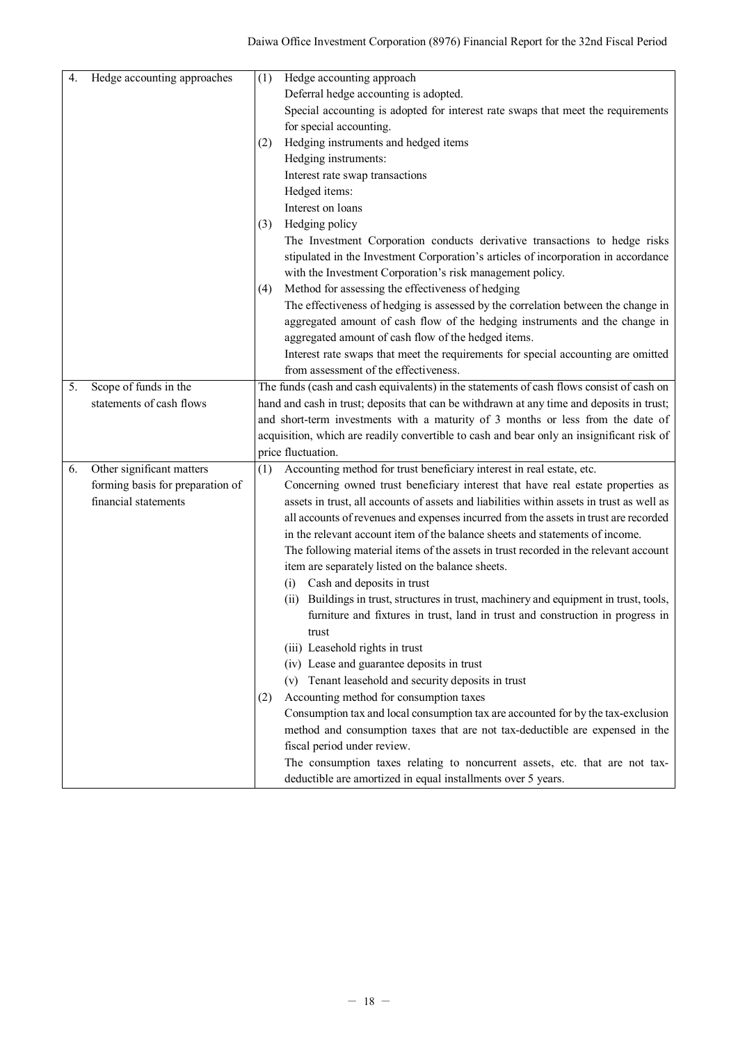| 4. | Hedge accounting approaches      | (1) | Hedge accounting approach                                                                 |
|----|----------------------------------|-----|-------------------------------------------------------------------------------------------|
|    |                                  |     | Deferral hedge accounting is adopted.                                                     |
|    |                                  |     | Special accounting is adopted for interest rate swaps that meet the requirements          |
|    |                                  |     | for special accounting.                                                                   |
|    |                                  | (2) | Hedging instruments and hedged items                                                      |
|    |                                  |     | Hedging instruments:                                                                      |
|    |                                  |     | Interest rate swap transactions                                                           |
|    |                                  |     | Hedged items:                                                                             |
|    |                                  |     | Interest on loans                                                                         |
|    |                                  | (3) | Hedging policy                                                                            |
|    |                                  |     | The Investment Corporation conducts derivative transactions to hedge risks                |
|    |                                  |     | stipulated in the Investment Corporation's articles of incorporation in accordance        |
|    |                                  |     | with the Investment Corporation's risk management policy.                                 |
|    |                                  | (4) | Method for assessing the effectiveness of hedging                                         |
|    |                                  |     | The effectiveness of hedging is assessed by the correlation between the change in         |
|    |                                  |     | aggregated amount of cash flow of the hedging instruments and the change in               |
|    |                                  |     | aggregated amount of cash flow of the hedged items.                                       |
|    |                                  |     | Interest rate swaps that meet the requirements for special accounting are omitted         |
|    |                                  |     | from assessment of the effectiveness.                                                     |
| 5. | Scope of funds in the            |     | The funds (cash and cash equivalents) in the statements of cash flows consist of cash on  |
|    | statements of cash flows         |     | hand and cash in trust; deposits that can be withdrawn at any time and deposits in trust; |
|    |                                  |     | and short-term investments with a maturity of 3 months or less from the date of           |
|    |                                  |     | acquisition, which are readily convertible to cash and bear only an insignificant risk of |
|    |                                  |     | price fluctuation.                                                                        |
| 6. | Other significant matters        | (1) | Accounting method for trust beneficiary interest in real estate, etc.                     |
|    | forming basis for preparation of |     | Concerning owned trust beneficiary interest that have real estate properties as           |
|    | financial statements             |     | assets in trust, all accounts of assets and liabilities within assets in trust as well as |
|    |                                  |     | all accounts of revenues and expenses incurred from the assets in trust are recorded      |
|    |                                  |     | in the relevant account item of the balance sheets and statements of income.              |
|    |                                  |     | The following material items of the assets in trust recorded in the relevant account      |
|    |                                  |     | item are separately listed on the balance sheets.                                         |
|    |                                  |     | Cash and deposits in trust<br>(i)                                                         |
|    |                                  |     | Buildings in trust, structures in trust, machinery and equipment in trust, tools,<br>(ii) |
|    |                                  |     | furniture and fixtures in trust, land in trust and construction in progress in            |
|    |                                  |     | trust                                                                                     |
|    |                                  |     | (iii) Leasehold rights in trust                                                           |
|    |                                  |     | (iv) Lease and guarantee deposits in trust                                                |
|    |                                  |     | (v) Tenant leasehold and security deposits in trust                                       |
|    |                                  | (2) | Accounting method for consumption taxes                                                   |
|    |                                  |     | Consumption tax and local consumption tax are accounted for by the tax-exclusion          |
|    |                                  |     | method and consumption taxes that are not tax-deductible are expensed in the              |
|    |                                  |     | fiscal period under review.                                                               |
|    |                                  |     | The consumption taxes relating to noncurrent assets, etc. that are not tax-               |
|    |                                  |     | deductible are amortized in equal installments over 5 years.                              |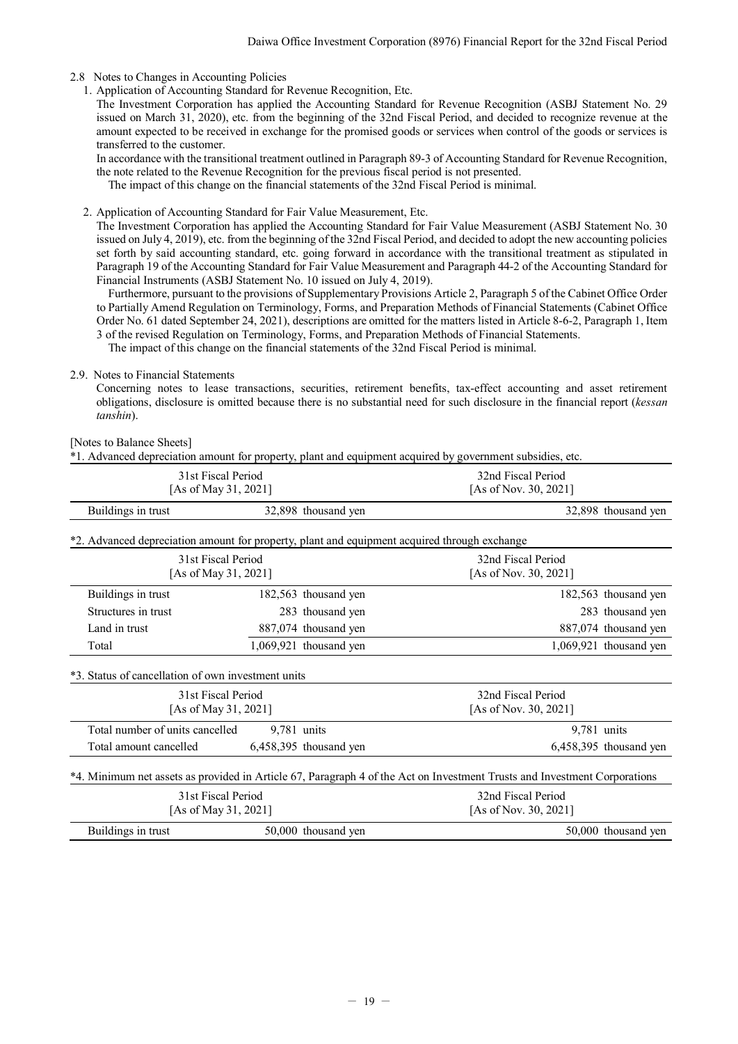## <span id="page-20-0"></span>2.8 Notes to Changes in Accounting Policies

1. Application of Accounting Standard for Revenue Recognition, Etc.

The Investment Corporation has applied the Accounting Standard for Revenue Recognition (ASBJ Statement No. 29 issued on March 31, 2020), etc. from the beginning of the 32nd Fiscal Period, and decided to recognize revenue at the amount expected to be received in exchange for the promised goods or services when control of the goods or services is transferred to the customer.

In accordance with the transitional treatment outlined in Paragraph 89-3 of Accounting Standard for Revenue Recognition, the note related to the Revenue Recognition for the previous fiscal period is not presented.

The impact of this change on the financial statements of the 32nd Fiscal Period is minimal.

2. Application of Accounting Standard for Fair Value Measurement, Etc.

The Investment Corporation has applied the Accounting Standard for Fair Value Measurement (ASBJ Statement No. 30 issued on July 4, 2019), etc. from the beginning of the 32nd Fiscal Period, and decided to adopt the new accounting policies set forth by said accounting standard, etc. going forward in accordance with the transitional treatment as stipulated in Paragraph 19 of the Accounting Standard for Fair Value Measurement and Paragraph 44-2 of the Accounting Standard for Financial Instruments (ASBJ Statement No. 10 issued on July 4, 2019).

Furthermore, pursuant to the provisions of Supplementary Provisions Article 2, Paragraph 5 of the Cabinet Office Order to Partially Amend Regulation on Terminology, Forms, and Preparation Methods of Financial Statements (Cabinet Office Order No. 61 dated September 24, 2021), descriptions are omitted for the matters listed in Article 8-6-2, Paragraph 1, Item 3 of the revised Regulation on Terminology, Forms, and Preparation Methods of Financial Statements.

The impact of this change on the financial statements of the 32nd Fiscal Period is minimal.

### <span id="page-20-1"></span>2.9. Notes to Financial Statements

Concerning notes to lease transactions, securities, retirement benefits, tax-effect accounting and asset retirement obligations, disclosure is omitted because there is no substantial need for such disclosure in the financial report (*kessan tanshin*).

[Notes to Balance Sheets]

\*1. Advanced depreciation amount for property, plant and equipment acquired by government subsidies, etc.

| 31st Fiscal Period<br>[As of May 31, 2021]                                                   |                                            |                          | 32nd Fiscal Period<br>[As of Nov. 30, 2021]                                                                               |                          |  |
|----------------------------------------------------------------------------------------------|--------------------------------------------|--------------------------|---------------------------------------------------------------------------------------------------------------------------|--------------------------|--|
| Buildings in trust                                                                           |                                            | 32,898 thousand yen      |                                                                                                                           | 32,898 thousand yen      |  |
| *2. Advanced depreciation amount for property, plant and equipment acquired through exchange |                                            |                          |                                                                                                                           |                          |  |
|                                                                                              | 31st Fiscal Period<br>[As of May 31, 2021] |                          | 32nd Fiscal Period<br>[As of Nov. 30, 2021]                                                                               |                          |  |
| Buildings in trust                                                                           |                                            | 182,563 thousand yen     |                                                                                                                           | 182,563 thousand yen     |  |
| Structures in trust                                                                          |                                            | 283 thousand yen         |                                                                                                                           | 283 thousand yen         |  |
| Land in trust                                                                                |                                            | 887,074 thousand yen     |                                                                                                                           | 887,074 thousand yen     |  |
| Total                                                                                        |                                            | $1,069,921$ thousand yen |                                                                                                                           | $1,069,921$ thousand yen |  |
| *3. Status of cancellation of own investment units                                           |                                            |                          |                                                                                                                           |                          |  |
|                                                                                              | 31st Fiscal Period                         |                          | 32nd Fiscal Period                                                                                                        |                          |  |
|                                                                                              | [As of May 31, 2021]                       |                          | [As of Nov. 30, 2021]                                                                                                     |                          |  |
| Total number of units cancelled                                                              | $9,781$ units                              |                          | 9,781 units                                                                                                               |                          |  |
| Total amount cancelled                                                                       |                                            | $6,458,395$ thousand yen |                                                                                                                           | $6,458,395$ thousand yen |  |
|                                                                                              |                                            |                          | *4. Minimum net assets as provided in Article 67, Paragraph 4 of the Act on Investment Trusts and Investment Corporations |                          |  |
|                                                                                              | 31st Fiscal Period                         |                          | 32nd Fiscal Period                                                                                                        |                          |  |
| [As of May 31, 2021]                                                                         |                                            |                          | [As of Nov. 30, 2021]                                                                                                     |                          |  |

|                    | $1 - 2 - 2 - 2 - 1$ |                     |  |  |
|--------------------|---------------------|---------------------|--|--|
| Buildings in trust | 50,000 thousand yen | 50,000 thousand yen |  |  |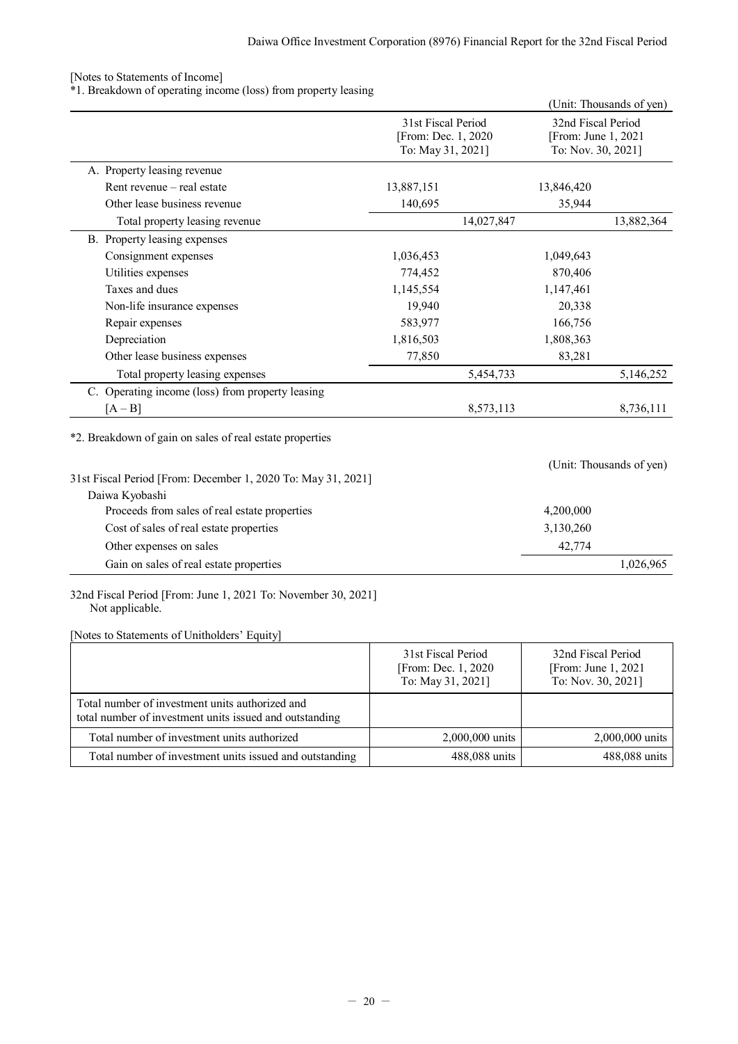## [Notes to Statements of Income]

\*1. Breakdown of operating income (loss) from property leasing

|                                                                 |                                                                |            |                                                                 | (Unit: Thousands of yen) |
|-----------------------------------------------------------------|----------------------------------------------------------------|------------|-----------------------------------------------------------------|--------------------------|
|                                                                 | 31st Fiscal Period<br>[From: Dec. 1, 2020<br>To: May 31, 2021] |            | 32nd Fiscal Period<br>[From: June 1, 2021<br>To: Nov. 30, 2021] |                          |
| A. Property leasing revenue                                     |                                                                |            |                                                                 |                          |
| Rent revenue - real estate                                      | 13,887,151                                                     |            | 13,846,420                                                      |                          |
| Other lease business revenue                                    | 140,695                                                        |            | 35,944                                                          |                          |
| Total property leasing revenue                                  |                                                                | 14,027,847 |                                                                 | 13,882,364               |
| B. Property leasing expenses                                    |                                                                |            |                                                                 |                          |
| Consignment expenses                                            | 1,036,453                                                      |            | 1,049,643                                                       |                          |
| Utilities expenses                                              | 774,452                                                        |            | 870,406                                                         |                          |
| Taxes and dues                                                  | 1,145,554                                                      |            | 1,147,461                                                       |                          |
| Non-life insurance expenses                                     | 19,940                                                         |            | 20,338                                                          |                          |
| Repair expenses                                                 | 583,977                                                        |            | 166,756                                                         |                          |
| Depreciation                                                    | 1,816,503                                                      |            | 1,808,363                                                       |                          |
| Other lease business expenses                                   | 77,850                                                         |            | 83,281                                                          |                          |
| Total property leasing expenses                                 |                                                                | 5,454,733  |                                                                 | 5,146,252                |
| C. Operating income (loss) from property leasing                |                                                                |            |                                                                 |                          |
| $[A - B]$                                                       |                                                                | 8,573,113  |                                                                 | 8,736,111                |
| *2. Breakdown of gain on sales of real estate properties        |                                                                |            |                                                                 |                          |
| 31st Fiscal Period [From: December 1, 2020 To: May 31, 2021]    |                                                                |            |                                                                 | (Unit: Thousands of yen) |
| Daiwa Kyobashi<br>Proceeds from sales of real estate properties |                                                                |            | 4,200,000                                                       |                          |
|                                                                 |                                                                |            |                                                                 |                          |
| Cost of sales of real estate properties                         |                                                                |            | 3,130,260                                                       |                          |
| Other expenses on sales                                         |                                                                |            | 42,774                                                          |                          |
| Gain on sales of real estate properties                         |                                                                |            |                                                                 | 1,026,965                |

32nd Fiscal Period [From: June 1, 2021 To: November 30, 2021] Not applicable.

[Notes to Statements of Unitholders' Equity]

|                                                                                                            | 31st Fiscal Period<br>[From: Dec. 1, 2020]<br>To: May 31, 2021] | 32nd Fiscal Period<br>[From: June $1, 2021$ ]<br>To: Nov. 30, 2021] |
|------------------------------------------------------------------------------------------------------------|-----------------------------------------------------------------|---------------------------------------------------------------------|
| Total number of investment units authorized and<br>total number of investment units issued and outstanding |                                                                 |                                                                     |
| Total number of investment units authorized                                                                | 2,000,000 units                                                 | 2,000,000 units                                                     |
| Total number of investment units issued and outstanding                                                    | 488,088 units                                                   | 488,088 units                                                       |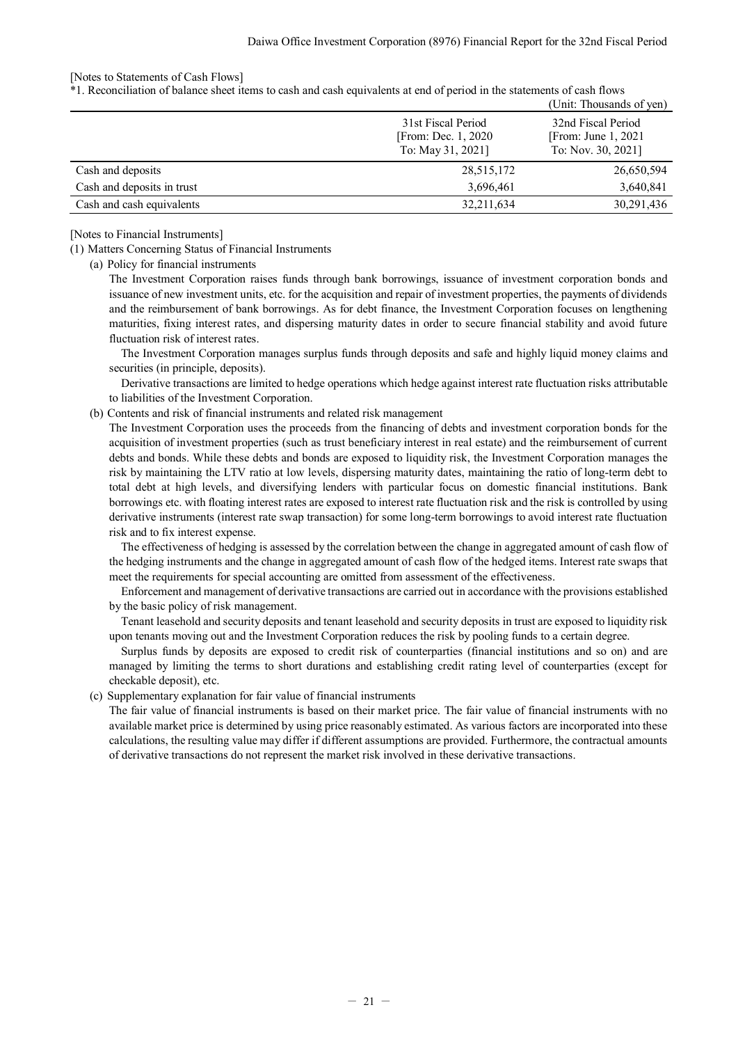## [Notes to Statements of Cash Flows]

\*1. Reconciliation of balance sheet items to cash and cash equivalents at end of period in the statements of cash flows

|                            |                                                                 | (Unit: Thousands of yen)                                            |
|----------------------------|-----------------------------------------------------------------|---------------------------------------------------------------------|
|                            | 31st Fiscal Period<br>[From: Dec. 1, 2020]<br>To: May 31, 2021] | 32nd Fiscal Period<br>[From: June $1, 2021$ ]<br>To: Nov. 30, 2021] |
| Cash and deposits          | 28,515,172                                                      | 26,650,594                                                          |
| Cash and deposits in trust | 3,696,461                                                       | 3,640,841                                                           |
| Cash and cash equivalents  | 32,211,634                                                      | 30,291,436                                                          |

[Notes to Financial Instruments]

(1) Matters Concerning Status of Financial Instruments

(a) Policy for financial instruments

The Investment Corporation raises funds through bank borrowings, issuance of investment corporation bonds and issuance of new investment units, etc. for the acquisition and repair of investment properties, the payments of dividends and the reimbursement of bank borrowings. As for debt finance, the Investment Corporation focuses on lengthening maturities, fixing interest rates, and dispersing maturity dates in order to secure financial stability and avoid future fluctuation risk of interest rates.

The Investment Corporation manages surplus funds through deposits and safe and highly liquid money claims and securities (in principle, deposits).

Derivative transactions are limited to hedge operations which hedge against interest rate fluctuation risks attributable to liabilities of the Investment Corporation.

(b) Contents and risk of financial instruments and related risk management

The Investment Corporation uses the proceeds from the financing of debts and investment corporation bonds for the acquisition of investment properties (such as trust beneficiary interest in real estate) and the reimbursement of current debts and bonds. While these debts and bonds are exposed to liquidity risk, the Investment Corporation manages the risk by maintaining the LTV ratio at low levels, dispersing maturity dates, maintaining the ratio of long-term debt to total debt at high levels, and diversifying lenders with particular focus on domestic financial institutions. Bank borrowings etc. with floating interest rates are exposed to interest rate fluctuation risk and the risk is controlled by using derivative instruments (interest rate swap transaction) for some long-term borrowings to avoid interest rate fluctuation risk and to fix interest expense.

The effectiveness of hedging is assessed by the correlation between the change in aggregated amount of cash flow of the hedging instruments and the change in aggregated amount of cash flow of the hedged items. Interest rate swaps that meet the requirements for special accounting are omitted from assessment of the effectiveness.

Enforcement and management of derivative transactions are carried out in accordance with the provisions established by the basic policy of risk management.

Tenant leasehold and security deposits and tenant leasehold and security deposits in trust are exposed to liquidity risk upon tenants moving out and the Investment Corporation reduces the risk by pooling funds to a certain degree.

Surplus funds by deposits are exposed to credit risk of counterparties (financial institutions and so on) and are managed by limiting the terms to short durations and establishing credit rating level of counterparties (except for checkable deposit), etc.

(c) Supplementary explanation for fair value of financial instruments

The fair value of financial instruments is based on their market price. The fair value of financial instruments with no available market price is determined by using price reasonably estimated. As various factors are incorporated into these calculations, the resulting value may differ if different assumptions are provided. Furthermore, the contractual amounts of derivative transactions do not represent the market risk involved in these derivative transactions.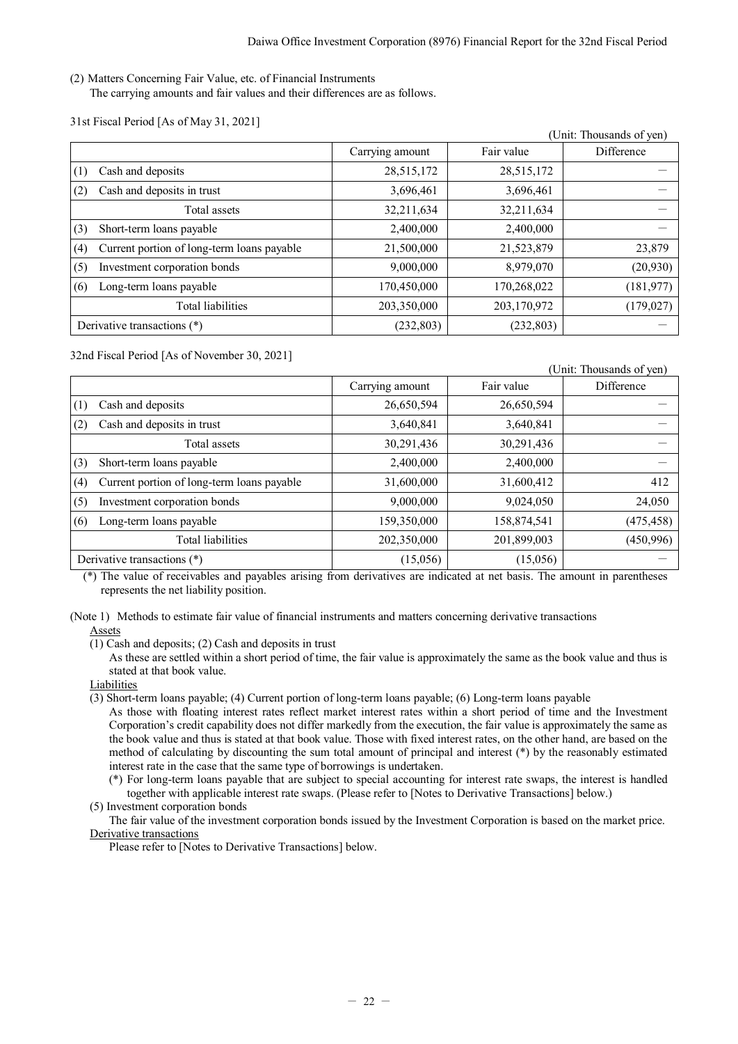(2) Matters Concerning Fair Value, etc. of Financial Instruments The carrying amounts and fair values and their differences are as follows.

31st Fiscal Period [As of May 31, 2021]

|     |                                            |                 |             | (Unit: Thousands of yen) |
|-----|--------------------------------------------|-----------------|-------------|--------------------------|
|     |                                            | Carrying amount | Fair value  | Difference               |
| (1) | Cash and deposits                          | 28,515,172      | 28,515,172  |                          |
| (2) | Cash and deposits in trust                 | 3,696,461       | 3,696,461   |                          |
|     | Total assets                               | 32,211,634      | 32,211,634  |                          |
| (3) | Short-term loans payable                   | 2,400,000       | 2,400,000   |                          |
| (4) | Current portion of long-term loans payable | 21,500,000      | 21,523,879  | 23,879                   |
| (5) | Investment corporation bonds               | 9,000,000       | 8,979,070   | (20, 930)                |
| (6) | Long-term loans payable                    | 170,450,000     | 170,268,022 | (181, 977)               |
|     | Total liabilities                          | 203,350,000     | 203,170,972 | (179, 027)               |
|     | Derivative transactions (*)                | (232, 803)      | (232, 803)  |                          |

32nd Fiscal Period [As of November 30, 2021]

|                                                   |                 |             | (Unit: Thousands of yen) |
|---------------------------------------------------|-----------------|-------------|--------------------------|
|                                                   | Carrying amount | Fair value  | Difference               |
| Cash and deposits<br>(1)                          | 26,650,594      | 26,650,594  |                          |
| Cash and deposits in trust<br>(2)                 | 3,640,841       | 3,640,841   |                          |
| Total assets                                      | 30,291,436      | 30,291,436  |                          |
| Short-term loans payable<br>(3)                   | 2,400,000       | 2,400,000   |                          |
| Current portion of long-term loans payable<br>(4) | 31,600,000      | 31,600,412  | 412                      |
| Investment corporation bonds<br>(5)               | 9,000,000       | 9,024,050   | 24,050                   |
| Long-term loans payable<br>(6)                    | 159,350,000     | 158,874,541 | (475, 458)               |
| Total liabilities                                 | 202,350,000     | 201,899,003 | (450, 996)               |
| Derivative transactions (*)                       | (15,056)        | (15,056)    |                          |

(\*) The value of receivables and payables arising from derivatives are indicated at net basis. The amount in parentheses represents the net liability position.

(Note 1) Methods to estimate fair value of financial instruments and matters concerning derivative transactions Assets

(1) Cash and deposits; (2) Cash and deposits in trust

As these are settled within a short period of time, the fair value is approximately the same as the book value and thus is stated at that book value.

Liabilities

(3) Short-term loans payable; (4) Current portion of long-term loans payable; (6) Long-term loans payable

As those with floating interest rates reflect market interest rates within a short period of time and the Investment Corporation's credit capability does not differ markedly from the execution, the fair value is approximately the same as the book value and thus is stated at that book value. Those with fixed interest rates, on the other hand, are based on the method of calculating by discounting the sum total amount of principal and interest (\*) by the reasonably estimated interest rate in the case that the same type of borrowings is undertaken.

(\*) For long-term loans payable that are subject to special accounting for interest rate swaps, the interest is handled together with applicable interest rate swaps. (Please refer to [Notes to Derivative Transactions] below.)

(5) Investment corporation bonds

The fair value of the investment corporation bonds issued by the Investment Corporation is based on the market price. Derivative transactions

Please refer to [Notes to Derivative Transactions] below.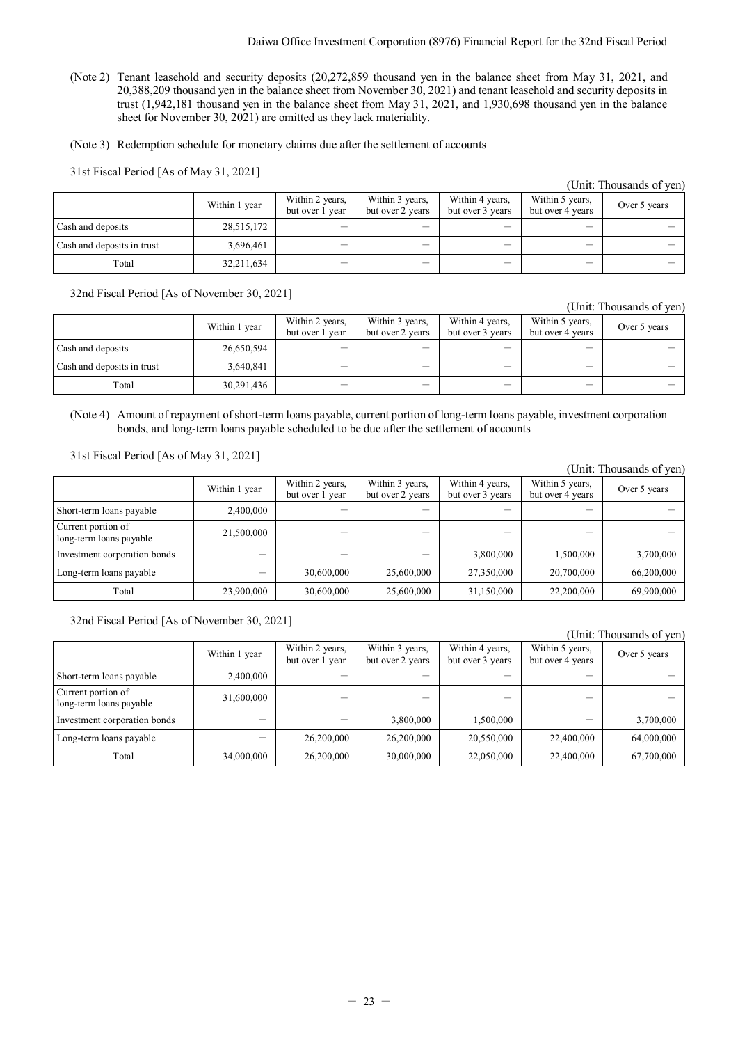(Note 2) Tenant leasehold and security deposits (20,272,859 thousand yen in the balance sheet from May 31, 2021, and 20,388,209 thousand yen in the balance sheet from November 30, 2021) and tenant leasehold and security deposits in trust (1,942,181 thousand yen in the balance sheet from May 31, 2021, and 1,930,698 thousand yen in the balance sheet for November 30, 2021) are omitted as they lack materiality.

(Note 3) Redemption schedule for monetary claims due after the settlement of accounts

31st Fiscal Period [As of May 31, 2021]

| $\mathcal{C}_{\text{HIG}}$ . Thousands of $\mathcal{C}_{\text{HIG}}$ |               |                                    |                                     |                                     |                                     |              |  |  |
|----------------------------------------------------------------------|---------------|------------------------------------|-------------------------------------|-------------------------------------|-------------------------------------|--------------|--|--|
|                                                                      | Within 1 year | Within 2 years,<br>but over 1 year | Within 3 years,<br>but over 2 years | Within 4 years,<br>but over 3 years | Within 5 years,<br>but over 4 years | Over 5 years |  |  |
| Cash and deposits                                                    | 28,515,172    | $\qquad \qquad$                    |                                     | —                                   | –                                   |              |  |  |
| Cash and deposits in trust                                           | 3,696,461     | —                                  | —                                   | --                                  | —                                   |              |  |  |
| Total                                                                | 32,211,634    | —                                  |                                     |                                     |                                     |              |  |  |

32nd Fiscal Period [As of November 30, 2021]

| гони. Thousanus от успл    |               |                                    |                                     |                                     |                                     |              |  |  |
|----------------------------|---------------|------------------------------------|-------------------------------------|-------------------------------------|-------------------------------------|--------------|--|--|
|                            | Within 1 year | Within 2 years,<br>but over 1 year | Within 3 years,<br>but over 2 years | Within 4 years,<br>but over 3 years | Within 5 years,<br>but over 4 years | Over 5 years |  |  |
| Cash and deposits          | 26,650,594    | $\qquad \qquad$                    | —                                   | --                                  | —                                   |              |  |  |
| Cash and deposits in trust | 3,640,841     | —                                  | —                                   |                                     | $\overline{\phantom{0}}$            |              |  |  |
| Total                      | 30,291,436    |                                    |                                     |                                     |                                     |              |  |  |

(Note 4) Amount of repayment of short-term loans payable, current portion of long-term loans payable, investment corporation bonds, and long-term loans payable scheduled to be due after the settlement of accounts

31st Fiscal Period [As of May 31, 2021]

|                                               |               |                                    |                                     |                                     |                                     | (Unit: Thousands of yen) |
|-----------------------------------------------|---------------|------------------------------------|-------------------------------------|-------------------------------------|-------------------------------------|--------------------------|
|                                               | Within 1 year | Within 2 years,<br>but over 1 year | Within 3 years,<br>but over 2 years | Within 4 years,<br>but over 3 years | Within 5 years,<br>but over 4 years | Over 5 years             |
| Short-term loans payable                      | 2.400,000     |                                    |                                     |                                     |                                     |                          |
| Current portion of<br>long-term loans payable | 21,500,000    |                                    |                                     |                                     |                                     |                          |
| Investment corporation bonds                  |               |                                    |                                     | 3,800,000                           | 1,500,000                           | 3,700,000                |
| Long-term loans payable                       |               | 30,600,000                         | 25,600,000                          | 27,350,000                          | 20,700,000                          | 66,200,000               |
| Total                                         | 23,900,000    | 30,600,000                         | 25,600,000                          | 31,150,000                          | 22,200,000                          | 69,900,000               |

32nd Fiscal Period [As of November 30, 2021]

(Unit: Thousands of yen)

|                                               | Within 1 year | Within 2 years,<br>Within 3 years,<br>but over 1 year<br>but over 2 years |            | Within 4 years,<br>but over 3 years | Within 5 years,<br>but over 4 years | Over 5 years |
|-----------------------------------------------|---------------|---------------------------------------------------------------------------|------------|-------------------------------------|-------------------------------------|--------------|
| Short-term loans payable                      | 2,400,000     |                                                                           |            |                                     |                                     |              |
| Current portion of<br>long-term loans payable | 31,600,000    |                                                                           |            |                                     |                                     |              |
| Investment corporation bonds                  |               | --                                                                        | 3,800,000  | 1,500,000                           |                                     | 3,700,000    |
| Long-term loans payable                       |               | 26,200,000                                                                | 26,200,000 | 20,550,000                          | 22,400,000                          | 64,000,000   |
| Total                                         | 34,000,000    | 26,200,000                                                                | 30,000,000 | 22,050,000                          | 22,400,000                          | 67,700,000   |

(Unit: Thousands of yen)

# (Unit: Thousands of yen)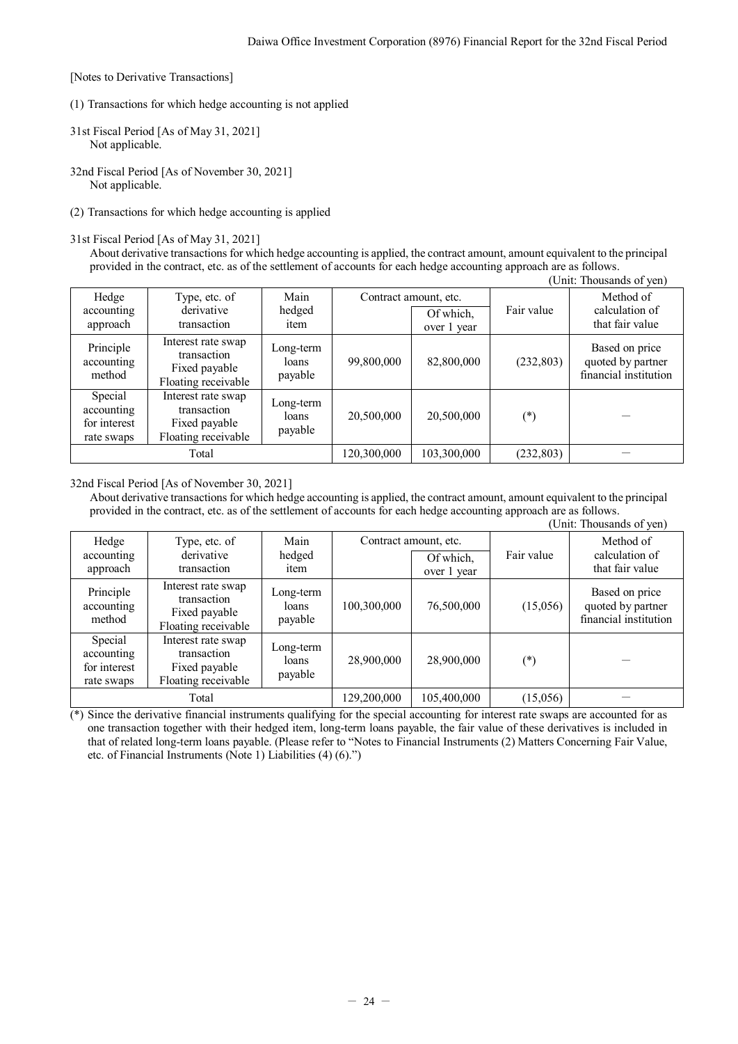[Notes to Derivative Transactions]

- (1) Transactions for which hedge accounting is not applied
- 31st Fiscal Period [As of May 31, 2021] Not applicable.
- 32nd Fiscal Period [As of November 30, 2021] Not applicable.
- (2) Transactions for which hedge accounting is applied

### 31st Fiscal Period [As of May 31, 2021]

About derivative transactions for which hedge accounting is applied, the contract amount, amount equivalent to the principal provided in the contract, etc. as of the settlement of accounts for each hedge accounting approach are as follows. (Unit: Thousands of yen)

| UIIII. HIUUSAIIUS UI YUII                           |                                                                           |                               |             |                                                   |            |                                                              |
|-----------------------------------------------------|---------------------------------------------------------------------------|-------------------------------|-------------|---------------------------------------------------|------------|--------------------------------------------------------------|
| Hedge<br>accounting<br>approach                     | Type, etc. of<br>derivative<br>transaction                                | Main<br>hedged<br>item        |             | Contract amount, etc.<br>Of which,<br>over 1 year | Fair value | Method of<br>calculation of<br>that fair value               |
| Principle<br>accounting<br>method                   | Interest rate swap<br>transaction<br>Fixed payable<br>Floating receivable | Long-term<br>loans<br>payable | 99,800,000  | 82,800,000                                        | (232, 803) | Based on price<br>quoted by partner<br>financial institution |
| Special<br>accounting<br>for interest<br>rate swaps | Interest rate swap<br>transaction<br>Fixed payable<br>Floating receivable | Long-term<br>loans<br>payable | 20,500,000  | 20,500,000                                        | $(\ast)$   |                                                              |
| Total                                               |                                                                           |                               | 120,300,000 | 103,300,000                                       | (232, 803) |                                                              |

## 32nd Fiscal Period [As of November 30, 2021]

About derivative transactions for which hedge accounting is applied, the contract amount, amount equivalent to the principal provided in the contract, etc. as of the settlement of accounts for each hedge accounting approach are as follows.

|                                                     | (Unit: Thousands of yen)                                                  |                               |             |                                                   |            |                                                              |
|-----------------------------------------------------|---------------------------------------------------------------------------|-------------------------------|-------------|---------------------------------------------------|------------|--------------------------------------------------------------|
| Hedge<br>accounting<br>approach                     | Type, etc. of<br>derivative<br>transaction                                | Main<br>hedged<br>item        |             | Contract amount, etc.<br>Of which,<br>over 1 year | Fair value | Method of<br>calculation of<br>that fair value               |
| Principle<br>accounting<br>method                   | Interest rate swap<br>transaction<br>Fixed payable<br>Floating receivable | Long-term<br>loans<br>payable | 100,300,000 | 76,500,000                                        | (15,056)   | Based on price<br>quoted by partner<br>financial institution |
| Special<br>accounting<br>for interest<br>rate swaps | Interest rate swap<br>transaction<br>Fixed payable<br>Floating receivable | Long-term<br>loans<br>payable | 28,900,000  | 28,900,000                                        | $(\ast)$   |                                                              |
|                                                     | Total                                                                     |                               | 129,200,000 | 105,400,000                                       | (15,056)   |                                                              |

 $(*)$  Since the derivative financial instruments qualifying for the special accounting for interest rate swaps are accounted for as one transaction together with their hedged item, long-term loans payable, the fair value of these derivatives is included in that of related long-term loans payable. (Please refer to "Notes to Financial Instruments (2) Matters Concerning Fair Value, etc. of Financial Instruments (Note 1) Liabilities (4) (6).")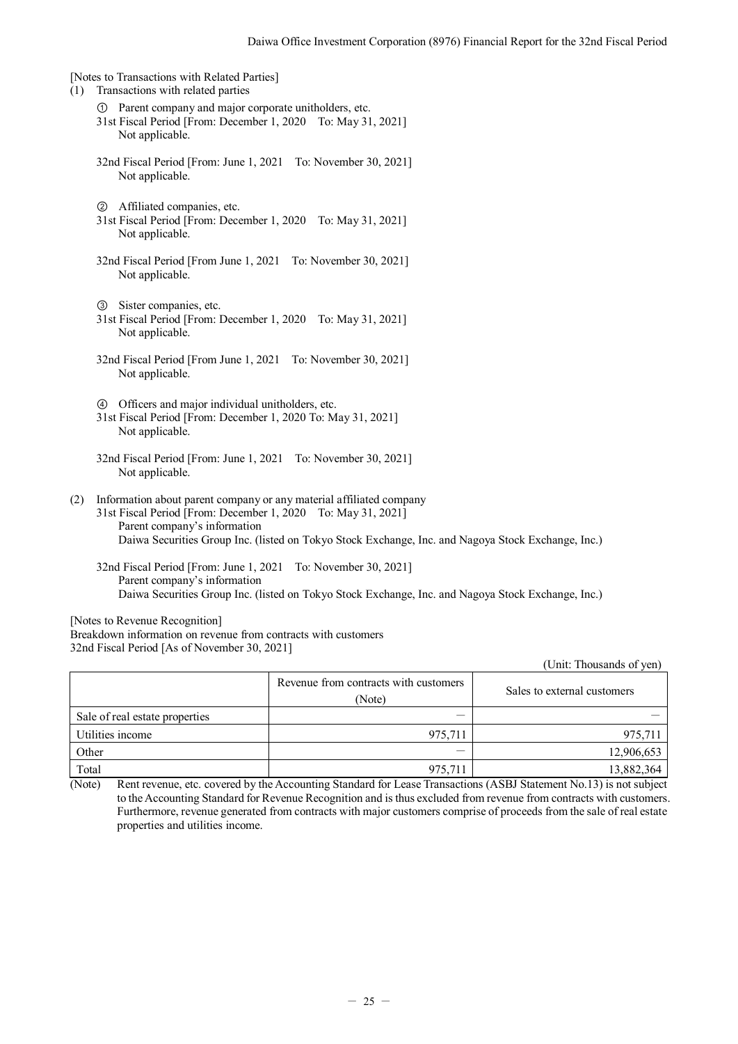[Notes to Transactions with Related Parties] (1) Transactions with related parties ① Parent company and major corporate unitholders, etc. 31st Fiscal Period [From: December 1, 2020 To: May 31, 2021] Not applicable. 32nd Fiscal Period [From: June 1, 2021 To: November 30, 2021] Not applicable. ② Affiliated companies, etc. 31st Fiscal Period [From: December 1, 2020 To: May 31, 2021] Not applicable. 32nd Fiscal Period [From June 1, 2021 To: November 30, 2021] Not applicable. ③ Sister companies, etc. 31st Fiscal Period [From: December 1, 2020 To: May 31, 2021] Not applicable. 32nd Fiscal Period [From June 1, 2021 To: November 30, 2021] Not applicable. ④ Officers and major individual unitholders, etc. 31st Fiscal Period [From: December 1, 2020 To: May 31, 2021] Not applicable. 32nd Fiscal Period [From: June 1, 2021 To: November 30, 2021] Not applicable. (2) Information about parent company or any material affiliated company 31st Fiscal Period [From: December 1, 2020 To: May 31, 2021] Parent company's information Daiwa Securities Group Inc. (listed on Tokyo Stock Exchange, Inc. and Nagoya Stock Exchange, Inc.)

32nd Fiscal Period [From: June 1, 2021 To: November 30, 2021] Parent company's information Daiwa Securities Group Inc. (listed on Tokyo Stock Exchange, Inc. and Nagoya Stock Exchange, Inc.)

[Notes to Revenue Recognition] Breakdown information on revenue from contracts with customers 32nd Fiscal Period [As of November 30, 2021]

(Unit: Thousands of yen)

|                                |                                                 | Omit. Thousanus of you'l    |
|--------------------------------|-------------------------------------------------|-----------------------------|
|                                | Revenue from contracts with customers<br>(Note) | Sales to external customers |
| Sale of real estate properties |                                                 |                             |
| Utilities income               | 975,711                                         | 975,711                     |
| Other                          | __                                              | 12,906,653                  |
| Total                          | 975,711                                         | 13,882,364                  |

(Note) Rent revenue, etc. covered by the Accounting Standard for Lease Transactions (ASBJ Statement No.13) is not subject to the Accounting Standard for Revenue Recognition and is thus excluded from revenue from contracts with customers. Furthermore, revenue generated from contracts with major customers comprise of proceeds from the sale of real estate properties and utilities income.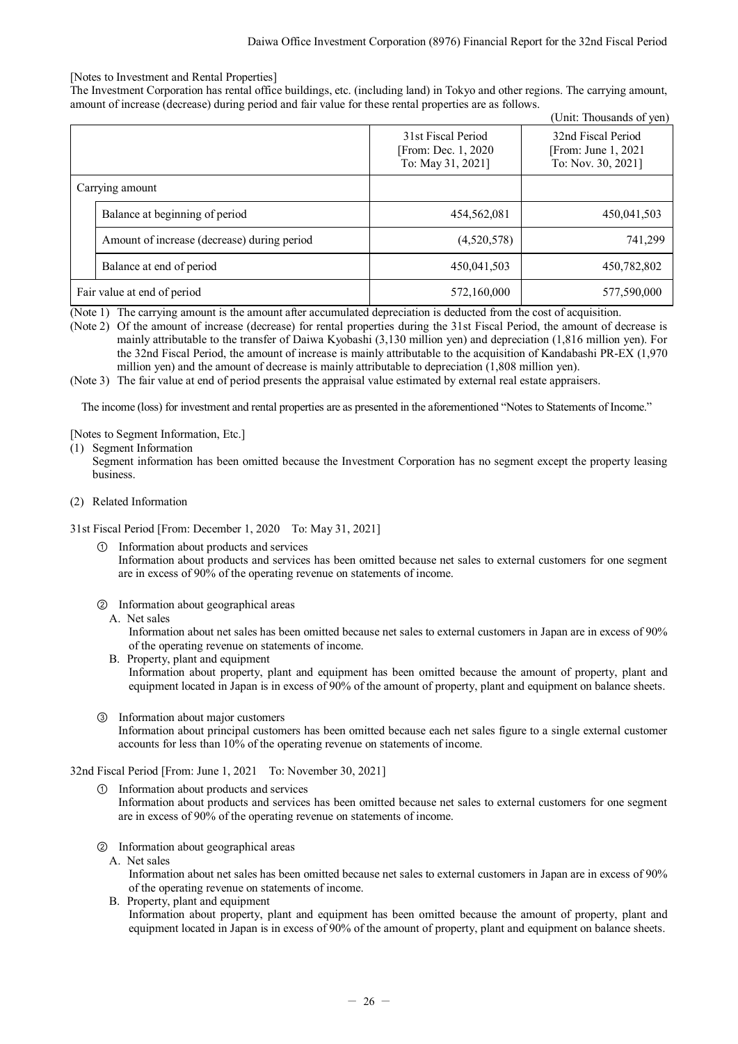## [Notes to Investment and Rental Properties]

The Investment Corporation has rental office buildings, etc. (including land) in Tokyo and other regions. The carrying amount, amount of increase (decrease) during period and fair value for these rental properties are as follows.

| (Unit: Thousands of yen) |                                             |                                                                 |                                                                  |  |
|--------------------------|---------------------------------------------|-----------------------------------------------------------------|------------------------------------------------------------------|--|
|                          |                                             | 31st Fiscal Period<br>[From: Dec. 1, 2020]<br>To: May 31, 2021] | 32nd Fiscal Period<br>[From: June 1, 2021]<br>To: Nov. 30, 2021] |  |
| Carrying amount          |                                             |                                                                 |                                                                  |  |
|                          | Balance at beginning of period              | 454,562,081                                                     | 450,041,503                                                      |  |
|                          | Amount of increase (decrease) during period | (4,520,578)                                                     | 741,299                                                          |  |
|                          | Balance at end of period                    | 450,041,503                                                     | 450,782,802                                                      |  |
|                          | Fair value at end of period                 | 572,160,000                                                     | 577,590,000                                                      |  |

(Note 1) The carrying amount is the amount after accumulated depreciation is deducted from the cost of acquisition.

(Note 2) Of the amount of increase (decrease) for rental properties during the 31st Fiscal Period, the amount of decrease is mainly attributable to the transfer of Daiwa Kyobashi (3,130 million yen) and depreciation (1,816 million yen). For the 32nd Fiscal Period, the amount of increase is mainly attributable to the acquisition of Kandabashi PR-EX (1,970 million yen) and the amount of decrease is mainly attributable to depreciation (1,808 million yen).

(Note 3) The fair value at end of period presents the appraisal value estimated by external real estate appraisers.

The income (loss) for investment and rental properties are as presented in the aforementioned "Notes to Statements of Income."

## [Notes to Segment Information, Etc.]

(1) Segment Information

Segment information has been omitted because the Investment Corporation has no segment except the property leasing business.

(2) Related Information

31st Fiscal Period [From: December 1, 2020 To: May 31, 2021]

- ① Information about products and services Information about products and services has been omitted because net sales to external customers for one segment are in excess of 90% of the operating revenue on statements of income.
- ② Information about geographical areas
	- A. Net sales

Information about net sales has been omitted because net sales to external customers in Japan are in excess of 90% of the operating revenue on statements of income.

- B. Property, plant and equipment Information about property, plant and equipment has been omitted because the amount of property, plant and equipment located in Japan is in excess of 90% of the amount of property, plant and equipment on balance sheets.
- ③ Information about major customers Information about principal customers has been omitted because each net sales figure to a single external customer accounts for less than 10% of the operating revenue on statements of income.

## 32nd Fiscal Period [From: June 1, 2021 To: November 30, 2021]

- ① Information about products and services Information about products and services has been omitted because net sales to external customers for one segment are in excess of 90% of the operating revenue on statements of income.
- ② Information about geographical areas
	- A. Net sales

Information about net sales has been omitted because net sales to external customers in Japan are in excess of 90% of the operating revenue on statements of income.

B. Property, plant and equipment Information about property, plant and equipment has been omitted because the amount of property, plant and equipment located in Japan is in excess of 90% of the amount of property, plant and equipment on balance sheets.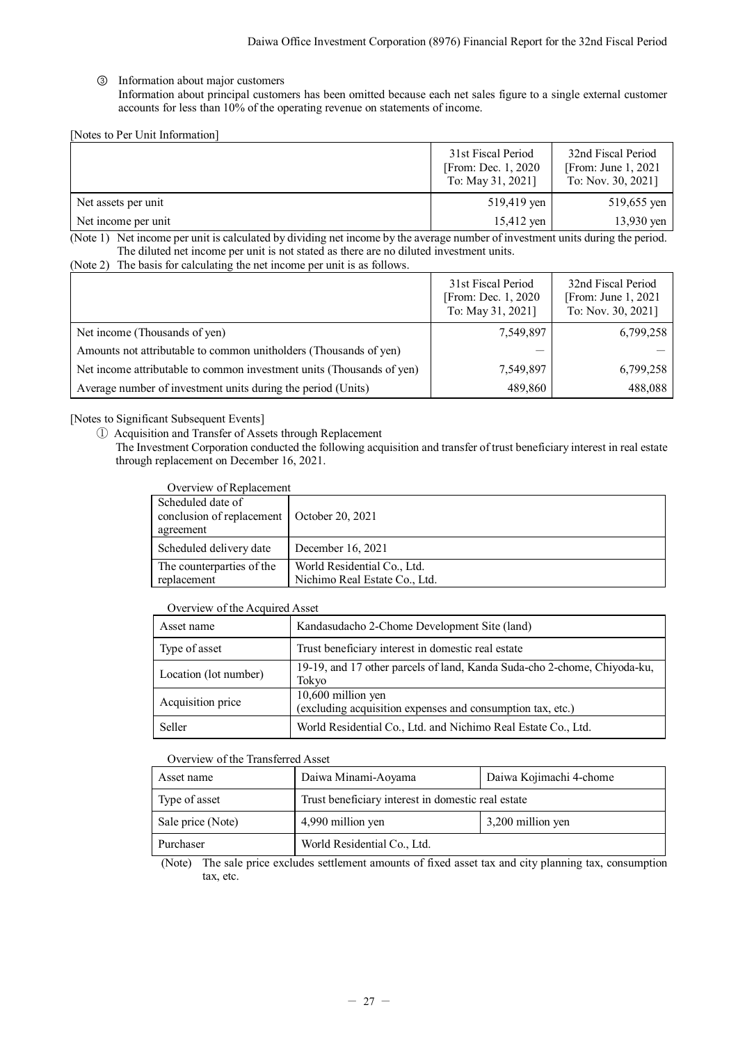## ③ Information about major customers

Information about principal customers has been omitted because each net sales figure to a single external customer accounts for less than 10% of the operating revenue on statements of income.

[Notes to Per Unit Information]

|                     | 31st Fiscal Period<br>[From: Dec. 1, 2020]<br>To: May 31, 2021] | 32nd Fiscal Period<br>[From: June $1, 2021$ ]<br>To: Nov. 30, 2021] |
|---------------------|-----------------------------------------------------------------|---------------------------------------------------------------------|
| Net assets per unit | 519,419 yen                                                     | 519,655 yen                                                         |
| Net income per unit | 15,412 yen                                                      | $13,930$ yen                                                        |

(Note 1) Net income per unit is calculated by dividing net income by the average number of investment units during the period. The diluted net income per unit is not stated as there are no diluted investment units.

<sup>(</sup>Note 2) The basis for calculating the net income per unit is as follows.

|                                                                       | 31st Fiscal Period<br>[From: Dec. 1, 2020]<br>To: May 31, 2021] | 32nd Fiscal Period<br>[From: June $1, 2021$ ]<br>To: Nov. 30, 2021] |
|-----------------------------------------------------------------------|-----------------------------------------------------------------|---------------------------------------------------------------------|
| Net income (Thousands of yen)                                         | 7,549,897                                                       | 6,799,258                                                           |
| Amounts not attributable to common unitholders (Thousands of yen)     | _                                                               |                                                                     |
| Net income attributable to common investment units (Thousands of yen) | 7,549,897                                                       | 6,799,258                                                           |
| Average number of investment units during the period (Units)          | 489,860                                                         | 488,088                                                             |

## [Notes to Significant Subsequent Events]

① Acquisition and Transfer of Assets through Replacement

The Investment Corporation conducted the following acquisition and transfer of trust beneficiary interest in real estate through replacement on December 16, 2021.

| Overview of Replacement                                      |  |  |  |
|--------------------------------------------------------------|--|--|--|
| conclusion of replacement   October 20, 2021                 |  |  |  |
| December 16, 2021                                            |  |  |  |
| World Residential Co., Ltd.<br>Nichimo Real Estate Co., Ltd. |  |  |  |
|                                                              |  |  |  |

## Overview of the Acquired Asset

| Asset name            | Kandasudacho 2-Chome Development Site (land)                                       |
|-----------------------|------------------------------------------------------------------------------------|
| Type of asset         | Trust beneficiary interest in domestic real estate                                 |
| Location (lot number) | 19-19, and 17 other parcels of land, Kanda Suda-cho 2-chome, Chiyoda-ku,<br>Tokyo  |
| Acquisition price     | $10,600$ million yen<br>(excluding acquisition expenses and consumption tax, etc.) |
| Seller                | World Residential Co., Ltd. and Nichimo Real Estate Co., Ltd.                      |

## Overview of the Transferred Asset

| Asset name        | Daiwa Minami-Aoyama                                | Daiwa Kojimachi 4-chome |  |
|-------------------|----------------------------------------------------|-------------------------|--|
| Type of asset     | Trust beneficiary interest in domestic real estate |                         |  |
| Sale price (Note) | 3,200 million yen<br>4,990 million yen             |                         |  |
| Purchaser         | World Residential Co., Ltd.                        |                         |  |

(Note) The sale price excludes settlement amounts of fixed asset tax and city planning tax, consumption tax, etc.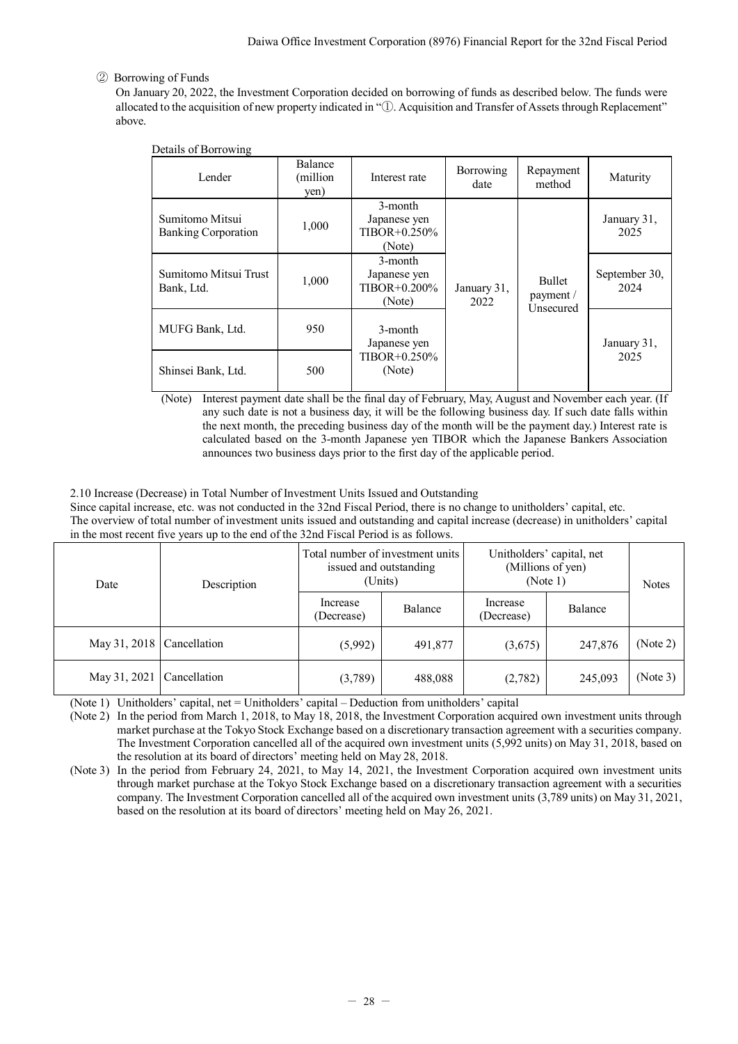# ② Borrowing of Funds

On January 20, 2022, the Investment Corporation decided on borrowing of funds as described below. The funds were allocated to the acquisition of new property indicated in "①. Acquisition and Transfer of Assets through Replacement" above.

| Details of Borrowing                          |                              |                                                        |                     |                               |                       |
|-----------------------------------------------|------------------------------|--------------------------------------------------------|---------------------|-------------------------------|-----------------------|
| Lender                                        | Balance<br>(million)<br>yen) | Interest rate                                          | Borrowing<br>date   | Repayment<br>method           | Maturity              |
| Sumitomo Mitsui<br><b>Banking Corporation</b> | 1,000                        | 3-month<br>Japanese yen<br>$TIBOR + 0.250\%$<br>(Note) |                     | <b>Bullet</b>                 | January 31,<br>2025   |
| Sumitomo Mitsui Trust<br>Bank, Ltd.           | 1,000                        | 3-month<br>Japanese yen<br>$TIBOR + 0.200\%$<br>(Note) | January 31,<br>2022 | payment /<br><b>Unsecured</b> | September 30,<br>2024 |
| MUFG Bank, Ltd.                               | 950                          | 3-month<br>Japanese yen                                |                     |                               | January 31,           |
| Shinsei Bank, Ltd.                            | 500                          | $TIBOR + 0.250\%$<br>(Note)                            |                     |                               | 2025                  |

(Note) Interest payment date shall be the final day of February, May, August and November each year. (If any such date is not a business day, it will be the following business day. If such date falls within the next month, the preceding business day of the month will be the payment day.) Interest rate is calculated based on the 3-month Japanese yen TIBOR which the Japanese Bankers Association announces two business days prior to the first day of the applicable period.

## <span id="page-29-0"></span>2.10 Increase (Decrease) in Total Number of Investment Units Issued and Outstanding

Since capital increase, etc. was not conducted in the 32nd Fiscal Period, there is no change to unitholders' capital, etc. The overview of total number of investment units issued and outstanding and capital increase (decrease) in unitholders' capital in the most recent five years up to the end of the 32nd Fiscal Period is as follows.

| Date         | Description  | Total number of investment units<br>issued and outstanding<br>(Units) |         | Unitholders' capital, net<br>(Millions of yen)<br>(Note 1) |         | <b>Notes</b> |
|--------------|--------------|-----------------------------------------------------------------------|---------|------------------------------------------------------------|---------|--------------|
|              |              | Increase<br>(Decrease)                                                | Balance | Increase<br>(Decrease)                                     | Balance |              |
| May 31, 2018 | Cancellation | (5,992)                                                               | 491,877 | (3,675)                                                    | 247,876 | (Note 2)     |
| May 31, 2021 | Cancellation | (3,789)                                                               | 488,088 | (2,782)                                                    | 245,093 | (Note 3)     |

(Note 1) Unitholders' capital, net = Unitholders' capital – Deduction from unitholders' capital

(Note 2) In the period from March 1, 2018, to May 18, 2018, the Investment Corporation acquired own investment units through market purchase at the Tokyo Stock Exchange based on a discretionary transaction agreement with a securities company. The Investment Corporation cancelled all of the acquired own investment units (5,992 units) on May 31, 2018, based on the resolution at its board of directors' meeting held on May 28, 2018.

(Note 3) In the period from February 24, 2021, to May 14, 2021, the Investment Corporation acquired own investment units through market purchase at the Tokyo Stock Exchange based on a discretionary transaction agreement with a securities company. The Investment Corporation cancelled all of the acquired own investment units (3,789 units) on May 31, 2021, based on the resolution at its board of directors' meeting held on May 26, 2021.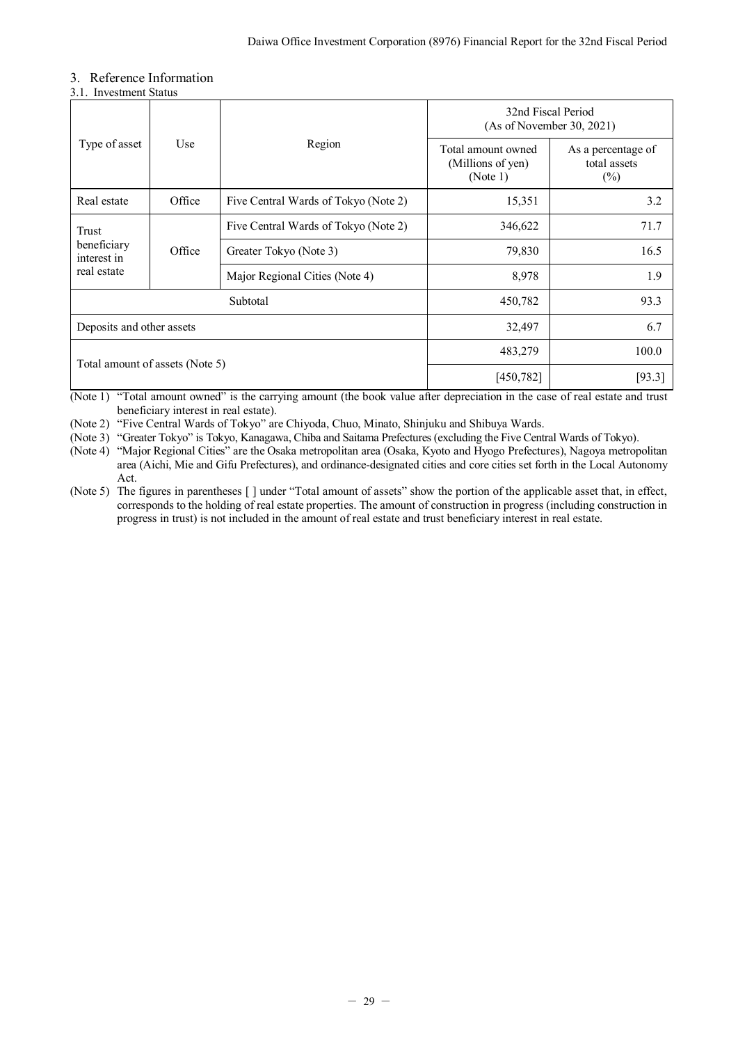# <span id="page-30-0"></span>3. Reference Information

<span id="page-30-1"></span>

|  | 3.1. Investment Status |
|--|------------------------|

|                                                              |                                |                                      | 32nd Fiscal Period<br>(As of November 30, 2021)     |                                              |  |
|--------------------------------------------------------------|--------------------------------|--------------------------------------|-----------------------------------------------------|----------------------------------------------|--|
| Type of asset                                                | Use                            | Region                               | Total amount owned<br>(Millions of yen)<br>(Note 1) | As a percentage of<br>total assets<br>$(\%)$ |  |
| Real estate                                                  | Office                         | Five Central Wards of Tokyo (Note 2) | 15,351                                              | 3.2                                          |  |
| Trust<br>beneficiary<br>Office<br>interest in<br>real estate |                                | Five Central Wards of Tokyo (Note 2) | 346,622                                             | 71.7                                         |  |
|                                                              |                                | Greater Tokyo (Note 3)               | 79,830                                              | 16.5                                         |  |
|                                                              | Major Regional Cities (Note 4) | 8,978                                | 1.9                                                 |                                              |  |
|                                                              |                                | Subtotal<br>450,782                  |                                                     | 93.3                                         |  |
| Deposits and other assets                                    |                                | 32,497                               | 6.7                                                 |                                              |  |
|                                                              |                                |                                      | 483,279                                             | 100.0                                        |  |
| Total amount of assets (Note 5)                              |                                |                                      | [450,782]                                           | [93.3]                                       |  |

(Note 1) "Total amount owned" is the carrying amount (the book value after depreciation in the case of real estate and trust beneficiary interest in real estate).

(Note 2) "Five Central Wards of Tokyo" are Chiyoda, Chuo, Minato, Shinjuku and Shibuya Wards.

(Note 3) "Greater Tokyo" is Tokyo, Kanagawa, Chiba and Saitama Prefectures (excluding the Five Central Wards of Tokyo).

(Note 4) "Major Regional Cities" are the Osaka metropolitan area (Osaka, Kyoto and Hyogo Prefectures), Nagoya metropolitan area (Aichi, Mie and Gifu Prefectures), and ordinance-designated cities and core cities set forth in the Local Autonomy Act.

(Note 5) The figures in parentheses [ ] under "Total amount of assets" show the portion of the applicable asset that, in effect, corresponds to the holding of real estate properties. The amount of construction in progress (including construction in progress in trust) is not included in the amount of real estate and trust beneficiary interest in real estate.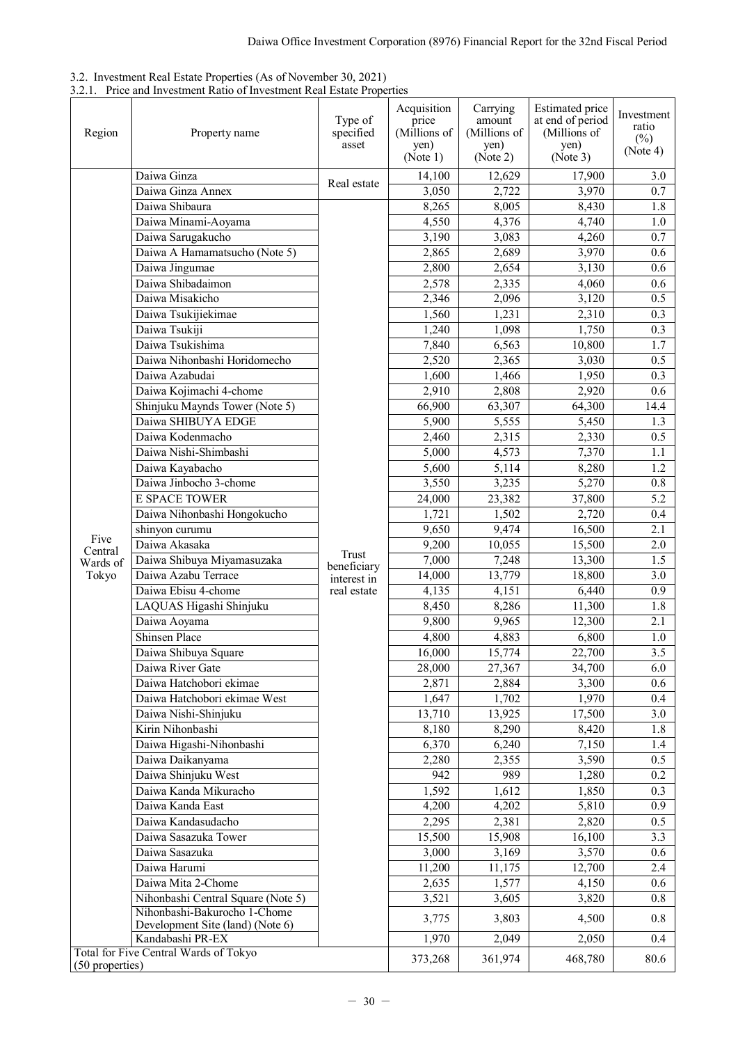<span id="page-31-0"></span>

| 3.2. Investment Real Estate Properties (As of November 30, 2021) |  |  |  |
|------------------------------------------------------------------|--|--|--|
|                                                                  |  |  |  |

<span id="page-31-1"></span>3.2.1. Price and Investment Ratio of Investment Real Estate Properties

| Region            | Property name                                                    | Type of<br>specified<br>asset | Acquisition<br>price<br>(Millions of<br>yen)<br>(Note 1) | Carrying<br>amount<br>(Millions of<br>yen)<br>(Note 2) | Estimated price<br>at end of period<br>(Millions of<br>yen)<br>(Note 3) | Investment<br>ratio<br>$(\%)$<br>(Note 4) |
|-------------------|------------------------------------------------------------------|-------------------------------|----------------------------------------------------------|--------------------------------------------------------|-------------------------------------------------------------------------|-------------------------------------------|
|                   | Daiwa Ginza                                                      |                               | 14,100                                                   | 12,629                                                 |                                                                         | 3.0                                       |
|                   | Daiwa Ginza Annex                                                | Real estate                   | 3,050                                                    | 2,722                                                  | 17,900<br>3,970                                                         | 0.7                                       |
|                   | Daiwa Shibaura                                                   |                               | 8,265                                                    | 8,005                                                  | 8,430                                                                   | 1.8                                       |
|                   | Daiwa Minami-Aoyama                                              |                               | 4,550                                                    | 4,376                                                  | 4,740                                                                   | 1.0                                       |
|                   | Daiwa Sarugakucho                                                |                               | 3,190                                                    | 3,083                                                  | 4,260                                                                   | 0.7                                       |
|                   | Daiwa A Hamamatsucho (Note 5)                                    |                               | 2,865                                                    | 2,689                                                  | 3,970                                                                   | 0.6                                       |
|                   | Daiwa Jingumae                                                   |                               | 2,800                                                    | 2,654                                                  | 3,130                                                                   | 0.6                                       |
|                   | Daiwa Shibadaimon                                                |                               | 2,578                                                    | 2,335                                                  | 4,060                                                                   | 0.6                                       |
|                   | Daiwa Misakicho                                                  |                               | 2,346                                                    | 2,096                                                  | 3,120                                                                   | 0.5                                       |
|                   | Daiwa Tsukijiekimae                                              |                               | 1,560                                                    | 1,231                                                  | 2,310                                                                   | 0.3                                       |
|                   | Daiwa Tsukiji                                                    |                               | 1,240                                                    | 1,098                                                  | 1,750                                                                   | 0.3                                       |
|                   | Daiwa Tsukishima                                                 |                               | 7,840                                                    | 6,563                                                  | 10,800                                                                  | $\overline{1.7}$                          |
|                   | Daiwa Nihonbashi Horidomecho                                     |                               | 2,520                                                    | 2,365                                                  | 3,030                                                                   | 0.5                                       |
|                   | Daiwa Azabudai                                                   |                               | 1,600                                                    | 1,466                                                  | 1,950                                                                   | 0.3                                       |
|                   | Daiwa Kojimachi 4-chome                                          |                               | 2,910                                                    | 2,808                                                  | 2,920                                                                   | 0.6                                       |
|                   | Shinjuku Maynds Tower (Note 5)                                   |                               | 66,900                                                   | 63,307                                                 | 64,300                                                                  | 14.4                                      |
|                   | Daiwa SHIBUYA EDGE                                               |                               | 5,900                                                    | 5,555                                                  | 5,450                                                                   | 1.3                                       |
|                   | Daiwa Kodenmacho                                                 |                               | 2,460                                                    | 2,315                                                  | 2,330                                                                   | 0.5                                       |
|                   | Daiwa Nishi-Shimbashi                                            |                               | 5,000                                                    | 4,573                                                  | 7,370                                                                   | 1.1                                       |
|                   | Daiwa Kayabacho                                                  |                               | 5,600                                                    | 5,114                                                  | 8,280                                                                   | 1.2                                       |
|                   | Daiwa Jinbocho 3-chome                                           |                               | 3,550                                                    | 3,235                                                  | 5,270                                                                   | $0.8\,$                                   |
|                   | <b>E SPACE TOWER</b>                                             |                               | 24,000                                                   | 23,382                                                 | 37,800                                                                  | $\overline{5.2}$                          |
|                   | Daiwa Nihonbashi Hongokucho                                      |                               | 1,721                                                    | 1,502                                                  | 2,720                                                                   | 0.4                                       |
|                   | shinyon curumu                                                   | Trust                         | 9,650                                                    | 9,474                                                  | 16,500                                                                  | $\overline{2.1}$                          |
| Five              | Daiwa Akasaka                                                    |                               | 9,200                                                    | 10,055                                                 | 15,500                                                                  | 2.0                                       |
| Central           | Daiwa Shibuya Miyamasuzaka                                       |                               | 7,000                                                    | 7,248                                                  | 13,300                                                                  | 1.5                                       |
| Wards of<br>Tokyo | Daiwa Azabu Terrace                                              | beneficiary                   | 14,000                                                   | 13,779                                                 | 18,800                                                                  | 3.0                                       |
|                   | Daiwa Ebisu 4-chome                                              | interest in<br>real estate    | 4,135                                                    | 4,151                                                  | 6,440                                                                   | 0.9                                       |
|                   | LAQUAS Higashi Shinjuku                                          |                               | 8,450                                                    | 8,286                                                  | 11,300                                                                  | 1.8                                       |
|                   | Daiwa Aoyama                                                     |                               | 9,800                                                    | 9,965                                                  | 12,300                                                                  | 2.1                                       |
|                   | <b>Shinsen Place</b>                                             |                               | 4,800                                                    | 4,883                                                  | 6,800                                                                   | 1.0                                       |
|                   | Daiwa Shibuya Square                                             |                               | 16,000                                                   | 15,774                                                 | 22,700                                                                  | $\overline{3.5}$                          |
|                   | Daiwa River Gate                                                 |                               | 28,000                                                   | 27,367                                                 | 34,700                                                                  | 6.0                                       |
|                   | Daiwa Hatchobori ekimae                                          |                               | 2,871                                                    | 2,884                                                  | 3,300                                                                   | 0.6                                       |
|                   | Daiwa Hatchobori ekimae West                                     |                               | 1,647                                                    | 1,702                                                  | 1,970                                                                   | 0.4                                       |
|                   | Daiwa Nishi-Shinjuku                                             |                               | 13,710                                                   | 13,925                                                 | 17,500                                                                  | 3.0                                       |
|                   | Kirin Nihonbashi                                                 |                               | 8,180                                                    | 8,290                                                  | 8,420                                                                   | 1.8                                       |
|                   | Daiwa Higashi-Nihonbashi                                         |                               | 6,370                                                    | 6,240                                                  | 7,150                                                                   | 1.4                                       |
|                   | Daiwa Daikanyama                                                 |                               | 2,280                                                    | 2,355                                                  | 3,590                                                                   | 0.5                                       |
|                   | Daiwa Shinjuku West                                              |                               | 942                                                      | 989                                                    | 1,280                                                                   | 0.2                                       |
|                   | Daiwa Kanda Mikuracho                                            |                               | 1,592                                                    | 1,612                                                  | 1,850                                                                   | 0.3                                       |
|                   | Daiwa Kanda East                                                 |                               | 4,200                                                    | 4,202                                                  | 5,810                                                                   | 0.9 <sub>0</sub>                          |
|                   | Daiwa Kandasudacho                                               |                               | 2,295                                                    | 2,381                                                  | 2,820                                                                   | 0.5                                       |
|                   | Daiwa Sasazuka Tower                                             |                               | 15,500                                                   | 15,908                                                 | 16,100                                                                  | 3.3                                       |
|                   | Daiwa Sasazuka                                                   |                               | 3,000                                                    | 3,169                                                  | 3,570                                                                   | 0.6                                       |
|                   | Daiwa Harumi                                                     |                               | 11,200                                                   | 11,175                                                 | 12,700                                                                  | 2.4                                       |
|                   | Daiwa Mita 2-Chome                                               |                               | 2,635                                                    | 1,577                                                  | 4,150                                                                   | 0.6                                       |
|                   | Nihonbashi Central Square (Note 5)                               |                               | 3,521                                                    | 3,605                                                  | 3,820                                                                   | 0.8                                       |
|                   | Nihonbashi-Bakurocho 1-Chome<br>Development Site (land) (Note 6) |                               | 3,775                                                    | 3,803                                                  | 4,500                                                                   | 0.8                                       |
|                   | Kandabashi PR-EX                                                 |                               | 1,970                                                    | 2,049                                                  | 2,050                                                                   | 0.4                                       |
| (50 properties)   | Total for Five Central Wards of Tokyo                            |                               | 373,268                                                  | 361,974                                                | 468,780                                                                 | 80.6                                      |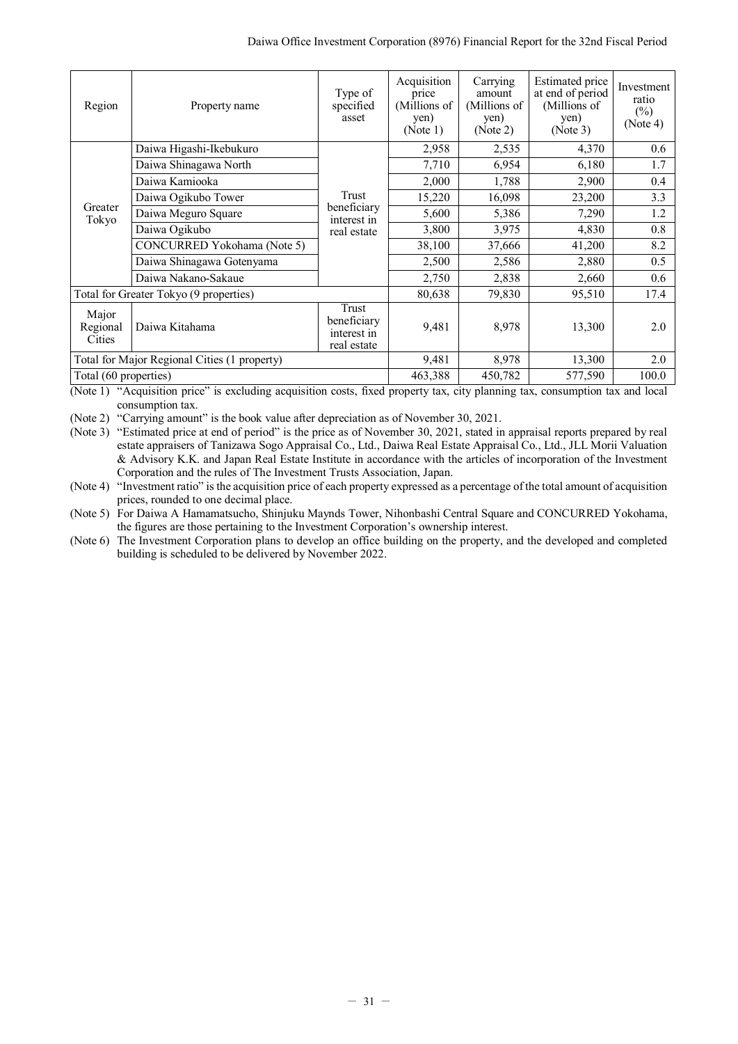| Region                                       | Property name                          | Type of<br>specified<br>asset                      | Acquisition<br>price<br>(Millions of<br>yen)<br>(Note 1) | Carrying<br>amount<br>(Millions of<br>yen)<br>(Note 2) | <b>Estimated price</b><br>at end of period<br>(Millions of<br>yen)<br>(Note 3) | Investment<br>ratio<br>$(\%)$<br>(Note 4) |
|----------------------------------------------|----------------------------------------|----------------------------------------------------|----------------------------------------------------------|--------------------------------------------------------|--------------------------------------------------------------------------------|-------------------------------------------|
|                                              | Daiwa Higashi-Ikebukuro                |                                                    | 2,958                                                    | 2,535                                                  | 4,370                                                                          | 0.6                                       |
|                                              | Daiwa Shinagawa North                  |                                                    | 7,710                                                    | 6,954                                                  | 6,180                                                                          | 1.7                                       |
|                                              | Daiwa Kamiooka                         |                                                    | 2,000                                                    | 1,788                                                  | 2,900                                                                          | 0.4                                       |
| Greater<br>Tokyo                             | Daiwa Ogikubo Tower                    | Trust                                              | 15,220                                                   | 16,098                                                 | 23,200                                                                         | 3.3                                       |
|                                              | Daiwa Meguro Square                    | beneficiary<br>interest in                         | 5,600                                                    | 5,386                                                  | 7,290                                                                          | 1.2                                       |
|                                              | Daiwa Ogikubo                          | real estate                                        | 3,800                                                    | 3,975                                                  | 4,830                                                                          | 0.8                                       |
|                                              | CONCURRED Yokohama (Note 5)            |                                                    | 38,100                                                   | 37,666                                                 | 41,200                                                                         | 8.2                                       |
|                                              | Daiwa Shinagawa Gotenyama              |                                                    | 2,500                                                    | 2,586                                                  | 2,880                                                                          | 0.5                                       |
|                                              | Daiwa Nakano-Sakaue                    |                                                    | 2,750                                                    | 2,838                                                  | 2,660                                                                          | 0.6                                       |
|                                              | Total for Greater Tokyo (9 properties) |                                                    | 80,638                                                   | 79,830                                                 | 95,510                                                                         | 17.4                                      |
| Major<br>Regional<br>Cities                  | Daiwa Kitahama                         | Trust<br>beneficiary<br>interest in<br>real estate | 9,481                                                    | 8,978                                                  | 13,300                                                                         | 2.0                                       |
| Total for Major Regional Cities (1 property) |                                        |                                                    | 9,481                                                    | 8,978                                                  | 13,300                                                                         | 2.0                                       |
|                                              | Total (60 properties)                  |                                                    |                                                          | 450,782                                                | 577,590                                                                        | 100.0                                     |

(Note 1) "Acquisition price" is excluding acquisition costs, fixed property tax, city planning tax, consumption tax and local consumption tax.

(Note 2) "Carrying amount" is the book value after depreciation as of November 30, 2021.

(Note 3) "Estimated price at end of period" is the price as of November 30, 2021, stated in appraisal reports prepared by real estate appraisers of Tanizawa Sogo Appraisal Co., Ltd., Daiwa Real Estate Appraisal Co., Ltd., JLL Morii Valuation & Advisory K.K. and Japan Real Estate Institute in accordance with the articles of incorporation of the Investment Corporation and the rules of The Investment Trusts Association, Japan.

(Note 4) "Investment ratio" is the acquisition price of each property expressed as a percentage of the total amount of acquisition prices, rounded to one decimal place.

(Note 5) For Daiwa A Hamamatsucho, Shinjuku Maynds Tower, Nihonbashi Central Square and CONCURRED Yokohama, the figures are those pertaining to the Investment Corporation's ownership interest.

(Note 6) The Investment Corporation plans to develop an office building on the property, and the developed and completed building is scheduled to be delivered by November 2022.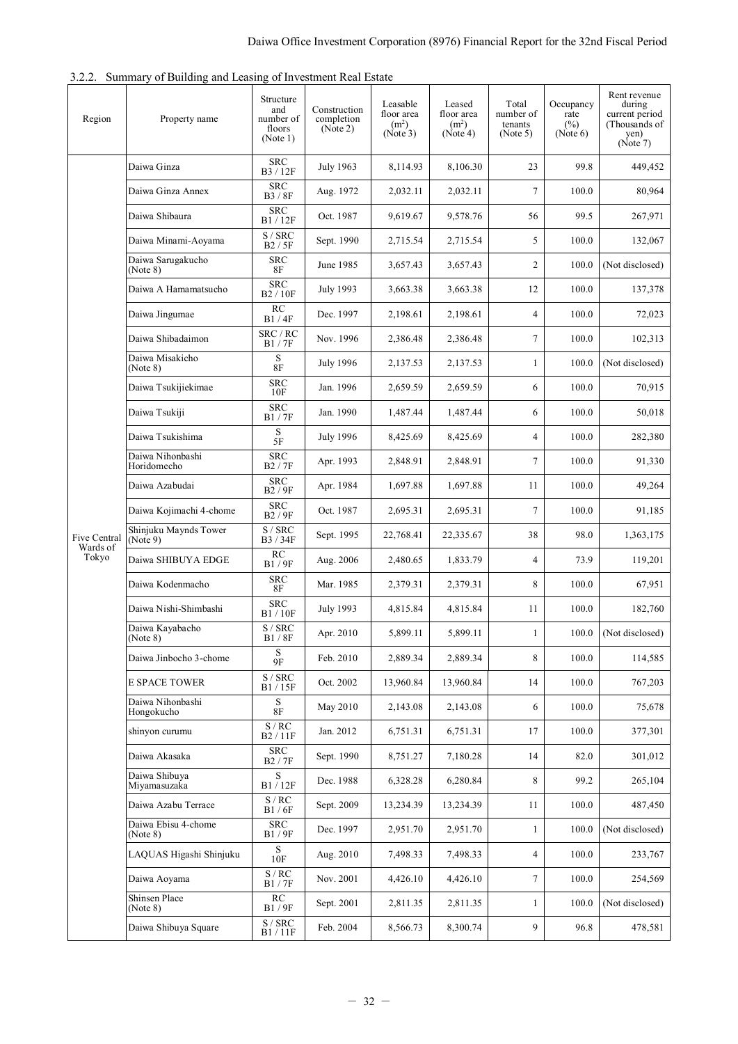<span id="page-33-0"></span>

| 3.2.2. Summary of Building and Leasing of Investment Real Estate |  |  |  |  |  |  |
|------------------------------------------------------------------|--|--|--|--|--|--|
|------------------------------------------------------------------|--|--|--|--|--|--|

| Region            | Property name                     | Structure<br>and<br>number of<br>floors<br>(Note 1) | Construction<br>completion<br>(Note 2) | Leasable<br>floor area<br>(m <sup>2</sup> )<br>(Note 3) | Leased<br>floor area<br>(m <sup>2</sup> )<br>(Note 4) | Total<br>number of<br>tenants<br>(Note 5) | Occupancy<br>rate<br>$(\%)$<br>(Note 6) | Rent revenue<br>during<br>current period<br>(Thousands of<br>yen)<br>(Note 7) |
|-------------------|-----------------------------------|-----------------------------------------------------|----------------------------------------|---------------------------------------------------------|-------------------------------------------------------|-------------------------------------------|-----------------------------------------|-------------------------------------------------------------------------------|
|                   | Daiwa Ginza                       | <b>SRC</b><br>B3/12F                                | July 1963                              | 8,114.93                                                | 8.106.30                                              | 23                                        | 99.8                                    | 449,452                                                                       |
|                   | Daiwa Ginza Annex                 | <b>SRC</b><br>B3 / 8F                               | Aug. 1972                              | 2,032.11                                                | 2,032.11                                              | $\tau$                                    | 100.0                                   | 80,964                                                                        |
|                   | Daiwa Shibaura                    | <b>SRC</b><br>B1/12F                                | Oct. 1987                              | 9,619.67                                                | 9,578.76                                              | 56                                        | 99.5                                    | 267,971                                                                       |
|                   | Daiwa Minami-Aoyama               | S / SRC<br>B2/5F                                    | Sept. 1990                             | 2,715.54                                                | 2,715.54                                              | 5                                         | 100.0                                   | 132,067                                                                       |
|                   | Daiwa Sarugakucho<br>(Note 8)     | <b>SRC</b><br>8F                                    | June 1985                              | 3,657.43                                                | 3,657.43                                              | 2                                         | 100.0                                   | (Not disclosed)                                                               |
|                   | Daiwa A Hamamatsucho              | <b>SRC</b><br>B2 / 10F                              | July 1993                              | 3,663.38                                                | 3,663.38                                              | 12                                        | 100.0                                   | 137,378                                                                       |
|                   | Daiwa Jingumae                    | RC<br>B1/4F                                         | Dec. 1997                              | 2,198.61                                                | 2,198.61                                              | $\overline{4}$                            | 100.0                                   | 72,023                                                                        |
|                   | Daiwa Shibadaimon                 | SRC / RC<br>B1/7F                                   | Nov. 1996                              | 2.386.48                                                | 2,386.48                                              | 7                                         | 100.0                                   | 102,313                                                                       |
|                   | Daiwa Misakicho<br>(Note 8)       | S<br>$8\mathrm{F}$                                  | <b>July 1996</b>                       | 2,137.53                                                | 2,137.53                                              | 1                                         | 100.0                                   | (Not disclosed)                                                               |
|                   | Daiwa Tsukijiekimae               | <b>SRC</b><br>10F                                   | Jan. 1996                              | 2,659.59                                                | 2,659.59                                              | 6                                         | 100.0                                   | 70,915                                                                        |
|                   | Daiwa Tsukiji                     | <b>SRC</b><br><b>B1/7F</b>                          | Jan. 1990                              | 1,487.44                                                | 1,487.44                                              | 6                                         | 100.0                                   | 50,018                                                                        |
|                   | Daiwa Tsukishima                  | $rac{S}{5F}$                                        | July 1996                              | 8,425.69                                                | 8,425.69                                              | 4                                         | 100.0                                   | 282,380                                                                       |
|                   | Daiwa Nihonbashi<br>Horidomecho   | <b>SRC</b><br>B2 / 7F                               | Apr. 1993                              | 2,848.91                                                | 2,848.91                                              | 7                                         | 100.0                                   | 91,330                                                                        |
|                   | Daiwa Azabudai                    | <b>SRC</b><br>B2 / 9F                               | Apr. 1984                              | 1,697.88                                                | 1,697.88                                              | 11                                        | 100.0                                   | 49,264                                                                        |
|                   | Daiwa Kojimachi 4-chome           | <b>SRC</b><br>B2 / 9F                               | Oct. 1987                              | 2,695.31                                                | 2,695.31                                              | $\tau$                                    | 100.0                                   | 91,185                                                                        |
| Five Central      | Shinjuku Maynds Tower<br>(Note 9) | S / SRC<br>B3/34F                                   | Sept. 1995                             | 22,768.41                                               | 22,335.67                                             | 38                                        | 98.0                                    | 1,363,175                                                                     |
| Wards of<br>Tokyo | Daiwa SHIBUYA EDGE                | RC<br>B1/9F                                         | Aug. 2006                              | 2,480.65                                                | 1,833.79                                              | 4                                         | 73.9                                    | 119,201                                                                       |
|                   | Daiwa Kodenmacho                  | <b>SRC</b><br>8F                                    | Mar. 1985                              | 2,379.31                                                | 2,379.31                                              | 8                                         | 100.0                                   | 67,951                                                                        |
|                   | Daiwa Nishi-Shimbashi             | <b>SRC</b><br>B1/10F                                | July 1993                              | 4.815.84                                                | 4,815.84                                              | 11                                        | 100.0                                   | 182,760                                                                       |
|                   | Daiwa Kayabacho<br>(Note 8)       | S / SRC<br>B1/8F                                    | Apr. 2010                              | 5,899.11                                                | 5,899.11                                              | 1                                         | 100.0                                   | (Not disclosed)                                                               |
|                   | Daiwa Jinbocho 3-chome            | S<br>$9F$                                           | Feb. 2010                              | 2,889.34                                                | 2,889.34                                              | 8                                         | 100.0                                   | 114,585                                                                       |
|                   | <b>E SPACE TOWER</b>              | $\overline{S}$ / $SRC$<br>B1/15F                    | Oct. 2002                              | 13,960.84                                               | 13,960.84                                             | 14                                        | 100.0                                   | 767,203                                                                       |
|                   | Daiwa Nihonbashi<br>Hongokucho    | S<br>8F                                             | May 2010                               | 2,143.08                                                | 2,143.08                                              | 6                                         | 100.0                                   | 75,678                                                                        |
|                   | shinyon curumu                    | $\frac{S/RC}{B2/11F}$                               | Jan. 2012                              | 6,751.31                                                | 6,751.31                                              | 17                                        | 100.0                                   | 377,301                                                                       |
|                   | Daiwa Akasaka                     | <b>SRC</b><br>B2 / 7F                               | Sept. 1990                             | 8,751.27                                                | 7,180.28                                              | 14                                        | 82.0                                    | 301,012                                                                       |
|                   | Daiwa Shibuya<br>Miyamasuzaka     | ${\bf S}$<br>$\rm B1$ / $\rm 12F$                   | Dec. 1988                              | 6,328.28                                                | 6,280.84                                              | 8                                         | 99.2                                    | 265,104                                                                       |
|                   | Daiwa Azabu Terrace               | S/RC<br>B1/6F                                       | Sept. 2009                             | 13,234.39                                               | 13,234.39                                             | 11                                        | 100.0                                   | 487,450                                                                       |
|                   | Daiwa Ebisu 4-chome<br>(Note 8)   | SRC<br>B1/9F                                        | Dec. 1997                              | 2,951.70                                                | 2,951.70                                              | 1                                         | 100.0                                   | (Not disclosed)                                                               |
|                   | LAQUAS Higashi Shinjuku           | S<br>10F                                            | Aug. 2010                              | 7,498.33                                                | 7,498.33                                              | 4                                         | 100.0                                   | 233,767                                                                       |
|                   | Daiwa Aoyama                      | $\overline{S}$ / RC<br>B1/7F                        | Nov. 2001                              | 4,426.10                                                | 4,426.10                                              | $\tau$                                    | 100.0                                   | 254,569                                                                       |
|                   | Shinsen Place<br>(Note 8)         | RC<br>B1/9F                                         | Sept. 2001                             | 2,811.35                                                | 2,811.35                                              | 1                                         | 100.0                                   | (Not disclosed)                                                               |
|                   | Daiwa Shibuya Square              | S / SRC<br>$\mathbf{B1}$ / $11\mathbf{F}$           | Feb. 2004                              | 8,566.73                                                | 8,300.74                                              | 9                                         | 96.8                                    | 478,581                                                                       |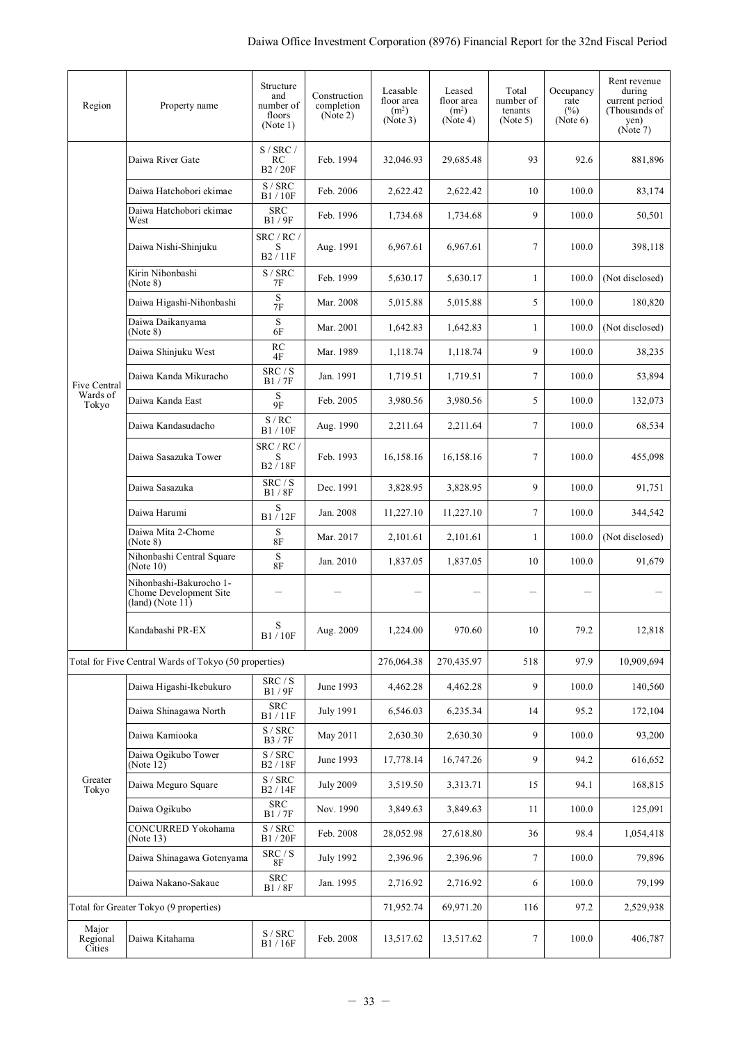| Region                      | Property name                                                               | Structure<br>and<br>number of<br>floors<br>(Note 1)                 | Construction<br>completion<br>(Note 2) | Leasable<br>floor area<br>(m <sup>2</sup> )<br>(Note 3) | Leased<br>floor area<br>(m <sup>2</sup> )<br>(Note 4) | Total<br>number of<br>tenants<br>(Note 5) | Occupancy<br>rate<br>$(\%)$<br>(Note 6) | Rent revenue<br>during<br>current period<br>(Thousands of<br>yen)<br>(Note 7) |
|-----------------------------|-----------------------------------------------------------------------------|---------------------------------------------------------------------|----------------------------------------|---------------------------------------------------------|-------------------------------------------------------|-------------------------------------------|-----------------------------------------|-------------------------------------------------------------------------------|
|                             | Daiwa River Gate                                                            | S / SRC /<br>RC<br>B <sub>2</sub> / 20F                             | Feb. 1994                              | 32,046.93                                               | 29,685.48                                             | 93                                        | 92.6                                    | 881,896                                                                       |
|                             | Daiwa Hatchobori ekimae                                                     | S / SRC<br>B1/10F                                                   | Feb. 2006                              | 2,622.42                                                | 2,622.42                                              | 10                                        | 100.0                                   | 83,174                                                                        |
|                             | Daiwa Hatchobori ekimae<br>West                                             | <b>SRC</b><br>B1/9F                                                 | Feb. 1996                              | 1,734.68                                                | 1,734.68                                              | 9                                         | 100.0                                   | 50,501                                                                        |
|                             | Daiwa Nishi-Shinjuku                                                        | SRC / RC /<br>S<br>B2/11F                                           | Aug. 1991                              | 6.967.61                                                | 6,967.61                                              | $\tau$                                    | 100.0                                   | 398,118                                                                       |
|                             | Kirin Nihonbashi<br>(Note 8)                                                | S / SRC<br>7F                                                       | Feb. 1999                              | 5,630.17                                                | 5,630.17                                              | $\mathbf{1}$                              | 100.0                                   | (Not disclosed)                                                               |
|                             | Daiwa Higashi-Nihonbashi                                                    | S<br>7F                                                             | Mar. 2008                              | 5,015.88                                                | 5,015.88                                              | 5                                         | 100.0                                   | 180,820                                                                       |
|                             | Daiwa Daikanyama<br>(Note 8)                                                | $\mathbf S$<br>6F                                                   | Mar. 2001                              | 1,642.83                                                | 1,642.83                                              | 1                                         | 100.0                                   | (Not disclosed)                                                               |
|                             | Daiwa Shinjuku West                                                         | RC<br>4F                                                            | Mar. 1989                              | 1,118.74                                                | 1.118.74                                              | 9                                         | 100.0                                   | 38,235                                                                        |
| Five Central                | Daiwa Kanda Mikuracho                                                       | SRC / S<br>B1/7F                                                    | Jan. 1991                              | 1,719.51                                                | 1,719.51                                              | $\tau$                                    | 100.0                                   | 53,894                                                                        |
| Wards of<br>Tokyo           | Daiwa Kanda East                                                            | $\mathbf S$<br>9F                                                   | Feb. 2005                              | 3,980.56                                                | 3,980.56                                              | 5                                         | 100.0                                   | 132,073                                                                       |
|                             | Daiwa Kandasudacho                                                          | S/RC<br>B1/10F                                                      | Aug. 1990                              | 2,211.64                                                | 2,211.64                                              | $\tau$                                    | 100.0                                   | 68,534                                                                        |
|                             | Daiwa Sasazuka Tower                                                        | SRC / RC /<br>S<br>B2/18F                                           | Feb. 1993                              | 16,158.16                                               | 16,158.16                                             | 7                                         | 100.0                                   | 455,098                                                                       |
|                             | Daiwa Sasazuka                                                              | SRC / S<br><b>B1/8F</b>                                             | Dec. 1991                              | 3,828.95                                                | 3,828.95                                              | 9                                         | 100.0                                   | 91,751                                                                        |
|                             | Daiwa Harumi                                                                | S<br>B1/12F                                                         | Jan. 2008                              | 11,227.10                                               | 11,227.10                                             | $\tau$                                    | 100.0                                   | 344,542                                                                       |
|                             | Daiwa Mita 2-Chome<br>(Note 8)                                              | S<br><b>8F</b>                                                      | Mar. 2017                              | 2,101.61                                                | 2,101.61                                              | 1                                         | 100.0                                   | (Not disclosed)                                                               |
|                             | Nihonbashi Central Square<br>(Note 10)                                      | S<br><b>8F</b>                                                      | Jan. 2010                              | 1,837.05                                                | 1,837.05                                              | 10                                        | 100.0                                   | 91,679                                                                        |
|                             | Nihonbashi-Bakurocho 1-<br>Chome Development Site<br>$(land)$ (Note $11)$ ) |                                                                     |                                        |                                                         |                                                       |                                           |                                         |                                                                               |
|                             | Kandabashi PR-EX                                                            | S<br>B1/10F                                                         | Aug. 2009                              | 1,224.00                                                | 970.60                                                | 10                                        | 79.2                                    | 12,818                                                                        |
|                             | Total for Five Central Wards of Tokyo (50 properties)                       |                                                                     |                                        | 276,064.38                                              | 270,435.97                                            | 518                                       | 97.9                                    | 10,909,694                                                                    |
|                             | Daiwa Higashi-Ikebukuro                                                     | $\mbox{SRC}$ / $\mbox{S}$<br>B1/9F                                  | June 1993                              | 4,462.28                                                | 4,462.28                                              | 9                                         | 100.0                                   | 140,560                                                                       |
|                             | Daiwa Shinagawa North                                                       | ${\rm SRC}$<br>B1/11F                                               | <b>July 1991</b>                       | 6,546.03                                                | 6,235.34                                              | 14                                        | 95.2                                    | 172,104                                                                       |
|                             | Daiwa Kamiooka                                                              | S / SRC<br>B3 / 7F                                                  | May 2011                               | 2,630.30                                                | 2,630.30                                              | 9                                         | 100.0                                   | 93,200                                                                        |
|                             | Daiwa Ogikubo Tower<br>(Note $12)$ )                                        | $\ensuremath{\mathrm{S}}$ / $\ensuremath{\mathrm{SRC}}$<br>B2 / 18F | June 1993                              | 17,778.14                                               | 16,747.26                                             | 9                                         | 94.2                                    | 616,652                                                                       |
| Greater<br>Tokyo            | Daiwa Meguro Square                                                         | $\ensuremath{\mathrm{S}}$ / $\ensuremath{\mathrm{SRC}}$<br>B2/14F   | <b>July 2009</b>                       | 3,519.50                                                | 3,313.71                                              | 15                                        | 94.1                                    | 168,815                                                                       |
|                             | Daiwa Ogikubo                                                               | <b>SRC</b><br>B1/7F                                                 | Nov. 1990                              | 3,849.63                                                | 3,849.63                                              | 11                                        | 100.0                                   | 125,091                                                                       |
|                             | CONCURRED Yokohama<br>(Note 13)                                             | $\ensuremath{\mathrm{S}}$ / $\ensuremath{\mathrm{SRC}}$<br>B1/20F   | Feb. 2008                              | 28,052.98                                               | 27,618.80                                             | 36                                        | 98.4                                    | 1,054,418                                                                     |
|                             | Daiwa Shinagawa Gotenyama                                                   | SRC / S<br><b>8F</b>                                                | July 1992                              | 2,396.96                                                | 2,396.96                                              | 7                                         | 100.0                                   | 79,896                                                                        |
|                             | Daiwa Nakano-Sakaue                                                         | ${\rm SRC}$<br>B1 / 8F                                              | Jan. 1995                              | 2,716.92                                                | 2,716.92                                              | 6                                         | 100.0                                   | 79,199                                                                        |
|                             | Total for Greater Tokyo (9 properties)                                      |                                                                     |                                        | 71,952.74                                               | 69,971.20                                             | 116                                       | 97.2                                    | 2,529,938                                                                     |
| Major<br>Regional<br>Cities | Daiwa Kitahama                                                              | S / SRC<br>B1/16F                                                   | Feb. 2008                              | 13,517.62                                               | 13,517.62                                             | 7                                         | 100.0                                   | 406,787                                                                       |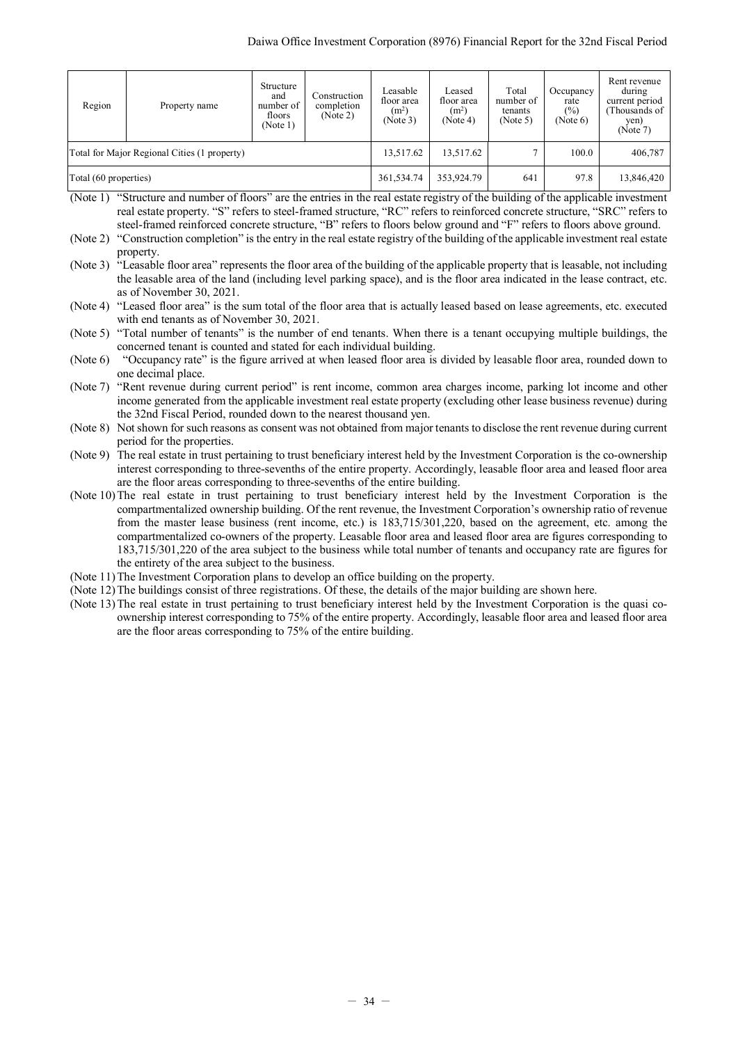| Region                                       | Property name | Structure<br>and<br>number of<br>floors<br>(Note 1) | Construction<br>completion<br>(Note 2) | Leasable<br>floor area<br>(m <sup>2</sup> )<br>(Note 3) | Leased<br>floor area<br>(m <sup>2</sup> )<br>(Note 4) | Total<br>number of<br>tenants<br>(Note 5) | Occupancy<br>rate<br>(%)<br>(Note 6) | Rent revenue<br>during<br>current period<br>(Thousands of<br>yen)<br>(Note 7) |
|----------------------------------------------|---------------|-----------------------------------------------------|----------------------------------------|---------------------------------------------------------|-------------------------------------------------------|-------------------------------------------|--------------------------------------|-------------------------------------------------------------------------------|
| Total for Major Regional Cities (1 property) |               |                                                     |                                        | 13,517.62                                               | 13,517.62                                             | ∍                                         | 100.0                                | 406,787                                                                       |
| Total (60 properties)                        |               | 361,534.74                                          | 353,924.79                             | 641                                                     | 97.8                                                  | 13,846,420                                |                                      |                                                                               |

- (Note 1) "Structure and number of floors" are the entries in the real estate registry of the building of the applicable investment real estate property. "S" refers to steel-framed structure, "RC" refers to reinforced concrete structure, "SRC" refers to steel-framed reinforced concrete structure, "B" refers to floors below ground and "F" refers to floors above ground.
- (Note 2) "Construction completion" is the entry in the real estate registry of the building of the applicable investment real estate property.
- (Note 3) <sup>"</sup>Leasable floor area" represents the floor area of the building of the applicable property that is leasable, not including the leasable area of the land (including level parking space), and is the floor area indicated in the lease contract, etc. as of November 30, 2021.

(Note 4) "Leased floor area" is the sum total of the floor area that is actually leased based on lease agreements, etc. executed with end tenants as of November 30, 2021.

(Note 5) "Total number of tenants" is the number of end tenants. When there is a tenant occupying multiple buildings, the concerned tenant is counted and stated for each individual building.

(Note 6) "Occupancy rate" is the figure arrived at when leased floor area is divided by leasable floor area, rounded down to one decimal place.

(Note 7) "Rent revenue during current period" is rent income, common area charges income, parking lot income and other income generated from the applicable investment real estate property (excluding other lease business revenue) during the 32nd Fiscal Period, rounded down to the nearest thousand yen.

(Note 8) Not shown for such reasons as consent was not obtained from major tenants to disclose the rent revenue during current period for the properties.

(Note 9) The real estate in trust pertaining to trust beneficiary interest held by the Investment Corporation is the co-ownership interest corresponding to three-sevenths of the entire property. Accordingly, leasable floor area and leased floor area are the floor areas corresponding to three-sevenths of the entire building.

(Note 10)The real estate in trust pertaining to trust beneficiary interest held by the Investment Corporation is the compartmentalized ownership building. Of the rent revenue, the Investment Corporation's ownership ratio of revenue from the master lease business (rent income, etc.) is 183,715/301,220, based on the agreement, etc. among the compartmentalized co-owners of the property. Leasable floor area and leased floor area are figures corresponding to 183,715/301,220 of the area subject to the business while total number of tenants and occupancy rate are figures for the entirety of the area subject to the business.

- (Note 11)The Investment Corporation plans to develop an office building on the property.
- (Note 12)The buildings consist of three registrations. Of these, the details of the major building are shown here.
- (Note 13)The real estate in trust pertaining to trust beneficiary interest held by the Investment Corporation is the quasi coownership interest corresponding to 75% of the entire property. Accordingly, leasable floor area and leased floor area are the floor areas corresponding to 75% of the entire building.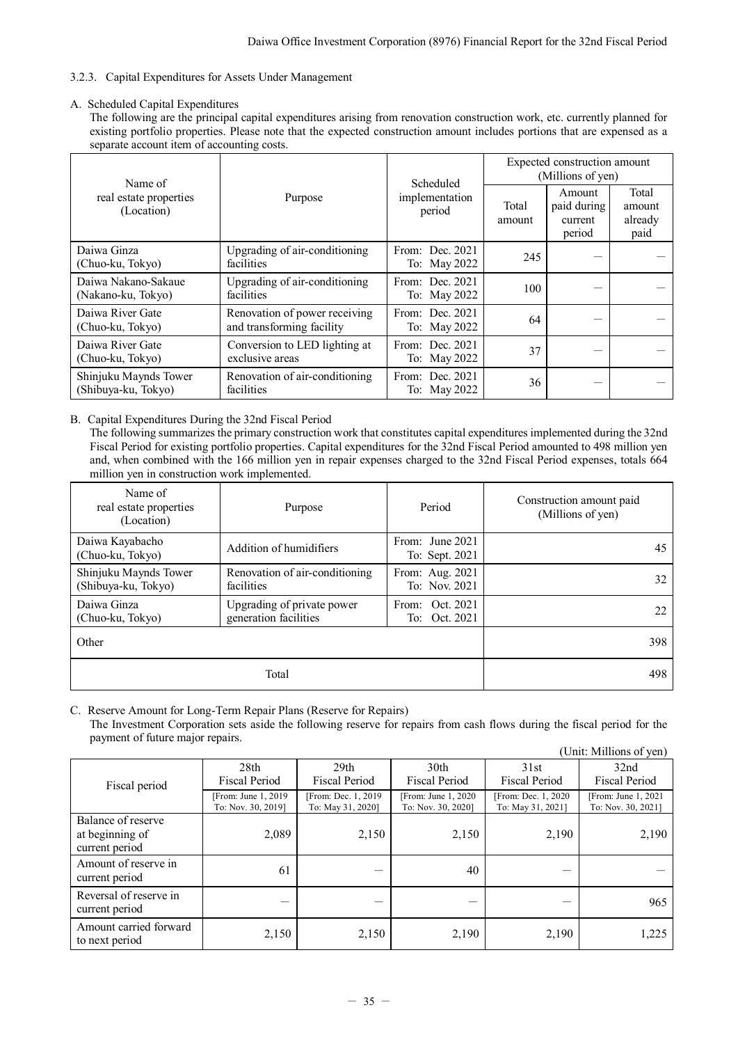# <span id="page-36-0"></span>3.2.3. Capital Expenditures for Assets Under Management

## A. Scheduled Capital Expenditures

The following are the principal capital expenditures arising from renovation construction work, etc. currently planned for existing portfolio properties. Please note that the expected construction amount includes portions that are expensed as a separate account item of accounting costs.

| Name of                                      |                                                            | Scheduled                         | Expected construction amount<br>(Millions of yen) |                                            |                                    |
|----------------------------------------------|------------------------------------------------------------|-----------------------------------|---------------------------------------------------|--------------------------------------------|------------------------------------|
| real estate properties<br>(Location)         | Purpose                                                    | implementation<br>period          | Total<br>amount                                   | Amount<br>paid during<br>current<br>period | Total<br>amount<br>already<br>paid |
| Daiwa Ginza<br>(Chuo-ku, Tokyo)              | Upgrading of air-conditioning<br>facilities                | From: Dec. 2021<br>To: May 2022   | 245                                               |                                            |                                    |
| Daiwa Nakano-Sakaue<br>(Nakano-ku, Tokyo)    | Upgrading of air-conditioning<br>facilities                | From: Dec. 2021<br>To: May 2022   | 100                                               |                                            |                                    |
| Daiwa River Gate<br>(Chuo-ku, Tokyo)         | Renovation of power receiving<br>and transforming facility | From: Dec. 2021<br>To: May 2022   | 64                                                |                                            |                                    |
| Daiwa River Gate<br>(Chuo-ku, Tokyo)         | Conversion to LED lighting at<br>exclusive areas           | From: Dec. $2021$<br>To: May 2022 | 37                                                |                                            |                                    |
| Shinjuku Maynds Tower<br>(Shibuya-ku, Tokyo) | Renovation of air-conditioning<br>facilities               | From: Dec. $2021$<br>To: May 2022 | 36                                                |                                            |                                    |

# B. Capital Expenditures During the 32nd Fiscal Period

The following summarizes the primary construction work that constitutes capital expenditures implemented during the 32nd Fiscal Period for existing portfolio properties. Capital expenditures for the 32nd Fiscal Period amounted to 498 million yen and, when combined with the 166 million yen in repair expenses charged to the 32nd Fiscal Period expenses, totals 664 million yen in construction work implemented.

| Name of<br>real estate properties<br>(Location) | Purpose                                             | Period                            | Construction amount paid<br>(Millions of yen) |
|-------------------------------------------------|-----------------------------------------------------|-----------------------------------|-----------------------------------------------|
| Daiwa Kayabacho<br>(Chuo-ku, Tokyo)             | Addition of humidifiers                             | From: June 2021<br>To: Sept. 2021 | 45                                            |
| Shinjuku Maynds Tower<br>(Shibuya-ku, Tokyo)    | Renovation of air-conditioning<br>facilities        | From: Aug. 2021<br>To: Nov. 2021  | 32                                            |
| Daiwa Ginza<br>(Chuo-ku, Tokyo)                 | Upgrading of private power<br>generation facilities | From: Oct. 2021<br>To: Oct. 2021  | 22                                            |
| Other                                           |                                                     |                                   | 398                                           |
|                                                 | 498                                                 |                                   |                                               |

C. Reserve Amount for Long-Term Repair Plans (Reserve for Repairs) The Investment Corporation sets aside the following reserve for repairs from cash flows during the fiscal period for the payment of future major repairs. (Unit: Millions of yen)

|                                                         |                                            |                                           |                                            |                                           | Unit: Millions of yen)                     |
|---------------------------------------------------------|--------------------------------------------|-------------------------------------------|--------------------------------------------|-------------------------------------------|--------------------------------------------|
| Fiscal period                                           | 28th<br><b>Fiscal Period</b>               | 29 <sub>th</sub><br><b>Fiscal Period</b>  | 30 <sub>th</sub><br>Fiscal Period          | 31st<br>Fiscal Period                     | 32nd<br><b>Fiscal Period</b>               |
|                                                         | [From: June 1, 2019]<br>To: Nov. 30, 2019] | [From: Dec. 1, 2019]<br>To: May 31, 2020] | [From: June 1, 2020]<br>To: Nov. 30, 2020] | [From: Dec. 1, 2020]<br>To: May 31, 2021] | [From: June 1, 2021]<br>To: Nov. 30, 2021] |
| Balance of reserve<br>at beginning of<br>current period | 2,089                                      | 2,150                                     | 2,150                                      | 2,190                                     | 2,190                                      |
| Amount of reserve in<br>current period                  | 61                                         |                                           | 40                                         |                                           |                                            |
| Reversal of reserve in<br>current period                |                                            |                                           |                                            |                                           | 965                                        |
| Amount carried forward<br>to next period                | 2,150                                      | 2,150                                     | 2,190                                      | 2,190                                     | 1,225                                      |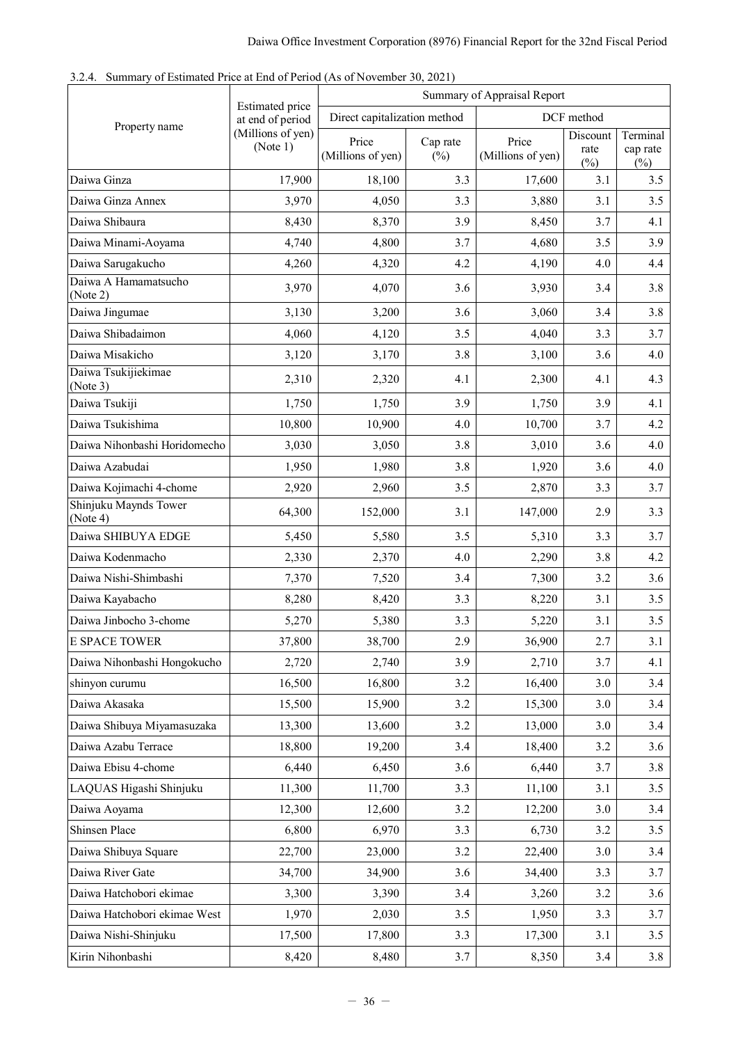<span id="page-37-0"></span>

|  |  |  | 3.2.4. Summary of Estimated Price at End of Period (As of November 30, 2021) |
|--|--|--|------------------------------------------------------------------------------|
|--|--|--|------------------------------------------------------------------------------|

|                                   |                                     | Summary of Appraisal Report  |                    |                            |                            |                                |  |
|-----------------------------------|-------------------------------------|------------------------------|--------------------|----------------------------|----------------------------|--------------------------------|--|
|                                   | Estimated price<br>at end of period | Direct capitalization method |                    |                            | DCF method                 |                                |  |
| Property name                     | (Millions of yen)<br>(Note 1)       | Price<br>(Millions of yen)   | Cap rate<br>$(\%)$ | Price<br>(Millions of yen) | Discount<br>rate<br>$(\%)$ | Terminal<br>cap rate<br>$(\%)$ |  |
| Daiwa Ginza                       | 17,900                              | 18,100                       | 3.3                | 17,600                     | 3.1                        | 3.5                            |  |
| Daiwa Ginza Annex                 | 3,970                               | 4,050                        | 3.3                | 3,880                      | 3.1                        | 3.5                            |  |
| Daiwa Shibaura                    | 8,430                               | 8,370                        | 3.9                | 8,450                      | 3.7                        | 4.1                            |  |
| Daiwa Minami-Aoyama               | 4,740                               | 4,800                        | 3.7                | 4,680                      | 3.5                        | 3.9                            |  |
| Daiwa Sarugakucho                 | 4,260                               | 4,320                        | 4.2                | 4,190                      | 4.0                        | 4.4                            |  |
| Daiwa A Hamamatsucho<br>(Note 2)  | 3,970                               | 4,070                        | 3.6                | 3,930                      | 3.4                        | 3.8                            |  |
| Daiwa Jingumae                    | 3,130                               | 3,200                        | 3.6                | 3,060                      | 3.4                        | 3.8                            |  |
| Daiwa Shibadaimon                 | 4,060                               | 4,120                        | 3.5                | 4,040                      | 3.3                        | 3.7                            |  |
| Daiwa Misakicho                   | 3,120                               | 3,170                        | 3.8                | 3,100                      | 3.6                        | 4.0                            |  |
| Daiwa Tsukijiekimae<br>(Note 3)   | 2,310                               | 2,320                        | 4.1                | 2,300                      | 4.1                        | 4.3                            |  |
| Daiwa Tsukiji                     | 1,750                               | 1,750                        | 3.9                | 1,750                      | 3.9                        | 4.1                            |  |
| Daiwa Tsukishima                  | 10,800                              | 10,900                       | 4.0                | 10,700                     | 3.7                        | 4.2                            |  |
| Daiwa Nihonbashi Horidomecho      | 3,030                               | 3,050                        | 3.8                | 3,010                      | 3.6                        | 4.0                            |  |
| Daiwa Azabudai                    | 1,950                               | 1,980                        | 3.8                | 1,920                      | 3.6                        | 4.0                            |  |
| Daiwa Kojimachi 4-chome           | 2,920                               | 2,960                        | 3.5                | 2,870                      | 3.3                        | 3.7                            |  |
| Shinjuku Maynds Tower<br>(Note 4) | 64,300                              | 152,000                      | 3.1                | 147,000                    | 2.9                        | 3.3                            |  |
| Daiwa SHIBUYA EDGE                | 5,450                               | 5,580                        | 3.5                | 5,310                      | 3.3                        | 3.7                            |  |
| Daiwa Kodenmacho                  | 2,330                               | 2,370                        | 4.0                | 2,290                      | 3.8                        | 4.2                            |  |
| Daiwa Nishi-Shimbashi             | 7,370                               | 7,520                        | 3.4                | 7,300                      | 3.2                        | 3.6                            |  |
| Daiwa Kayabacho                   | 8,280                               | 8,420                        | 3.3                | 8,220                      | 3.1                        | 3.5                            |  |
| Daiwa Jinbocho 3-chome            | 5,270                               | 5,380                        | 3.3                | 5,220                      | 3.1                        | 3.5                            |  |
| E SPACE TOWER                     | 37,800                              | 38,700                       | 2.9                | 36,900                     | 2.7                        | 3.1                            |  |
| Daiwa Nihonbashi Hongokucho       | 2,720                               | 2,740                        | 3.9                | 2,710                      | 3.7                        | 4.1                            |  |
| shinyon curumu                    | 16,500                              | 16,800                       | 3.2                | 16,400                     | 3.0                        | 3.4                            |  |
| Daiwa Akasaka                     | 15,500                              | 15,900                       | 3.2                | 15,300                     | 3.0                        | 3.4                            |  |
| Daiwa Shibuya Miyamasuzaka        | 13,300                              | 13,600                       | 3.2                | 13,000                     | 3.0                        | 3.4                            |  |
| Daiwa Azabu Terrace               | 18,800                              | 19,200                       | 3.4                | 18,400                     | 3.2                        | 3.6                            |  |
| Daiwa Ebisu 4-chome               | 6,440                               | 6,450                        | 3.6                | 6,440                      | 3.7                        | 3.8                            |  |
| LAQUAS Higashi Shinjuku           | 11,300                              | 11,700                       | 3.3                | 11,100                     | 3.1                        | 3.5                            |  |
| Daiwa Aoyama                      | 12,300                              | 12,600                       | 3.2                | 12,200                     | 3.0                        | 3.4                            |  |
| Shinsen Place                     | 6,800                               | 6,970                        | 3.3                | 6,730                      | 3.2                        | 3.5                            |  |
| Daiwa Shibuya Square              | 22,700                              | 23,000                       | 3.2                | 22,400                     | 3.0                        | 3.4                            |  |
| Daiwa River Gate                  | 34,700                              | 34,900                       | 3.6                | 34,400                     | 3.3                        | 3.7                            |  |
| Daiwa Hatchobori ekimae           | 3,300                               | 3,390                        | 3.4                | 3,260                      | 3.2                        | 3.6                            |  |
| Daiwa Hatchobori ekimae West      | 1,970                               | 2,030                        | 3.5                | 1,950                      | 3.3                        | 3.7                            |  |
| Daiwa Nishi-Shinjuku              | 17,500                              | 17,800                       | 3.3                | 17,300                     | 3.1                        | 3.5                            |  |
| Kirin Nihonbashi                  | 8,420                               | 8,480                        | 3.7                | 8,350                      | 3.4                        | 3.8                            |  |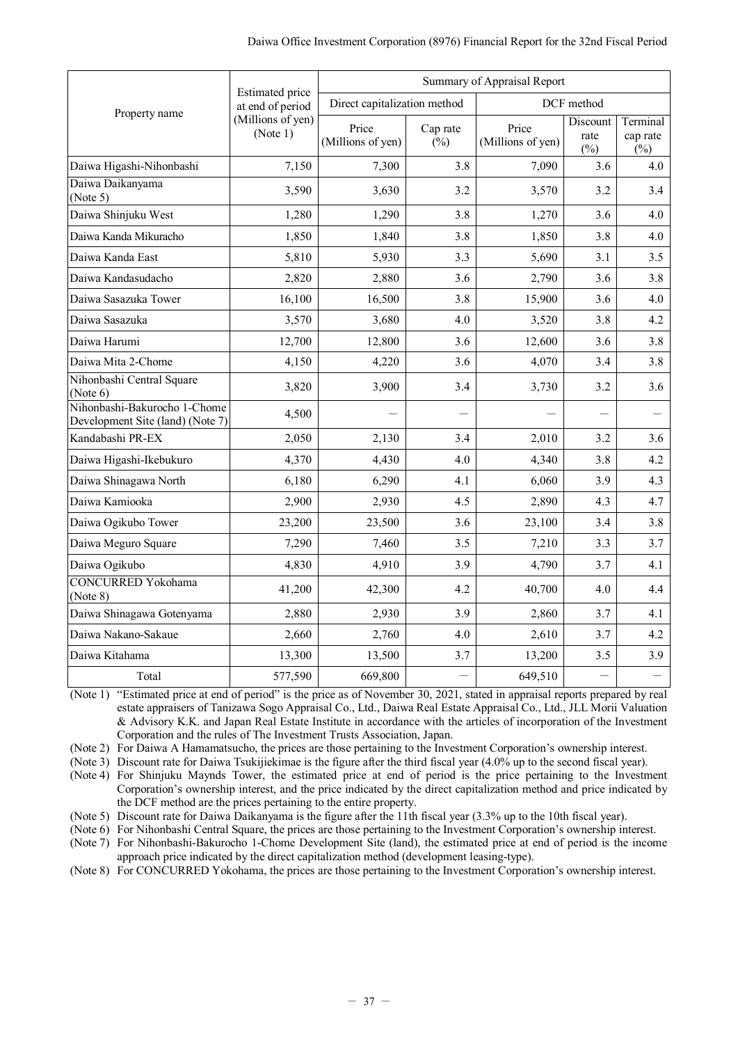|                                                                  |                                            |                              |                    | Summary of Appraisal Report |                            |                                |
|------------------------------------------------------------------|--------------------------------------------|------------------------------|--------------------|-----------------------------|----------------------------|--------------------------------|
|                                                                  | <b>Estimated</b> price<br>at end of period | Direct capitalization method |                    |                             | DCF method                 |                                |
| Property name                                                    | (Millions of yen)<br>(Note 1)              | Price<br>(Millions of yen)   | Cap rate<br>$(\%)$ | Price<br>(Millions of yen)  | Discount<br>rate<br>$(\%)$ | Terminal<br>cap rate<br>$($ %) |
| Daiwa Higashi-Nihonbashi                                         | 7,150                                      | 7,300                        | 3.8                | 7,090                       | 3.6                        | 4.0                            |
| Daiwa Daikanyama<br>(Note 5)                                     | 3,590                                      | 3,630                        | 3.2                | 3,570                       | 3.2                        | 3.4                            |
| Daiwa Shinjuku West                                              | 1,280                                      | 1,290                        | 3.8                | 1,270                       | 3.6                        | 4.0                            |
| Daiwa Kanda Mikuracho                                            | 1,850                                      | 1,840                        | 3.8                | 1,850                       | 3.8                        | 4.0                            |
| Daiwa Kanda East                                                 | 5,810                                      | 5,930                        | 3.3                | 5,690                       | 3.1                        | 3.5                            |
| Daiwa Kandasudacho                                               | 2,820                                      | 2,880                        | 3.6                | 2,790                       | 3.6                        | 3.8                            |
| Daiwa Sasazuka Tower                                             | 16,100                                     | 16,500                       | 3.8                | 15,900                      | 3.6                        | 4.0                            |
| Daiwa Sasazuka                                                   | 3,570                                      | 3,680                        | 4.0                | 3,520                       | 3.8                        | 4.2                            |
| Daiwa Harumi                                                     | 12,700                                     | 12,800                       | 3.6                | 12,600                      | 3.6                        | 3.8                            |
| Daiwa Mita 2-Chome                                               | 4,150                                      | 4,220                        | 3.6                | 4,070                       | 3.4                        | 3.8                            |
| Nihonbashi Central Square<br>(Note 6)                            | 3,820                                      | 3,900                        | 3.4                | 3,730                       | 3.2                        | 3.6                            |
| Nihonbashi-Bakurocho 1-Chome<br>Development Site (land) (Note 7) | 4,500                                      |                              |                    |                             |                            |                                |
| Kandabashi PR-EX                                                 | 2,050                                      | 2,130                        | 3.4                | 2,010                       | 3.2                        | 3.6                            |
| Daiwa Higashi-Ikebukuro                                          | 4,370                                      | 4,430                        | 4.0                | 4,340                       | 3.8                        | 4.2                            |
| Daiwa Shinagawa North                                            | 6,180                                      | 6,290                        | 4.1                | 6,060                       | 3.9                        | 4.3                            |
| Daiwa Kamiooka                                                   | 2,900                                      | 2,930                        | 4.5                | 2,890                       | 4.3                        | 4.7                            |
| Daiwa Ogikubo Tower                                              | 23,200                                     | 23,500                       | 3.6                | 23,100                      | 3.4                        | 3.8                            |
| Daiwa Meguro Square                                              | 7,290                                      | 7,460                        | 3.5                | 7,210                       | 3.3                        | 3.7                            |
| Daiwa Ogikubo                                                    | 4,830                                      | 4,910                        | 3.9                | 4,790                       | 3.7                        | 4.1                            |
| <b>CONCURRED Yokohama</b><br>(Note 8)                            | 41,200                                     | 42,300                       | 4.2                | 40,700                      | 4.0                        | 4.4                            |
| Daiwa Shinagawa Gotenyama                                        | 2,880                                      | 2,930                        | 3.9                | 2,860                       | 3.7                        | 4.1                            |
| Daiwa Nakano-Sakaue                                              | 2,660                                      | 2,760                        | 4.0                | 2,610                       | 3.7                        | 4.2                            |
| Daiwa Kitahama                                                   | 13,300                                     | 13,500                       | 3.7                | 13,200                      | 3.5                        | 3.9                            |
| Total                                                            | 577,590                                    | 669,800                      |                    | 649,510                     | $\overline{\phantom{0}}$   |                                |

(Note 1) "Estimated price at end of period" is the price as of November 30, 2021, stated in appraisal reports prepared by real estate appraisers of Tanizawa Sogo Appraisal Co., Ltd., Daiwa Real Estate Appraisal Co., Ltd., JLL Morii Valuation & Advisory K.K. and Japan Real Estate Institute in accordance with the articles of incorporation of the Investment Corporation and the rules of The Investment Trusts Association, Japan.

(Note 2) For Daiwa A Hamamatsucho, the prices are those pertaining to the Investment Corporation's ownership interest.

(Note 3) Discount rate for Daiwa Tsukijiekimae is the figure after the third fiscal year (4.0% up to the second fiscal year).

(Note 4) For Shinjuku Maynds Tower, the estimated price at end of period is the price pertaining to the Investment Corporation's ownership interest, and the price indicated by the direct capitalization method and price indicated by the DCF method are the prices pertaining to the entire property.

(Note 5) Discount rate for Daiwa Daikanyama is the figure after the 11th fiscal year (3.3% up to the 10th fiscal year).

(Note 6) For Nihonbashi Central Square, the prices are those pertaining to the Investment Corporation's ownership interest.

(Note 7) For Nihonbashi-Bakurocho 1-Chome Development Site (land), the estimated price at end of period is the income approach price indicated by the direct capitalization method (development leasing-type).

(Note 8) For CONCURRED Yokohama, the prices are those pertaining to the Investment Corporation's ownership interest.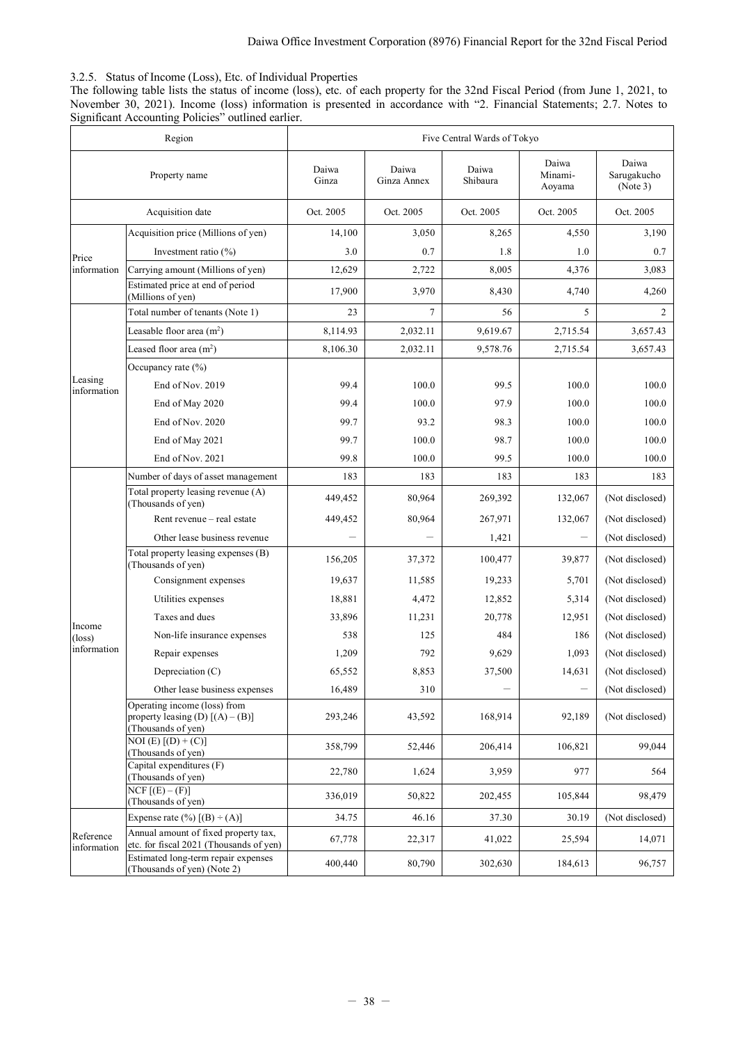# <span id="page-39-0"></span>3.2.5. Status of Income (Loss), Etc. of Individual Properties

The following table lists the status of income (loss), etc. of each property for the 32nd Fiscal Period (from June 1, 2021, to November 30, 2021). Income (loss) information is presented in accordance with "2. Financial Statements; 2.7. Notes to Significant Accounting Policies" outlined earlier.

|                           | Region                                                                                   | Five Central Wards of Tokyo |                      |                   |                            |                                  |  |
|---------------------------|------------------------------------------------------------------------------------------|-----------------------------|----------------------|-------------------|----------------------------|----------------------------------|--|
|                           | Property name                                                                            | Daiwa<br>Ginza              | Daiwa<br>Ginza Annex | Daiwa<br>Shibaura | Daiwa<br>Minami-<br>Aoyama | Daiwa<br>Sarugakucho<br>(Note 3) |  |
| Acquisition date          |                                                                                          | Oct. 2005                   | Oct. 2005            | Oct. 2005         | Oct. 2005                  | Oct. 2005                        |  |
|                           | Acquisition price (Millions of yen)                                                      | 14,100                      | 3,050                | 8,265             | 4,550                      | 3,190                            |  |
| Price                     | Investment ratio $(\% )$                                                                 | 3.0                         | 0.7                  | 1.8               | 1.0                        | 0.7                              |  |
| information               | Carrying amount (Millions of yen)                                                        | 12,629                      | 2,722                | 8.005             | 4,376                      | 3,083                            |  |
|                           | Estimated price at end of period<br>(Millions of yen)                                    | 17,900                      | 3,970                | 8,430             | 4,740                      | 4,260                            |  |
|                           | Total number of tenants (Note 1)                                                         | 23                          | 7                    | 56                | 5                          | 2                                |  |
|                           | Leasable floor area $(m^2)$                                                              | 8,114.93                    | 2,032.11             | 9,619.67          | 2,715.54                   | 3,657.43                         |  |
|                           | Leased floor area $(m2)$                                                                 | 8,106.30                    | 2,032.11             | 9,578.76          | 2,715.54                   | 3,657.43                         |  |
|                           | Occupancy rate $(\% )$                                                                   |                             |                      |                   |                            |                                  |  |
| Leasing<br>information    | End of Nov. 2019                                                                         | 99.4                        | 100.0                | 99.5              | 100.0                      | 100.0                            |  |
|                           | End of May 2020                                                                          | 99.4                        | 100.0                | 97.9              | 100.0                      | 100.0                            |  |
|                           | End of Nov. 2020                                                                         | 99.7                        | 93.2                 | 98.3              | 100.0                      | 100.0                            |  |
|                           | End of May 2021                                                                          | 99.7                        | 100.0                | 98.7              | 100.0                      | 100.0                            |  |
|                           | End of Nov. 2021                                                                         | 99.8                        | 100.0                | 99.5              | 100.0                      | 100.0                            |  |
|                           | Number of days of asset management                                                       | 183                         | 183                  | 183               | 183                        | 183                              |  |
|                           | Total property leasing revenue (A)<br>(Thousands of yen)                                 | 449,452                     | 80,964               | 269,392           | 132,067                    | (Not disclosed)                  |  |
|                           | Rent revenue - real estate                                                               | 449,452                     | 80,964               | 267,971           | 132,067                    | (Not disclosed)                  |  |
|                           | Other lease business revenue                                                             |                             |                      | 1,421             |                            | (Not disclosed)                  |  |
|                           | Total property leasing expenses (B)<br>(Thousands of yen)                                | 156,205                     | 37,372               | 100,477           | 39,877                     | (Not disclosed)                  |  |
|                           | Consignment expenses                                                                     | 19,637                      | 11,585               | 19,233            | 5,701                      | (Not disclosed)                  |  |
|                           | Utilities expenses                                                                       | 18,881                      | 4,472                | 12,852            | 5,314                      | (Not disclosed)                  |  |
|                           | Taxes and dues                                                                           | 33,896                      | 11,231               | 20,778            | 12,951                     | (Not disclosed)                  |  |
| Income<br>$(\text{loss})$ | Non-life insurance expenses                                                              | 538                         | 125                  | 484               | 186                        | (Not disclosed)                  |  |
| information               | Repair expenses                                                                          | 1,209                       | 792                  | 9,629             | 1,093                      | (Not disclosed)                  |  |
|                           | Depreciation (C)                                                                         | 65,552                      | 8,853                | 37,500            | 14,631                     | (Not disclosed)                  |  |
|                           | Other lease business expenses                                                            | 16,489                      | 310                  | $\equiv$          |                            | (Not disclosed)                  |  |
|                           | Operating income (loss) from<br>property leasing (D) $[(A) - (B)]$<br>(Thousands of yen) | 293,246                     | 43,592               | 168,914           | 92,189                     | (Not disclosed)                  |  |
|                           | $NOI(E) [(D) + (C)]$<br>(Thousands of yen)                                               | 358,799                     | 52,446               | 206,414           | 106,821                    | 99,044                           |  |
|                           | Capital expenditures (F)<br>(Thousands of yen)                                           | 22,780                      | 1,624                | 3,959             | 977                        | 564                              |  |
|                           | $NCF$ $[(E) - (F)]$<br>(Thousands of yen)                                                | 336,019                     | 50,822               | 202,455           | 105,844                    | 98,479                           |  |
|                           | Expense rate $(\%)$ [(B) $\div$ (A)]                                                     | 34.75                       | 46.16                | 37.30             | 30.19                      | (Not disclosed)                  |  |
| Reference<br>information  | Annual amount of fixed property tax,<br>etc. for fiscal 2021 (Thousands of yen)          | 67,778                      | 22,317               | 41,022            | 25,594                     | 14,071                           |  |
|                           | Estimated long-term repair expenses<br>(Thousands of yen) (Note 2)                       | 400,440                     | 80,790               | 302,630           | 184,613                    | 96,757                           |  |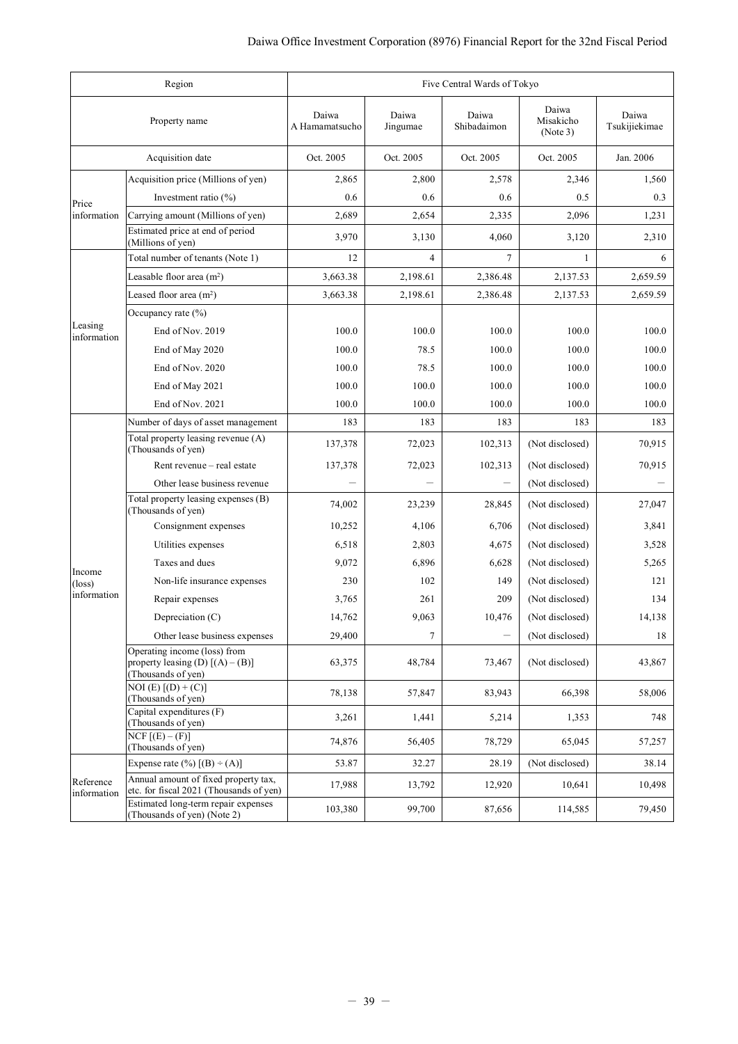|                          | Region                                                                                   | Five Central Wards of Tokyo |                   |                      |                                |                        |  |
|--------------------------|------------------------------------------------------------------------------------------|-----------------------------|-------------------|----------------------|--------------------------------|------------------------|--|
|                          | Property name                                                                            | Daiwa<br>A Hamamatsucho     | Daiwa<br>Jingumae | Daiwa<br>Shibadaimon | Daiwa<br>Misakicho<br>(Note 3) | Daiwa<br>Tsukijiekimae |  |
|                          | Acquisition date                                                                         | Oct. 2005                   | Oct. 2005         | Oct. 2005            | Oct. 2005                      | Jan. 2006              |  |
|                          | Acquisition price (Millions of yen)                                                      | 2,865                       | 2,800             | 2,578                | 2,346                          | 1,560                  |  |
| Price                    | Investment ratio $(\% )$                                                                 | 0.6                         | 0.6               | 0.6                  | 0.5                            | 0.3                    |  |
| information              | Carrying amount (Millions of yen)                                                        | 2,689                       | 2,654             | 2,335                | 2,096                          | 1,231                  |  |
|                          | Estimated price at end of period<br>(Millions of yen)                                    | 3,970                       | 3,130             | 4,060                | 3,120                          | 2,310                  |  |
|                          | Total number of tenants (Note 1)                                                         | 12                          | 4                 | 7                    | 1                              | 6                      |  |
|                          | Leasable floor area $(m2)$                                                               | 3,663.38                    | 2,198.61          | 2,386.48             | 2,137.53                       | 2,659.59               |  |
|                          | Leased floor area $(m2)$                                                                 | 3,663.38                    | 2,198.61          | 2,386.48             | 2,137.53                       | 2,659.59               |  |
|                          | Occupancy rate $(\% )$                                                                   |                             |                   |                      |                                |                        |  |
| Leasing<br>information   | End of Nov. 2019                                                                         | 100.0                       | 100.0             | 100.0                | 100.0                          | 100.0                  |  |
|                          | End of May 2020                                                                          | 100.0                       | 78.5              | 100.0                | 100.0                          | 100.0                  |  |
|                          | End of Nov. 2020                                                                         | 100.0                       | 78.5              | 100.0                | 100.0                          | 100.0                  |  |
|                          | End of May 2021                                                                          | 100.0                       | 100.0             | 100.0                | 100.0                          | 100.0                  |  |
|                          | End of Nov. 2021                                                                         | 100.0                       | 100.0             | 100.0                | 100.0                          | 100.0                  |  |
|                          | Number of days of asset management                                                       | 183                         | 183               | 183                  | 183                            | 183                    |  |
|                          | Total property leasing revenue (A)<br>(Thousands of yen)                                 | 137,378                     | 72,023            | 102,313              | (Not disclosed)                | 70,915                 |  |
|                          | Rent revenue – real estate                                                               | 137,378                     | 72,023            | 102,313              | (Not disclosed)                | 70,915                 |  |
|                          | Other lease business revenue                                                             |                             |                   |                      | (Not disclosed)                |                        |  |
|                          | Total property leasing expenses (B)<br>(Thousands of yen)                                | 74,002                      | 23,239            | 28,845               | (Not disclosed)                | 27,047                 |  |
|                          | Consignment expenses                                                                     | 10,252                      | 4,106             | 6,706                | (Not disclosed)                | 3,841                  |  |
|                          | Utilities expenses                                                                       | 6,518                       | 2,803             | 4,675                | (Not disclosed)                | 3,528                  |  |
| Income                   | Taxes and dues                                                                           | 9,072                       | 6,896             | 6,628                | (Not disclosed)                | 5,265                  |  |
| $(\text{loss})$          | Non-life insurance expenses                                                              | 230                         | 102               | 149                  | (Not disclosed)                | 121                    |  |
| information              | Repair expenses                                                                          | 3,765                       | 261               | 209                  | (Not disclosed)                | 134                    |  |
|                          | Depreciation (C)                                                                         | 14,762                      | 9,063             | 10,476               | (Not disclosed)                | 14,138                 |  |
|                          | Other lease business expenses                                                            | 29,400                      | 7                 |                      | (Not disclosed)                | 18                     |  |
|                          | Operating income (loss) from<br>property leasing (D) $[(A) - (B)]$<br>(Thousands of yen) | 63,375                      | 48,784            | 73,467               | (Not disclosed)                | 43,867                 |  |
|                          | $NOI(E) [(D) + (C)]$<br>(Thousands of yen)                                               | 78,138                      | 57,847            | 83,943               | 66,398                         | 58,006                 |  |
|                          | Capital expenditures (F)<br>(Thousands of yen)                                           | 3,261                       | 1,441             | 5,214                | 1,353                          | 748                    |  |
|                          | $NCF$ [ $(E) - (F)$ ]<br>(Thousands of yen)                                              | 74,876                      | 56,405            | 78,729               | 65,045                         | 57,257                 |  |
|                          | Expense rate $(\%)$ [(B) ÷ (A)]                                                          | 53.87                       | 32.27             | 28.19                | (Not disclosed)                | 38.14                  |  |
| Reference<br>information | Annual amount of fixed property tax,<br>etc. for fiscal 2021 (Thousands of yen)          | 17,988                      | 13,792            | 12,920               | 10,641                         | 10,498                 |  |
|                          | Estimated long-term repair expenses<br>(Thousands of yen) (Note 2)                       | 103,380                     | 99,700            | 87,656               | 114,585                        | 79,450                 |  |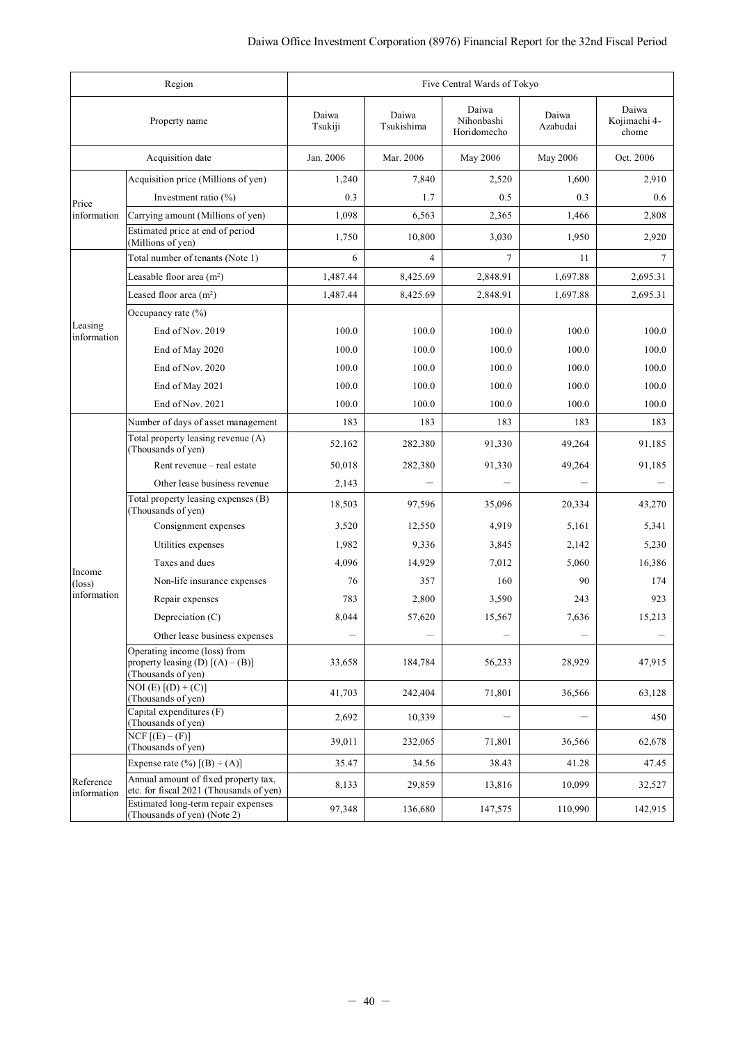| Region<br>Five Central Wards of Tokyo |                                                                                          |                  |                     |                                    |                   |                                |
|---------------------------------------|------------------------------------------------------------------------------------------|------------------|---------------------|------------------------------------|-------------------|--------------------------------|
|                                       | Property name                                                                            | Daiwa<br>Tsukiji | Daiwa<br>Tsukishima | Daiwa<br>Nihonbashi<br>Horidomecho | Daiwa<br>Azabudai | Daiwa<br>Kojimachi 4-<br>chome |
|                                       | Acquisition date                                                                         | Jan. 2006        | Mar. 2006           | May 2006                           | May 2006          | Oct. 2006                      |
|                                       | Acquisition price (Millions of yen)                                                      | 1,240            | 7,840               | 2,520                              | 1,600             | 2,910                          |
| Price                                 | Investment ratio $(\% )$                                                                 | 0.3              | 1.7                 | 0.5                                | 0.3               | 0.6                            |
| information                           | Carrying amount (Millions of yen)                                                        | 1,098            | 6,563               | 2,365                              | 1,466             | 2,808                          |
|                                       | Estimated price at end of period<br>(Millions of yen)                                    | 1,750            | 10,800              | 3,030                              | 1,950             | 2,920                          |
|                                       | Total number of tenants (Note 1)                                                         | 6                | $\overline{4}$      | 7                                  | 11                | $\tau$                         |
|                                       | Leasable floor area $(m2)$                                                               | 1,487.44         | 8,425.69            | 2,848.91                           | 1,697.88          | 2,695.31                       |
|                                       | Leased floor area $(m2)$                                                                 | 1,487.44         | 8,425.69            | 2,848.91                           | 1,697.88          | 2,695.31                       |
|                                       | Occupancy rate $(\% )$                                                                   |                  |                     |                                    |                   |                                |
| Leasing<br>information                | End of Nov. 2019                                                                         | 100.0            | 100.0               | 100.0                              | 100.0             | 100.0                          |
|                                       | End of May 2020                                                                          | 100.0            | 100.0               | 100.0                              | 100.0             | 100.0                          |
|                                       | End of Nov. 2020                                                                         | 100.0            | 100.0               | 100.0                              | 100.0             | 100.0                          |
|                                       | End of May 2021                                                                          | 100.0            | 100.0               | 100.0                              | 100.0             | 100.0                          |
|                                       | End of Nov. 2021                                                                         | 100.0            | 100.0               | 100.0                              | 100.0             | 100.0                          |
|                                       | Number of days of asset management                                                       | 183              | 183                 | 183                                | 183               | 183                            |
|                                       | Total property leasing revenue (A)<br>(Thousands of yen)                                 | 52,162           | 282,380             | 91,330                             | 49,264            | 91,185                         |
|                                       | Rent revenue – real estate                                                               | 50,018           | 282,380             | 91,330                             | 49,264            | 91,185                         |
|                                       | Other lease business revenue                                                             | 2,143            |                     |                                    |                   |                                |
|                                       | Total property leasing expenses (B)<br>(Thousands of yen)                                | 18,503           | 97,596              | 35,096                             | 20,334            | 43,270                         |
|                                       | Consignment expenses                                                                     | 3,520            | 12,550              | 4,919                              | 5,161             | 5,341                          |
|                                       | Utilities expenses                                                                       | 1,982            | 9,336               | 3,845                              | 2,142             | 5,230                          |
|                                       | Taxes and dues                                                                           | 4,096            | 14,929              | 7,012                              | 5,060             | 16,386                         |
| Income<br>$(\text{loss})$             | Non-life insurance expenses                                                              | 76               | 357                 | 160                                | 90                | 174                            |
| information                           | Repair expenses                                                                          | 783              | 2,800               | 3,590                              | 243               | 923                            |
|                                       | Depreciation (C)                                                                         | 8,044            | 57,620              | 15,567                             | 7,636             | 15,213                         |
|                                       | Other lease business expenses                                                            |                  |                     |                                    |                   |                                |
|                                       | Operating income (loss) from<br>property leasing (D) $[(A) - (B)]$<br>(Thousands of yen) | 33,658           | 184,784             | 56,233                             | 28,929            | 47,915                         |
|                                       | $NOI(E) [(D) + (C)]$<br>(Thousands of yen)                                               | 41,703           | 242,404             | 71,801                             | 36,566            | 63,128                         |
|                                       | Capital expenditures (F)<br>(Thousands of yen)                                           | 2,692            | 10,339              |                                    |                   | 450                            |
|                                       | $NCF$ [ $(E) - (F)$ ]<br>(Thousands of yen)                                              | 39,011           | 232,065             | 71,801                             | 36,566            | 62,678                         |
|                                       | Expense rate $(\%)$ $[(B) \div (A)]$                                                     | 35.47            | 34.56               | 38.43                              | 41.28             | 47.45                          |
| Reference<br>information              | Annual amount of fixed property tax,<br>etc. for fiscal 2021 (Thousands of yen)          | 8,133            | 29,859              | 13,816                             | 10,099            | 32,527                         |
|                                       | Estimated long-term repair expenses<br>(Thousands of yen) (Note 2)                       | 97,348           | 136,680             | 147,575                            | 110,990           | 142,915                        |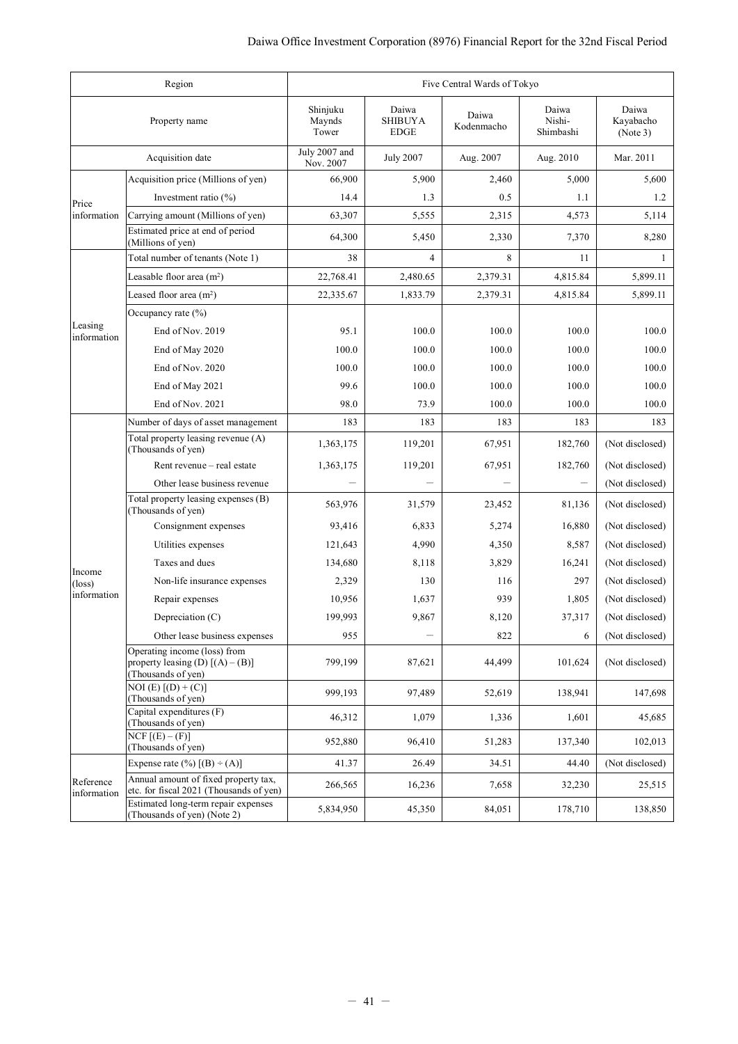|                           | Region                                                                                   | Five Central Wards of Tokyo |                                        |                     |                              |                                |  |
|---------------------------|------------------------------------------------------------------------------------------|-----------------------------|----------------------------------------|---------------------|------------------------------|--------------------------------|--|
|                           | Property name                                                                            | Shinjuku<br>Maynds<br>Tower | Daiwa<br><b>SHIBUYA</b><br><b>EDGE</b> | Daiwa<br>Kodenmacho | Daiwa<br>Nishi-<br>Shimbashi | Daiwa<br>Kayabacho<br>(Note 3) |  |
|                           | Acquisition date                                                                         | July 2007 and<br>Nov. 2007  | <b>July 2007</b>                       | Aug. 2007           | Aug. 2010                    | Mar. 2011                      |  |
|                           | Acquisition price (Millions of yen)                                                      | 66,900                      | 5,900                                  | 2,460               | 5,000                        | 5,600                          |  |
| Price                     | Investment ratio $(\% )$                                                                 | 14.4                        | 1.3                                    | 0.5                 | 1.1                          | 1.2                            |  |
| information               | Carrying amount (Millions of yen)                                                        | 63,307                      | 5,555                                  | 2,315               | 4,573                        | 5,114                          |  |
|                           | Estimated price at end of period<br>(Millions of yen)                                    | 64,300                      | 5,450                                  | 2,330               | 7,370                        | 8,280                          |  |
|                           | Total number of tenants (Note 1)                                                         | 38                          | $\overline{4}$                         | 8                   | 11                           | 1                              |  |
|                           | Leasable floor area $(m2)$                                                               | 22,768.41                   | 2,480.65                               | 2,379.31            | 4,815.84                     | 5,899.11                       |  |
|                           | Leased floor area $(m2)$                                                                 | 22,335.67                   | 1,833.79                               | 2,379.31            | 4,815.84                     | 5,899.11                       |  |
|                           | Occupancy rate $(\% )$                                                                   |                             |                                        |                     |                              |                                |  |
| Leasing<br>information    | End of Nov. 2019                                                                         | 95.1                        | 100.0                                  | 100.0               | 100.0                        | 100.0                          |  |
|                           | End of May 2020                                                                          | 100.0                       | 100.0                                  | 100.0               | 100.0                        | 100.0                          |  |
|                           | End of Nov. 2020                                                                         | 100.0                       | 100.0                                  | 100.0               | 100.0                        | 100.0                          |  |
|                           | End of May 2021                                                                          | 99.6                        | 100.0                                  | 100.0               | 100.0                        | 100.0                          |  |
|                           | End of Nov. 2021                                                                         | 98.0                        | 73.9                                   | 100.0               | 100.0                        | 100.0                          |  |
|                           | Number of days of asset management                                                       | 183                         | 183                                    | 183                 | 183                          | 183                            |  |
|                           | Total property leasing revenue (A)<br>(Thousands of yen)                                 | 1,363,175                   | 119,201                                | 67,951              | 182,760                      | (Not disclosed)                |  |
|                           | Rent revenue - real estate                                                               | 1,363,175                   | 119,201                                | 67,951              | 182,760                      | (Not disclosed)                |  |
|                           | Other lease business revenue                                                             |                             |                                        |                     |                              | (Not disclosed)                |  |
|                           | Total property leasing expenses (B)<br>(Thousands of yen)                                | 563,976                     | 31,579                                 | 23,452              | 81,136                       | (Not disclosed)                |  |
|                           | Consignment expenses                                                                     | 93,416                      | 6,833                                  | 5,274               | 16,880                       | (Not disclosed)                |  |
|                           | Utilities expenses                                                                       | 121,643                     | 4,990                                  | 4,350               | 8,587                        | (Not disclosed)                |  |
|                           | Taxes and dues                                                                           | 134,680                     | 8,118                                  | 3,829               | 16,241                       | (Not disclosed)                |  |
| Income<br>$(\text{loss})$ | Non-life insurance expenses                                                              | 2,329                       | 130                                    | 116                 | 297                          | (Not disclosed)                |  |
| information               | Repair expenses                                                                          | 10,956                      | 1,637                                  | 939                 | 1,805                        | (Not disclosed)                |  |
|                           | Depreciation (C)                                                                         | 199,993                     | 9,867                                  | 8,120               | 37,317                       | (Not disclosed)                |  |
|                           | Other lease business expenses                                                            | 955                         |                                        | 822                 | 6                            | (Not disclosed)                |  |
|                           | Operating income (loss) from<br>property leasing (D) $[(A) - (B)]$<br>(Thousands of yen) | 799.199                     | 87,621                                 | 44,499              | 101,624                      | (Not disclosed)                |  |
|                           | $NOI(E) [(D) + (C)]$<br>(Thousands of yen)                                               | 999,193                     | 97,489                                 | 52,619              | 138,941                      | 147,698                        |  |
|                           | Capital expenditures (F)<br>(Thousands of yen)                                           | 46,312                      | 1,079                                  | 1,336               | 1,601                        | 45,685                         |  |
|                           | $NCF$ [ $(E) - (F)$ ]<br>(Thousands of yen)                                              | 952,880                     | 96,410                                 | 51,283              | 137,340                      | 102,013                        |  |
|                           | Expense rate $(\%)$ [(B) $\div$ (A)]                                                     | 41.37                       | 26.49                                  | 34.51               | 44.40                        | (Not disclosed)                |  |
| Reference<br>information  | Annual amount of fixed property tax,<br>etc. for fiscal 2021 (Thousands of yen)          | 266,565                     | 16,236                                 | 7,658               | 32,230                       | 25,515                         |  |
|                           | Estimated long-term repair expenses<br>(Thousands of yen) (Note 2)                       | 5,834,950                   | 45,350                                 | 84,051              | 178,710                      | 138,850                        |  |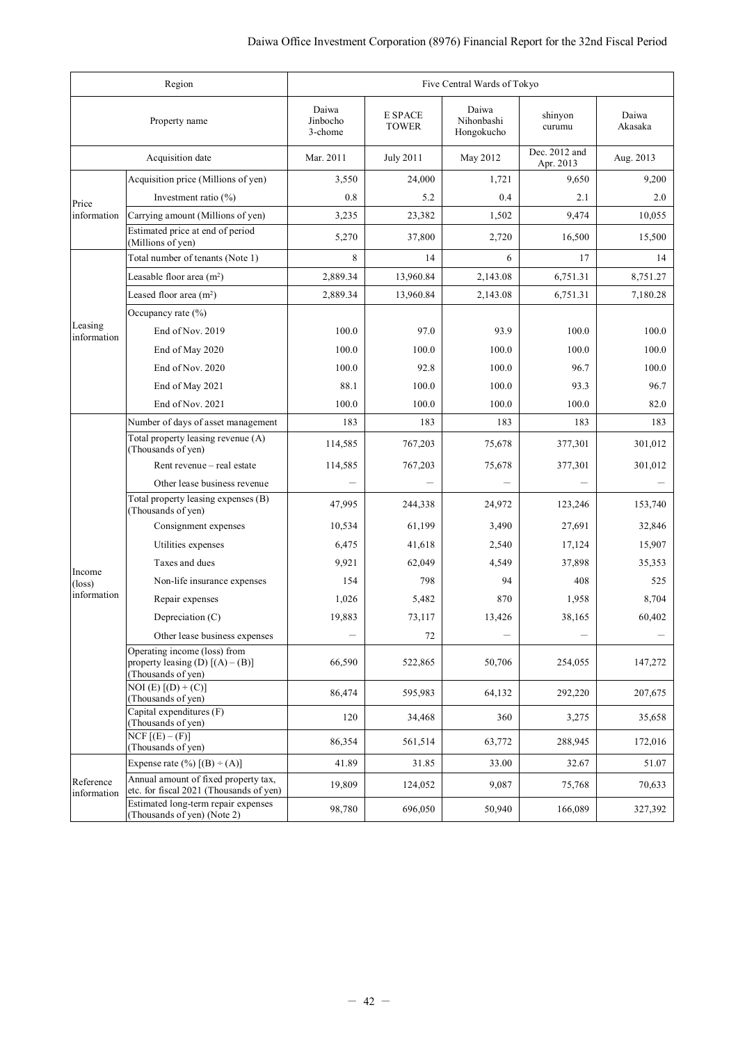| Region<br>Five Central Wards of Tokyo |                                                                                          |                              |                         |                                   |                            |                  |
|---------------------------------------|------------------------------------------------------------------------------------------|------------------------------|-------------------------|-----------------------------------|----------------------------|------------------|
|                                       | Property name                                                                            | Daiwa<br>Jinbocho<br>3-chome | E SPACE<br><b>TOWER</b> | Daiwa<br>Nihonbashi<br>Hongokucho | shinyon<br>curumu          | Daiwa<br>Akasaka |
|                                       | Acquisition date                                                                         | Mar. 2011                    | <b>July 2011</b>        | May 2012                          | Dec. 2012 and<br>Apr. 2013 | Aug. 2013        |
|                                       | Acquisition price (Millions of yen)                                                      | 3,550                        | 24,000                  | 1,721                             | 9,650                      | 9,200            |
| Price                                 | Investment ratio $(\% )$                                                                 | 0.8                          | 5.2                     | 0.4                               | 2.1                        | 2.0              |
| information                           | Carrying amount (Millions of yen)                                                        | 3,235                        | 23,382                  | 1,502                             | 9,474                      | 10.055           |
|                                       | Estimated price at end of period<br>(Millions of yen)                                    | 5,270                        | 37,800                  | 2,720                             | 16,500                     | 15,500           |
|                                       | Total number of tenants (Note 1)                                                         | 8                            | 14                      | 6                                 | 17                         | 14               |
|                                       | Leasable floor area $(m2)$                                                               | 2,889.34                     | 13,960.84               | 2,143.08                          | 6,751.31                   | 8,751.27         |
|                                       | Leased floor area $(m2)$                                                                 | 2,889.34                     | 13,960.84               | 2,143.08                          | 6,751.31                   | 7,180.28         |
|                                       | Occupancy rate $(\% )$                                                                   |                              |                         |                                   |                            |                  |
| Leasing<br>information                | End of Nov. 2019                                                                         | 100.0                        | 97.0                    | 93.9                              | 100.0                      | 100.0            |
|                                       | End of May 2020                                                                          | 100.0                        | 100.0                   | 100.0                             | 100.0                      | 100.0            |
|                                       | End of Nov. 2020                                                                         | 100.0                        | 92.8                    | 100.0                             | 96.7                       | 100.0            |
|                                       | End of May 2021                                                                          | 88.1                         | 100.0                   | 100.0                             | 93.3                       | 96.7             |
|                                       | End of Nov. 2021                                                                         | 100.0                        | 100.0                   | 100.0                             | 100.0                      | 82.0             |
|                                       | Number of days of asset management                                                       | 183                          | 183                     | 183                               | 183                        | 183              |
|                                       | Total property leasing revenue (A)<br>(Thousands of yen)                                 | 114,585                      | 767,203                 | 75,678                            | 377,301                    | 301,012          |
|                                       | Rent revenue - real estate                                                               | 114,585                      | 767,203                 | 75,678                            | 377,301                    | 301,012          |
|                                       | Other lease business revenue                                                             |                              |                         |                                   |                            |                  |
|                                       | Total property leasing expenses (B)<br>(Thousands of yen)                                | 47,995                       | 244,338                 | 24,972                            | 123,246                    | 153,740          |
|                                       | Consignment expenses                                                                     | 10,534                       | 61,199                  | 3,490                             | 27,691                     | 32,846           |
|                                       | Utilities expenses                                                                       | 6,475                        | 41,618                  | 2,540                             | 17,124                     | 15,907           |
| Income                                | Taxes and dues                                                                           | 9,921                        | 62,049                  | 4,549                             | 37,898                     | 35,353           |
| $(\text{loss})$                       | Non-life insurance expenses                                                              | 154                          | 798                     | 94                                | 408                        | 525              |
| information                           | Repair expenses                                                                          | 1,026                        | 5,482                   | 870                               | 1,958                      | 8,704            |
|                                       | Depreciation (C)                                                                         | 19,883                       | 73,117                  | 13,426                            | 38,165                     | 60,402           |
|                                       | Other lease business expenses                                                            |                              | 72                      |                                   | -                          |                  |
|                                       | Operating income (loss) from<br>property leasing (D) $[(A) - (B)]$<br>(Thousands of yen) | 66,590                       | 522,865                 | 50,706                            | 254,055                    | 147,272          |
|                                       | $NOI(E) [(D) + (C)]$<br>(Thousands of yen)                                               | 86,474                       | 595,983                 | 64,132                            | 292,220                    | 207,675          |
|                                       | Capital expenditures (F)<br>(Thousands of yen)                                           | 120                          | 34,468                  | 360                               | 3,275                      | 35,658           |
|                                       | $NCF$ [ $(E) - (F)$ ]<br>(Thousands of yen)                                              | 86,354                       | 561,514                 | 63,772                            | 288,945                    | 172,016          |
|                                       | Expense rate $(\%)$ [(B) $\div$ (A)]                                                     | 41.89                        | 31.85                   | 33.00                             | 32.67                      | 51.07            |
| Reference<br>information              | Annual amount of fixed property tax,<br>etc. for fiscal 2021 (Thousands of yen)          | 19,809                       | 124,052                 | 9,087                             | 75,768                     | 70,633           |
|                                       | Estimated long-term repair expenses<br>(Thousands of yen) (Note 2)                       | 98,780                       | 696,050                 | 50,940                            | 166,089                    | 327,392          |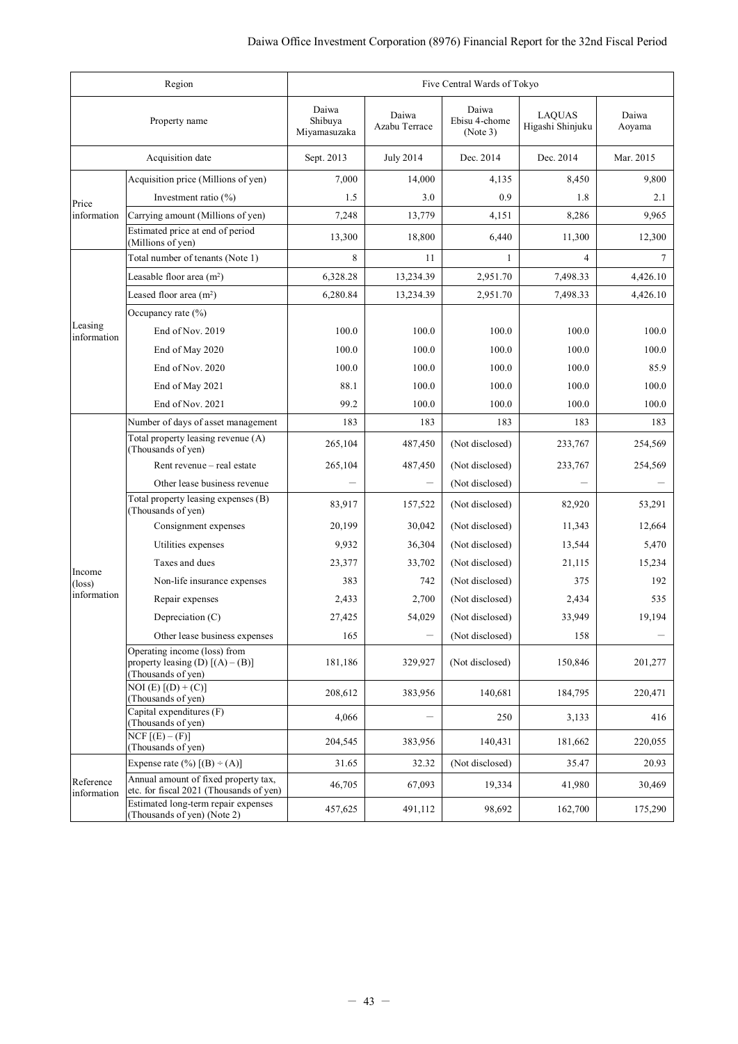|                          | Region                                                                                   | Five Central Wards of Tokyo      |                        |                                    |                                   |                 |  |
|--------------------------|------------------------------------------------------------------------------------------|----------------------------------|------------------------|------------------------------------|-----------------------------------|-----------------|--|
|                          | Property name                                                                            | Daiwa<br>Shibuya<br>Miyamasuzaka | Daiwa<br>Azabu Terrace | Daiwa<br>Ebisu 4-chome<br>(Note 3) | <b>LAQUAS</b><br>Higashi Shinjuku | Daiwa<br>Aoyama |  |
|                          | Acquisition date                                                                         | Sept. 2013                       | <b>July 2014</b>       | Dec. 2014                          | Dec. 2014                         | Mar. 2015       |  |
|                          | Acquisition price (Millions of yen)                                                      | 7,000                            | 14,000                 | 4,135                              | 8,450                             | 9,800           |  |
| Price                    | Investment ratio (%)                                                                     | 1.5                              | 3.0                    | 0.9                                | 1.8                               | 2.1             |  |
| information              | Carrying amount (Millions of yen)                                                        | 7,248                            | 13,779                 | 4,151                              | 8,286                             | 9,965           |  |
|                          | Estimated price at end of period<br>(Millions of yen)                                    | 13,300                           | 18,800                 | 6,440                              | 11,300                            | 12,300          |  |
|                          | Total number of tenants (Note 1)                                                         | 8                                | 11                     | 1                                  | 4                                 | 7               |  |
|                          | Leasable floor area $(m2)$                                                               | 6,328.28                         | 13,234.39              | 2,951.70                           | 7,498.33                          | 4,426.10        |  |
|                          | Leased floor area $(m2)$                                                                 | 6,280.84                         | 13,234.39              | 2,951.70                           | 7,498.33                          | 4,426.10        |  |
|                          | Occupancy rate $(\% )$                                                                   |                                  |                        |                                    |                                   |                 |  |
| Leasing<br>information   | End of Nov. 2019                                                                         | 100.0                            | 100.0                  | 100.0                              | 100.0                             | 100.0           |  |
|                          | End of May 2020                                                                          | 100.0                            | 100.0                  | 100.0                              | 100.0                             | 100.0           |  |
|                          | End of Nov. 2020                                                                         | 100.0                            | 100.0                  | 100.0                              | 100.0                             | 85.9            |  |
|                          | End of May 2021                                                                          | 88.1                             | 100.0                  | 100.0                              | 100.0                             | 100.0           |  |
|                          | End of Nov. 2021                                                                         | 99.2                             | 100.0                  | 100.0                              | 100.0                             | 100.0           |  |
|                          | Number of days of asset management                                                       | 183                              | 183                    | 183                                | 183                               | 183             |  |
|                          | Total property leasing revenue (A)<br>(Thousands of yen)                                 | 265,104                          | 487,450                | (Not disclosed)                    | 233,767                           | 254,569         |  |
|                          | Rent revenue – real estate                                                               | 265,104                          | 487,450                | (Not disclosed)                    | 233,767                           | 254,569         |  |
|                          | Other lease business revenue                                                             |                                  |                        | (Not disclosed)                    |                                   |                 |  |
|                          | Total property leasing expenses (B)<br>(Thousands of yen)                                | 83,917                           | 157,522                | (Not disclosed)                    | 82,920                            | 53,291          |  |
|                          | Consignment expenses                                                                     | 20,199                           | 30,042                 | (Not disclosed)                    | 11,343                            | 12,664          |  |
|                          | Utilities expenses                                                                       | 9,932                            | 36,304                 | (Not disclosed)                    | 13,544                            | 5,470           |  |
| Income                   | Taxes and dues                                                                           | 23,377                           | 33,702                 | (Not disclosed)                    | 21,115                            | 15,234          |  |
| $(\text{loss})$          | Non-life insurance expenses                                                              | 383                              | 742                    | (Not disclosed)                    | 375                               | 192             |  |
| information              | Repair expenses                                                                          | 2,433                            | 2,700                  | (Not disclosed)                    | 2,434                             | 535             |  |
|                          | Depreciation (C)                                                                         | 27,425                           | 54,029                 | (Not disclosed)                    | 33,949                            | 19,194          |  |
|                          | Other lease business expenses                                                            | 165                              | -                      | (Not disclosed)                    | 158                               |                 |  |
|                          | Operating income (loss) from<br>property leasing (D) $[(A) - (B)]$<br>(Thousands of yen) | 181,186                          | 329,927                | (Not disclosed)                    | 150,846                           | 201,277         |  |
|                          | $NOI(E) [(D) + (C)]$<br>(Thousands of yen)                                               | 208,612                          | 383,956                | 140,681                            | 184,795                           | 220,471         |  |
|                          | Capital expenditures (F)<br>(Thousands of yen)                                           | 4,066                            |                        | 250                                | 3,133                             | 416             |  |
|                          | $NCF$ [ $(E) - (F)$ ]<br>(Thousands of yen)                                              | 204,545                          | 383,956                | 140,431                            | 181,662                           | 220,055         |  |
|                          | Expense rate $(\%)$ [(B) ÷ (A)]                                                          | 31.65                            | 32.32                  | (Not disclosed)                    | 35.47                             | 20.93           |  |
| Reference<br>information | Annual amount of fixed property tax,<br>etc. for fiscal 2021 (Thousands of yen)          | 46,705                           | 67,093                 | 19,334                             | 41,980                            | 30,469          |  |
|                          | Estimated long-term repair expenses<br>(Thousands of yen) (Note 2)                       | 457,625                          | 491,112                | 98,692                             | 162,700                           | 175,290         |  |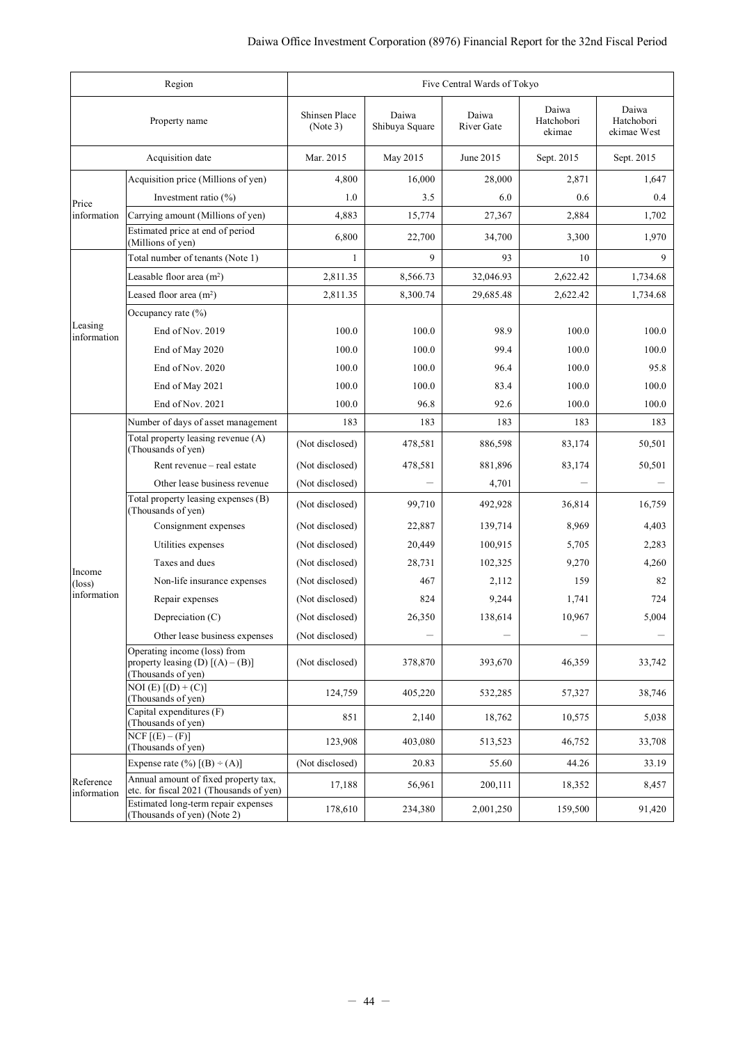| Region                   |                                                                                          |                           | Five Central Wards of Tokyo |                     |                               |                                    |  |
|--------------------------|------------------------------------------------------------------------------------------|---------------------------|-----------------------------|---------------------|-------------------------------|------------------------------------|--|
|                          | Property name                                                                            | Shinsen Place<br>(Note 3) | Daiwa<br>Shibuya Square     | Daiwa<br>River Gate | Daiwa<br>Hatchobori<br>ekimae | Daiwa<br>Hatchobori<br>ekimae West |  |
|                          | Acquisition date                                                                         | Mar. 2015                 | May 2015                    | June 2015           | Sept. 2015                    | Sept. 2015                         |  |
|                          | Acquisition price (Millions of yen)                                                      | 4,800                     | 16,000                      | 28,000              | 2,871                         | 1,647                              |  |
| Price                    | Investment ratio $(\% )$                                                                 | 1.0                       | 3.5                         | 6.0                 | 0.6                           | 0.4                                |  |
| information              | Carrying amount (Millions of yen)                                                        | 4,883                     | 15,774                      | 27,367              | 2,884                         | 1,702                              |  |
|                          | Estimated price at end of period<br>(Millions of yen)                                    | 6,800                     | 22,700                      | 34,700              | 3,300                         | 1,970                              |  |
|                          | Total number of tenants (Note 1)                                                         | 1                         | 9                           | 93                  | 10                            | 9                                  |  |
|                          | Leasable floor area $(m2)$                                                               | 2,811.35                  | 8,566.73                    | 32,046.93           | 2,622.42                      | 1,734.68                           |  |
|                          | Leased floor area $(m2)$                                                                 | 2,811.35                  | 8,300.74                    | 29,685.48           | 2,622.42                      | 1,734.68                           |  |
|                          | Occupancy rate $(\% )$                                                                   |                           |                             |                     |                               |                                    |  |
| Leasing<br>information   | End of Nov. 2019                                                                         | 100.0                     | 100.0                       | 98.9                | 100.0                         | 100.0                              |  |
|                          | End of May 2020                                                                          | 100.0                     | 100.0                       | 99.4                | 100.0                         | 100.0                              |  |
|                          | End of Nov. 2020                                                                         | 100.0                     | 100.0                       | 96.4                | 100.0                         | 95.8                               |  |
|                          | End of May 2021                                                                          | 100.0                     | 100.0                       | 83.4                | 100.0                         | 100.0                              |  |
|                          | End of Nov. 2021                                                                         | 100.0                     | 96.8                        | 92.6                | 100.0                         | 100.0                              |  |
|                          | Number of days of asset management                                                       | 183                       | 183                         | 183                 | 183                           | 183                                |  |
|                          | Total property leasing revenue (A)<br>(Thousands of yen)                                 | (Not disclosed)           | 478,581                     | 886,598             | 83,174                        | 50,501                             |  |
|                          | Rent revenue – real estate                                                               | (Not disclosed)           | 478,581                     | 881,896             | 83,174                        | 50,501                             |  |
|                          | Other lease business revenue                                                             | (Not disclosed)           |                             | 4,701               |                               |                                    |  |
|                          | Total property leasing expenses (B)<br>(Thousands of yen)                                | (Not disclosed)           | 99,710                      | 492,928             | 36,814                        | 16,759                             |  |
|                          | Consignment expenses                                                                     | (Not disclosed)           | 22,887                      | 139,714             | 8,969                         | 4,403                              |  |
|                          | Utilities expenses                                                                       | (Not disclosed)           | 20,449                      | 100,915             | 5,705                         | 2,283                              |  |
| Income                   | Taxes and dues                                                                           | (Not disclosed)           | 28,731                      | 102,325             | 9,270                         | 4,260                              |  |
| $(\text{loss})$          | Non-life insurance expenses                                                              | (Not disclosed)           | 467                         | 2,112               | 159                           | 82                                 |  |
| information              | Repair expenses                                                                          | (Not disclosed)           | 824                         | 9,244               | 1,741                         | 724                                |  |
|                          | Depreciation (C)                                                                         | (Not disclosed)           | 26,350                      | 138,614             | 10,967                        | 5,004                              |  |
|                          | Other lease business expenses                                                            | (Not disclosed)           |                             |                     |                               |                                    |  |
|                          | Operating income (loss) from<br>property leasing (D) $[(A) - (B)]$<br>(Thousands of yen) | (Not disclosed)           | 378,870                     | 393,670             | 46,359                        | 33,742                             |  |
|                          | NOI (E) $\boxed{(\text{D}) + (\text{C})}$<br>(Thousands of yen)                          | 124,759                   | 405,220                     | 532,285             | 57,327                        | 38,746                             |  |
|                          | Capital expenditures (F)<br>(Thousands of yen)                                           | 851                       | 2,140                       | 18,762              | 10,575                        | 5,038                              |  |
|                          | $NCF$ $[(E) - (F)]$<br>(Thousands of yen)                                                | 123,908                   | 403,080                     | 513,523             | 46,752                        | 33,708                             |  |
|                          | Expense rate $(\%)$ [(B) $\div$ (A)]                                                     | (Not disclosed)           | 20.83                       | 55.60               | 44.26                         | 33.19                              |  |
| Reference<br>information | Annual amount of fixed property tax,<br>etc. for fiscal 2021 (Thousands of yen)          | 17,188                    | 56,961                      | 200,111             | 18,352                        | 8,457                              |  |
|                          | Estimated long-term repair expenses<br>(Thousands of yen) (Note 2)                       | 178,610                   | 234,380                     | 2,001,250           | 159,500                       | 91,420                             |  |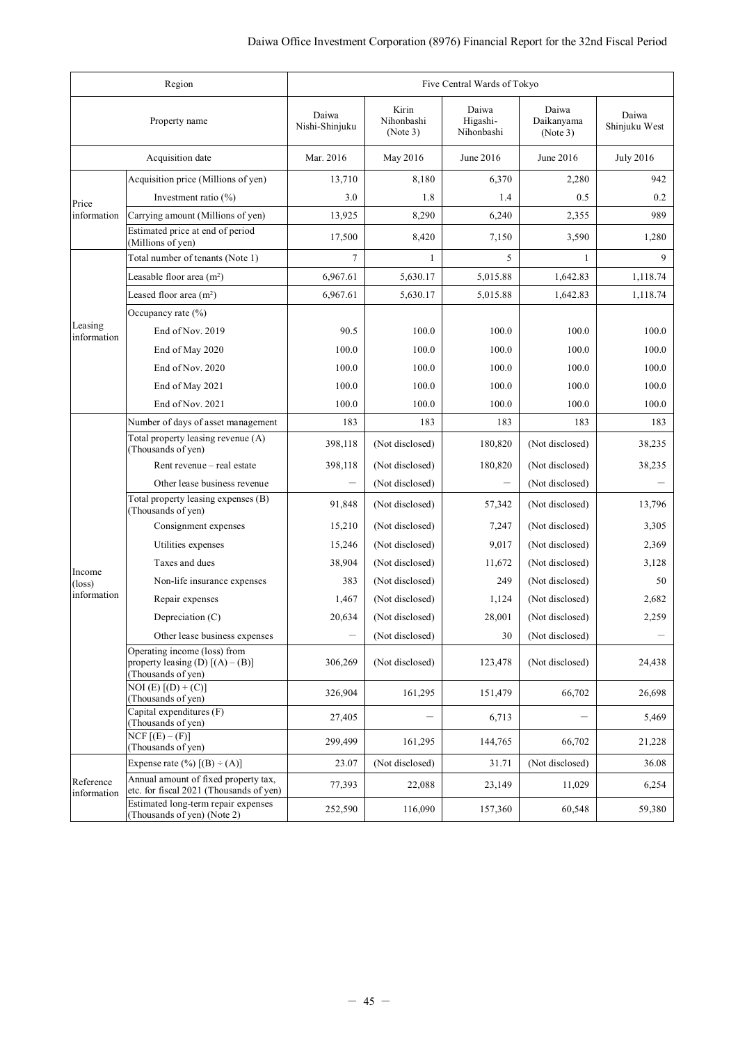| Region<br>Five Central Wards of Tokyo |                                                                                          |                         |                                 |                                 |                                 |                        |
|---------------------------------------|------------------------------------------------------------------------------------------|-------------------------|---------------------------------|---------------------------------|---------------------------------|------------------------|
|                                       | Property name                                                                            | Daiwa<br>Nishi-Shinjuku | Kirin<br>Nihonbashi<br>(Note 3) | Daiwa<br>Higashi-<br>Nihonbashi | Daiwa<br>Daikanyama<br>(Note 3) | Daiwa<br>Shinjuku West |
|                                       | Acquisition date                                                                         | Mar. 2016               | May 2016                        | June 2016                       | June 2016                       | <b>July 2016</b>       |
|                                       | Acquisition price (Millions of yen)                                                      | 13,710                  | 8,180                           | 6,370                           | 2,280                           | 942                    |
| Price                                 | Investment ratio $(\% )$                                                                 | 3.0                     | 1.8                             | 1.4                             | 0.5                             | 0.2                    |
| information                           | Carrying amount (Millions of yen)                                                        | 13,925                  | 8,290                           | 6,240                           | 2,355                           | 989                    |
|                                       | Estimated price at end of period<br>(Millions of yen)                                    | 17,500                  | 8,420                           | 7,150                           | 3,590                           | 1,280                  |
|                                       | Total number of tenants (Note 1)                                                         | 7                       | 1                               | 5                               | 1                               | 9                      |
|                                       | Leasable floor area $(m2)$                                                               | 6,967.61                | 5,630.17                        | 5,015.88                        | 1,642.83                        | 1,118.74               |
|                                       | Leased floor area $(m2)$                                                                 | 6,967.61                | 5,630.17                        | 5,015.88                        | 1,642.83                        | 1,118.74               |
|                                       | Occupancy rate $(\% )$                                                                   |                         |                                 |                                 |                                 |                        |
| Leasing<br>information                | End of Nov. 2019                                                                         | 90.5                    | 100.0                           | 100.0                           | 100.0                           | 100.0                  |
|                                       | End of May 2020                                                                          | 100.0                   | 100.0                           | 100.0                           | 100.0                           | 100.0                  |
|                                       | End of Nov. 2020                                                                         | 100.0                   | 100.0                           | 100.0                           | 100.0                           | 100.0                  |
|                                       | End of May 2021                                                                          | 100.0                   | 100.0                           | 100.0                           | 100.0                           | 100.0                  |
|                                       | End of Nov. 2021                                                                         | 100.0                   | 100.0                           | 100.0                           | 100.0                           | 100.0                  |
|                                       | Number of days of asset management                                                       | 183                     | 183                             | 183                             | 183                             | 183                    |
|                                       | Total property leasing revenue (A)<br>(Thousands of yen)                                 | 398,118                 | (Not disclosed)                 | 180,820                         | (Not disclosed)                 | 38,235                 |
|                                       | Rent revenue – real estate                                                               | 398,118                 | (Not disclosed)                 | 180,820                         | (Not disclosed)                 | 38,235                 |
|                                       | Other lease business revenue                                                             |                         | (Not disclosed)                 |                                 | (Not disclosed)                 |                        |
|                                       | Total property leasing expenses (B)<br>(Thousands of yen)                                | 91,848                  | (Not disclosed)                 | 57,342                          | (Not disclosed)                 | 13,796                 |
|                                       | Consignment expenses                                                                     | 15,210                  | (Not disclosed)                 | 7,247                           | (Not disclosed)                 | 3,305                  |
|                                       | Utilities expenses                                                                       | 15,246                  | (Not disclosed)                 | 9,017                           | (Not disclosed)                 | 2,369                  |
|                                       | Taxes and dues                                                                           | 38,904                  | (Not disclosed)                 | 11,672                          | (Not disclosed)                 | 3,128                  |
| Income<br>$(\text{loss})$             | Non-life insurance expenses                                                              | 383                     | (Not disclosed)                 | 249                             | (Not disclosed)                 | 50                     |
| information                           | Repair expenses                                                                          | 1,467                   | (Not disclosed)                 | 1,124                           | (Not disclosed)                 | 2,682                  |
|                                       | Depreciation (C)                                                                         | 20,634                  | (Not disclosed)                 | 28,001                          | (Not disclosed)                 | 2,259                  |
|                                       | Other lease business expenses                                                            |                         | (Not disclosed)                 | 30                              | (Not disclosed)                 |                        |
|                                       | Operating income (loss) from<br>property leasing (D) $[(A) - (B)]$<br>(Thousands of yen) | 306,269                 | (Not disclosed)                 | 123,478                         | (Not disclosed)                 | 24,438                 |
|                                       | NOI (E) $\boxed{(\text{D}) + (\text{C})}$<br>(Thousands of yen)                          | 326,904                 | 161,295                         | 151,479                         | 66,702                          | 26,698                 |
|                                       | Capital expenditures (F)<br>(Thousands of yen)                                           | 27,405                  |                                 | 6,713                           |                                 | 5,469                  |
|                                       | $NCF$ $[(E) - (F)]$<br>(Thousands of yen)                                                | 299,499                 | 161,295                         | 144,765                         | 66,702                          | 21,228                 |
|                                       | Expense rate $(\%)$ [(B) $\div$ (A)]                                                     | 23.07                   | (Not disclosed)                 | 31.71                           | (Not disclosed)                 | 36.08                  |
| Reference<br>information              | Annual amount of fixed property tax,<br>etc. for fiscal 2021 (Thousands of yen)          | 77,393                  | 22,088                          | 23,149                          | 11,029                          | 6,254                  |
|                                       | Estimated long-term repair expenses<br>(Thousands of yen) (Note 2)                       | 252,590                 | 116,090                         | 157,360                         | 60,548                          | 59,380                 |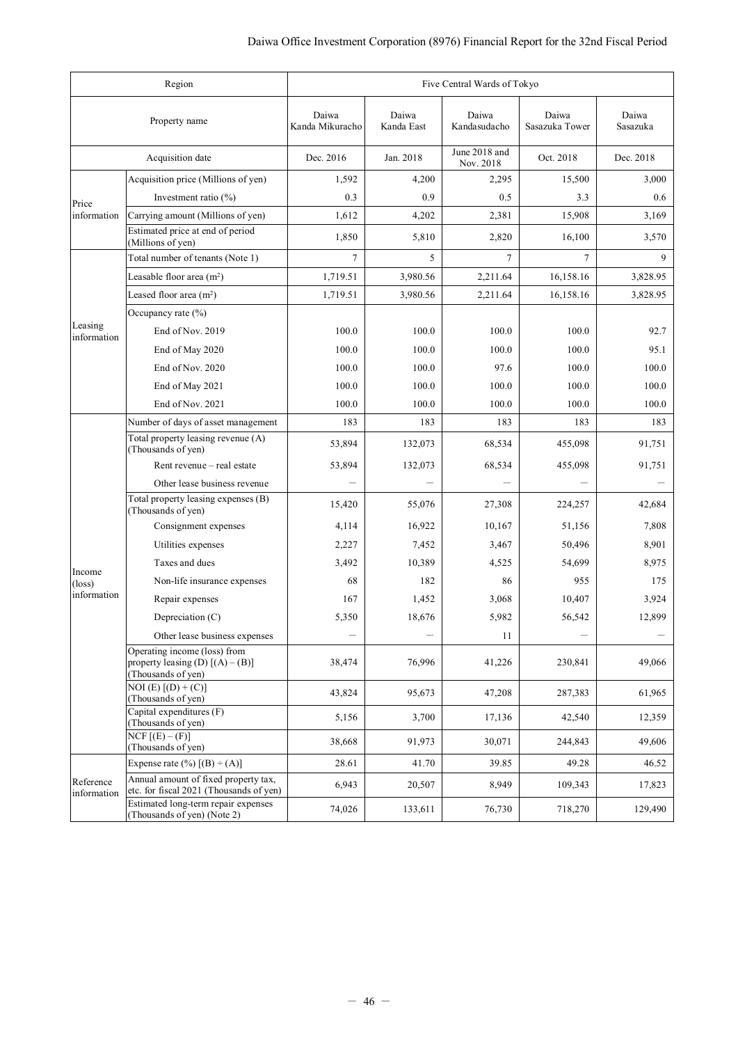| Region<br>Five Central Wards of Tokyo |                                                                                          |                          |                     |                            |                         |                   |
|---------------------------------------|------------------------------------------------------------------------------------------|--------------------------|---------------------|----------------------------|-------------------------|-------------------|
|                                       | Property name                                                                            | Daiwa<br>Kanda Mikuracho | Daiwa<br>Kanda East | Daiwa<br>Kandasudacho      | Daiwa<br>Sasazuka Tower | Daiwa<br>Sasazuka |
|                                       | Acquisition date                                                                         | Dec. 2016                | Jan. 2018           | June 2018 and<br>Nov. 2018 | Oct. 2018               | Dec. 2018         |
|                                       | Acquisition price (Millions of yen)                                                      | 1,592                    | 4,200               | 2,295                      | 15,500                  | 3,000             |
| Price                                 | Investment ratio $(\% )$                                                                 | 0.3                      | 0.9                 | 0.5                        | 3.3                     | 0.6               |
| information                           | Carrying amount (Millions of yen)                                                        | 1,612                    | 4,202               | 2,381                      | 15,908                  | 3,169             |
|                                       | Estimated price at end of period<br>(Millions of yen)                                    | 1,850                    | 5,810               | 2,820                      | 16,100                  | 3,570             |
|                                       | Total number of tenants (Note 1)                                                         | 7                        | 5                   | 7                          | $\tau$                  | 9                 |
|                                       | Leasable floor area $(m2)$                                                               | 1,719.51                 | 3,980.56            | 2,211.64                   | 16,158.16               | 3,828.95          |
|                                       | Leased floor area $(m2)$                                                                 | 1,719.51                 | 3,980.56            | 2,211.64                   | 16,158.16               | 3,828.95          |
|                                       | Occupancy rate $(\% )$                                                                   |                          |                     |                            |                         |                   |
| Leasing<br>information                | End of Nov. 2019                                                                         | 100.0                    | 100.0               | 100.0                      | 100.0                   | 92.7              |
|                                       | End of May 2020                                                                          | 100.0                    | 100.0               | 100.0                      | 100.0                   | 95.1              |
|                                       | End of Nov. 2020                                                                         | 100.0                    | 100.0               | 97.6                       | 100.0                   | 100.0             |
|                                       | End of May 2021                                                                          | 100.0                    | 100.0               | 100.0                      | 100.0                   | 100.0             |
|                                       | End of Nov. 2021                                                                         | 100.0                    | 100.0               | 100.0                      | 100.0                   | 100.0             |
|                                       | Number of days of asset management                                                       | 183                      | 183                 | 183                        | 183                     | 183               |
|                                       | Total property leasing revenue (A)<br>(Thousands of yen)                                 | 53,894                   | 132,073             | 68,534                     | 455,098                 | 91,751            |
|                                       | Rent revenue – real estate                                                               | 53,894                   | 132,073             | 68,534                     | 455,098                 | 91,751            |
|                                       | Other lease business revenue                                                             |                          |                     |                            |                         |                   |
|                                       | Total property leasing expenses (B)<br>(Thousands of yen)                                | 15,420                   | 55,076              | 27,308                     | 224,257                 | 42,684            |
|                                       | Consignment expenses                                                                     | 4,114                    | 16,922              | 10,167                     | 51,156                  | 7,808             |
|                                       | Utilities expenses                                                                       | 2,227                    | 7,452               | 3,467                      | 50,496                  | 8,901             |
| Income                                | Taxes and dues                                                                           | 3,492                    | 10,389              | 4,525                      | 54,699                  | 8,975             |
| $(\text{loss})$                       | Non-life insurance expenses                                                              | 68                       | 182                 | 86                         | 955                     | 175               |
| information                           | Repair expenses                                                                          | 167                      | 1,452               | 3,068                      | 10,407                  | 3,924             |
|                                       | Depreciation (C)                                                                         | 5,350                    | 18,676              | 5,982                      | 56,542                  | 12,899            |
|                                       | Other lease business expenses                                                            |                          |                     | 11                         | —                       |                   |
|                                       | Operating income (loss) from<br>property leasing (D) $[(A) - (B)]$<br>(Thousands of yen) | 38,474                   | 76,996              | 41,226                     | 230,841                 | 49,066            |
|                                       | $NOI(E) [(D) + (C)]$<br>(Thousands of yen)                                               | 43,824                   | 95,673              | 47,208                     | 287,383                 | 61,965            |
|                                       | Capital expenditures (F)<br>(Thousands of yen)                                           | 5,156                    | 3,700               | 17,136                     | 42,540                  | 12,359            |
|                                       | $NCF$ [ $(E) - (F)$ ]<br>(Thousands of yen)                                              | 38,668                   | 91,973              | 30,071                     | 244,843                 | 49,606            |
|                                       | Expense rate $(\%)$ $[(B) \div (A)]$                                                     | 28.61                    | 41.70               | 39.85                      | 49.28                   | 46.52             |
| Reference<br>information              | Annual amount of fixed property tax,<br>etc. for fiscal 2021 (Thousands of yen)          | 6,943                    | 20,507              | 8,949                      | 109,343                 | 17,823            |
|                                       | Estimated long-term repair expenses<br>(Thousands of yen) (Note 2)                       | 74,026                   | 133,611             | 76,730                     | 718,270                 | 129,490           |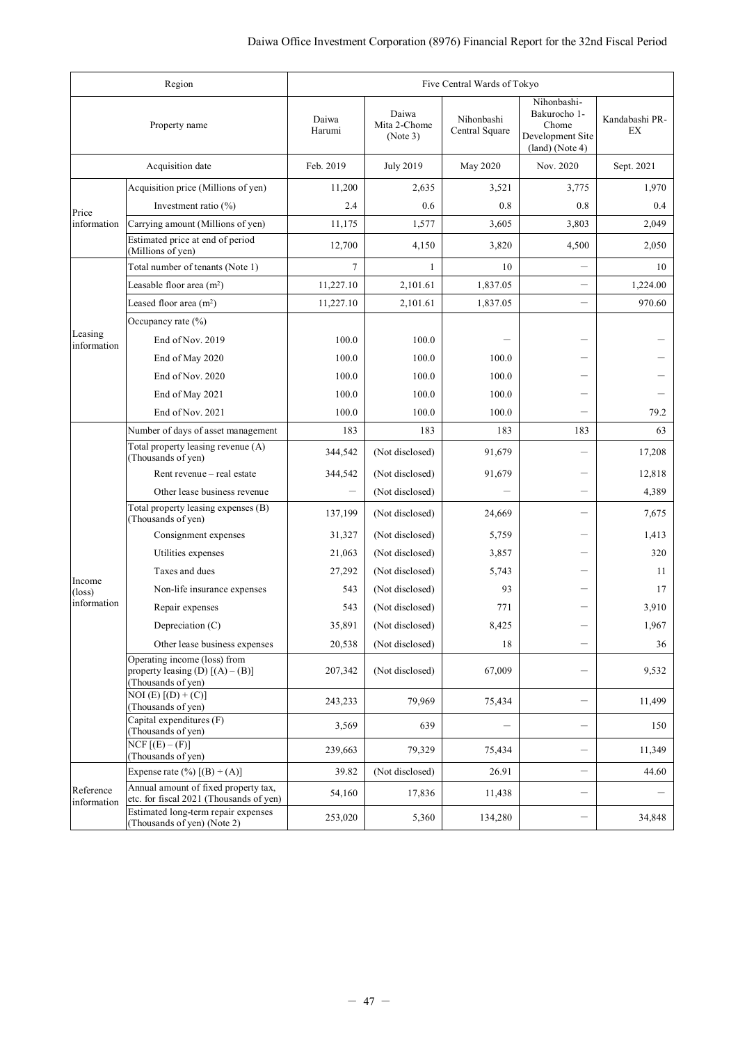|                          | Region                                                                                   | Five Central Wards of Tokyo |                                   |                                |                                                                               |                      |  |
|--------------------------|------------------------------------------------------------------------------------------|-----------------------------|-----------------------------------|--------------------------------|-------------------------------------------------------------------------------|----------------------|--|
|                          | Property name                                                                            | Daiwa<br>Harumi             | Daiwa<br>Mita 2-Chome<br>(Note 3) | Nihonbashi<br>Central Square   | Nihonbashi-<br>Bakurocho 1-<br>Chome<br>Development Site<br>$(land)$ (Note 4) | Kandabashi PR-<br>EX |  |
|                          | Acquisition date                                                                         | Feb. 2019                   | <b>July 2019</b>                  | <b>May 2020</b>                | Nov. 2020                                                                     | Sept. 2021           |  |
|                          | Acquisition price (Millions of yen)                                                      | 11,200                      | 2,635                             | 3,521                          | 3,775                                                                         | 1,970                |  |
| Price                    | Investment ratio $(\% )$                                                                 | 2.4                         | 0.6                               | 0.8                            | 0.8                                                                           | 0.4                  |  |
| information              | Carrying amount (Millions of yen)                                                        | 11,175                      | 1,577                             | 3,605                          | 3,803                                                                         | 2,049                |  |
|                          | Estimated price at end of period<br>(Millions of yen)                                    | 12,700                      | 4,150                             | 3,820                          | 4,500                                                                         | 2,050                |  |
|                          | Total number of tenants (Note 1)                                                         | 7                           | 1                                 | 10                             |                                                                               | 10                   |  |
|                          | Leasable floor area (m <sup>2</sup> )                                                    | 11,227.10                   | 2,101.61                          | 1,837.05                       | $\overline{\phantom{0}}$                                                      | 1,224.00             |  |
|                          | Leased floor area $(m^2)$                                                                | 11,227.10                   | 2,101.61                          | 1,837.05                       | $\overline{\phantom{0}}$                                                      | 970.60               |  |
|                          | Occupancy rate $(\% )$                                                                   |                             |                                   |                                |                                                                               |                      |  |
| Leasing<br>information   | End of Nov. 2019                                                                         | 100.0                       | 100.0                             |                                |                                                                               |                      |  |
|                          | End of May 2020                                                                          | 100.0                       | 100.0                             | 100.0                          |                                                                               |                      |  |
|                          | End of Nov. 2020                                                                         | 100.0                       | 100.0                             | 100.0                          |                                                                               |                      |  |
|                          | End of May 2021                                                                          | 100.0                       | 100.0                             | 100.0                          |                                                                               |                      |  |
|                          | End of Nov. 2021                                                                         | 100.0                       | 100.0                             | 100.0                          |                                                                               | 79.2                 |  |
|                          | Number of days of asset management                                                       | 183                         | 183                               | 183                            | 183                                                                           | 63                   |  |
|                          | Total property leasing revenue (A)<br>(Thousands of yen)                                 | 344,542                     | (Not disclosed)                   | 91,679                         | -                                                                             | 17,208               |  |
|                          | Rent revenue - real estate                                                               | 344,542                     | (Not disclosed)                   | 91,679                         |                                                                               | 12,818               |  |
|                          | Other lease business revenue                                                             | $\overline{\phantom{0}}$    | (Not disclosed)                   |                                | $\overline{\phantom{0}}$                                                      | 4,389                |  |
|                          | Total property leasing expenses (B)<br>(Thousands of yen)                                | 137,199                     | (Not disclosed)                   | 24,669                         |                                                                               | 7,675                |  |
|                          | Consignment expenses                                                                     | 31,327                      | (Not disclosed)                   | 5,759                          |                                                                               | 1,413                |  |
|                          | Utilities expenses                                                                       | 21,063                      | (Not disclosed)                   | 3,857                          |                                                                               | 320                  |  |
| Income                   | Taxes and dues                                                                           | 27,292                      | (Not disclosed)                   | 5,743                          |                                                                               | 11                   |  |
| $(\text{loss})$          | Non-life insurance expenses                                                              | 543                         | (Not disclosed)                   | 93                             |                                                                               | 17                   |  |
| information              | Repair expenses                                                                          | 543                         | (Not disclosed)                   | 771                            |                                                                               | 3,910                |  |
|                          | Depreciation $(C)$                                                                       | 35,891                      | (Not disclosed)                   | 8,425                          |                                                                               | 1,967                |  |
|                          | Other lease business expenses                                                            | 20,538                      | (Not disclosed)                   | 18                             |                                                                               | 36                   |  |
|                          | Operating income (loss) from<br>property leasing (D) $[(A) - (B)]$<br>(Thousands of yen) | 207,342                     | (Not disclosed)                   | 67,009                         |                                                                               | 9,532                |  |
|                          | $NOI(E) [(D) + (C)]$<br>(Thousands of yen)                                               | 243,233                     | 79,969                            | 75,434                         |                                                                               | 11,499               |  |
|                          | Capital expenditures (F)<br>(Thousands of yen)                                           | 3,569                       | 639                               | $\qquad \qquad \longleftarrow$ | —                                                                             | 150                  |  |
|                          | $NCF$ [ $(E) - (F)$ ]<br>(Thousands of yen)                                              | 239,663                     | 79,329                            | 75,434                         |                                                                               | 11,349               |  |
|                          | Expense rate $(\%)$ [(B) $\div$ (A)]                                                     | 39.82                       | (Not disclosed)                   | 26.91                          | -                                                                             | 44.60                |  |
| Reference<br>information | Annual amount of fixed property tax,<br>etc. for fiscal 2021 (Thousands of yen)          | 54,160                      | 17,836                            | 11,438                         | -                                                                             |                      |  |
|                          | Estimated long-term repair expenses<br>(Thousands of yen) (Note 2)                       | 253,020                     | 5,360                             | 134,280                        |                                                                               | 34,848               |  |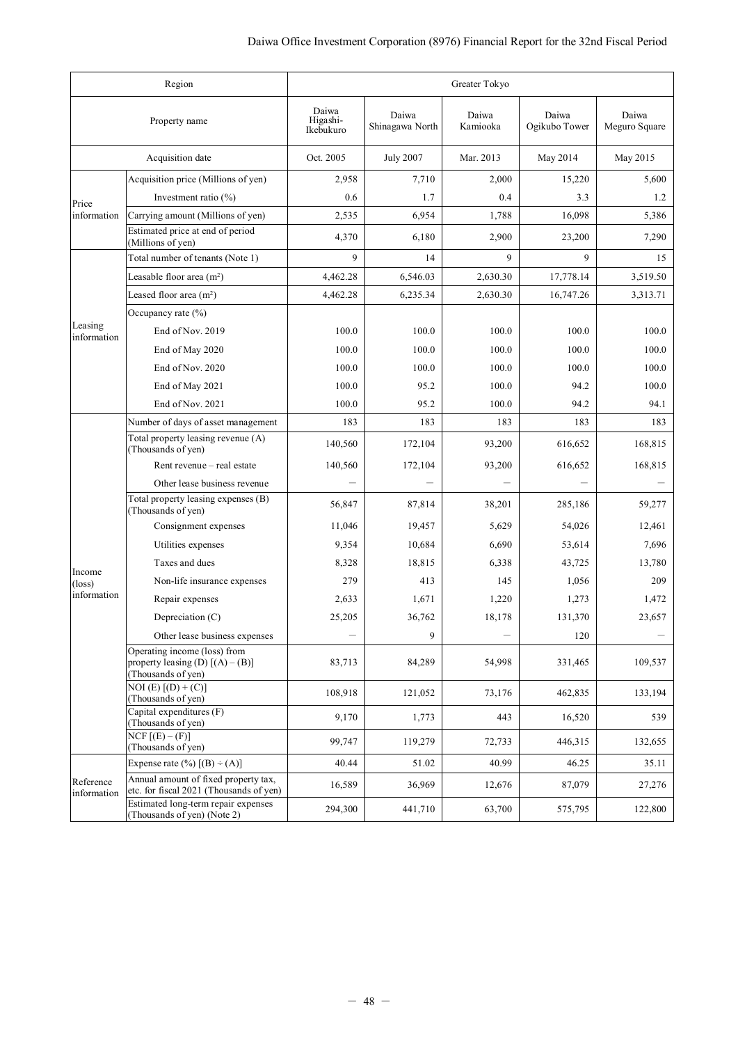|                           | Region                                                                                   | Greater Tokyo                  |                          |                   |                        |                        |  |
|---------------------------|------------------------------------------------------------------------------------------|--------------------------------|--------------------------|-------------------|------------------------|------------------------|--|
|                           | Property name                                                                            | Daiwa<br>Higashi-<br>Ikebukuro | Daiwa<br>Shinagawa North | Daiwa<br>Kamiooka | Daiwa<br>Ogikubo Tower | Daiwa<br>Meguro Square |  |
|                           | Acquisition date                                                                         | Oct. 2005                      | <b>July 2007</b>         | Mar. 2013         | May 2014               | May 2015               |  |
|                           | Acquisition price (Millions of yen)                                                      | 2,958                          | 7,710                    | 2,000             | 15,220                 | 5,600                  |  |
| Price                     | Investment ratio (%)                                                                     | 0.6                            | 1.7                      | 0.4               | 3.3                    | 1.2                    |  |
| information               | Carrying amount (Millions of yen)                                                        | 2,535                          | 6,954                    | 1,788             | 16,098                 | 5,386                  |  |
|                           | Estimated price at end of period<br>(Millions of yen)                                    | 4,370                          | 6,180                    | 2,900             | 23,200                 | 7,290                  |  |
|                           | Total number of tenants (Note 1)                                                         | 9                              | 14                       | 9                 | 9                      | 15                     |  |
|                           | Leasable floor area $(m2)$                                                               | 4,462.28                       | 6,546.03                 | 2,630.30          | 17,778.14              | 3,519.50               |  |
|                           | Leased floor area $(m2)$                                                                 | 4,462.28                       | 6,235.34                 | 2,630.30          | 16,747.26              | 3,313.71               |  |
|                           | Occupancy rate $(\% )$                                                                   |                                |                          |                   |                        |                        |  |
| Leasing<br>information    | End of Nov. 2019                                                                         | 100.0                          | 100.0                    | 100.0             | 100.0                  | 100.0                  |  |
|                           | End of May 2020                                                                          | 100.0                          | 100.0                    | 100.0             | 100.0                  | 100.0                  |  |
|                           | End of Nov. 2020                                                                         | 100.0                          | 100.0                    | 100.0             | 100.0                  | 100.0                  |  |
|                           | End of May 2021                                                                          | 100.0                          | 95.2                     | 100.0             | 94.2                   | 100.0                  |  |
|                           | End of Nov. 2021                                                                         | 100.0                          | 95.2                     | 100.0             | 94.2                   | 94.1                   |  |
|                           | Number of days of asset management                                                       | 183                            | 183                      | 183               | 183                    | 183                    |  |
|                           | Total property leasing revenue (A)<br>(Thousands of yen)                                 | 140,560                        | 172,104                  | 93,200            | 616,652                | 168,815                |  |
|                           | Rent revenue - real estate                                                               | 140,560                        | 172,104                  | 93,200            | 616,652                | 168,815                |  |
|                           | Other lease business revenue                                                             |                                |                          |                   |                        |                        |  |
|                           | Total property leasing expenses (B)<br>(Thousands of yen)                                | 56,847                         | 87,814                   | 38,201            | 285,186                | 59,277                 |  |
|                           | Consignment expenses                                                                     | 11,046                         | 19,457                   | 5,629             | 54,026                 | 12,461                 |  |
|                           | Utilities expenses                                                                       | 9,354                          | 10,684                   | 6,690             | 53,614                 | 7,696                  |  |
|                           | Taxes and dues                                                                           | 8,328                          | 18,815                   | 6,338             | 43,725                 | 13,780                 |  |
| Income<br>$(\text{loss})$ | Non-life insurance expenses                                                              | 279                            | 413                      | 145               | 1,056                  | 209                    |  |
| information               | Repair expenses                                                                          | 2,633                          | 1,671                    | 1,220             | 1,273                  | 1,472                  |  |
|                           | Depreciation (C)                                                                         | 25,205                         | 36,762                   | 18,178            | 131,370                | 23,657                 |  |
|                           | Other lease business expenses                                                            |                                | 9                        |                   | 120                    |                        |  |
|                           | Operating income (loss) from<br>property leasing (D) $[(A) - (B)]$<br>(Thousands of yen) | 83,713                         | 84,289                   | 54,998            | 331,465                | 109,537                |  |
|                           | $\overline{NOI(E) [(D) + (C)]}$<br>(Thousands of yen)                                    | 108,918                        | 121,052                  | 73,176            | 462,835                | 133,194                |  |
|                           | Capital expenditures (F)<br>(Thousands of yen)                                           | 9,170                          | 1,773                    | 443               | 16,520                 | 539                    |  |
|                           | $NCF$ $[(E) - (F)]$<br>(Thousands of yen)                                                | 99,747                         | 119,279                  | 72,733            | 446,315                | 132,655                |  |
|                           | Expense rate $(\%)$ $[(B) \div (A)]$                                                     | 40.44                          | 51.02                    | 40.99             | 46.25                  | 35.11                  |  |
| Reference<br>information  | Annual amount of fixed property tax,<br>etc. for fiscal 2021 (Thousands of yen)          | 16,589                         | 36,969                   | 12,676            | 87,079                 | 27,276                 |  |
|                           | Estimated long-term repair expenses<br>(Thousands of yen) (Note 2)                       | 294,300                        | 441,710                  | 63,700            | 575,795                | 122,800                |  |